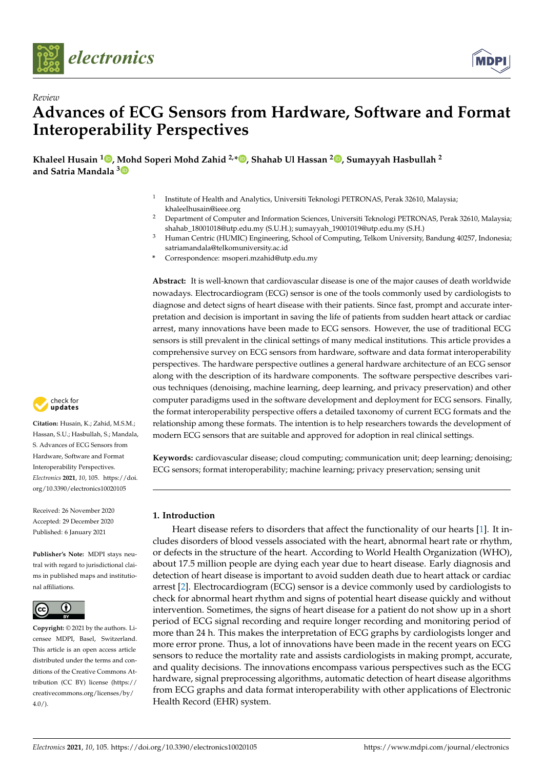

*Review*



# **Advances of ECG Sensors from Hardware, Software and Format Interoperability Perspectives**

**Khaleel Husain <sup>1</sup> [,](https://orcid.org/0000-0001-5739-0909) Mohd Soperi Mohd Zahid 2,\* [,](https://orcid.org/0000-0001-5042-5793) Shahab Ul Hassan <sup>2</sup> [,](https://orcid.org/0000-0003-0995-4866) Sumayyah Hasbullah <sup>2</sup> and Satria Mandala [3](https://orcid.org/0000-0001-6997-5875)**

- 1 Institute of Health and Analytics, Universiti Teknologi PETRONAS, Perak 32610, Malaysia; khaleelhusain@ieee.org
- <sup>2</sup> Department of Computer and Information Sciences, Universiti Teknologi PETRONAS, Perak 32610, Malaysia; shahab\_18001018@utp.edu.my (S.U.H.); sumayyah\_19001019@utp.edu.my (S.H.)
- <sup>3</sup> Human Centric (HUMIC) Engineering, School of Computing, Telkom University, Bandung 40257, Indonesia; satriamandala@telkomuniversity.ac.id
- **\*** Correspondence: msoperi.mzahid@utp.edu.my

**Abstract:** It is well-known that cardiovascular disease is one of the major causes of death worldwide nowadays. Electrocardiogram (ECG) sensor is one of the tools commonly used by cardiologists to diagnose and detect signs of heart disease with their patients. Since fast, prompt and accurate interpretation and decision is important in saving the life of patients from sudden heart attack or cardiac arrest, many innovations have been made to ECG sensors. However, the use of traditional ECG sensors is still prevalent in the clinical settings of many medical institutions. This article provides a comprehensive survey on ECG sensors from hardware, software and data format interoperability perspectives. The hardware perspective outlines a general hardware architecture of an ECG sensor along with the description of its hardware components. The software perspective describes various techniques (denoising, machine learning, deep learning, and privacy preservation) and other computer paradigms used in the software development and deployment for ECG sensors. Finally, the format interoperability perspective offers a detailed taxonomy of current ECG formats and the relationship among these formats. The intention is to help researchers towards the development of modern ECG sensors that are suitable and approved for adoption in real clinical settings.

**Keywords:** cardiovascular disease; cloud computing; communication unit; deep learning; denoising; ECG sensors; format interoperability; machine learning; privacy preservation; sensing unit

# **1. Introduction**

Heart disease refers to disorders that affect the functionality of our hearts [\[1\]](#page-26-0). It includes disorders of blood vessels associated with the heart, abnormal heart rate or rhythm, or defects in the structure of the heart. According to World Health Organization (WHO), about 17.5 million people are dying each year due to heart disease. Early diagnosis and detection of heart disease is important to avoid sudden death due to heart attack or cardiac arrest [\[2\]](#page-26-1). Electrocardiogram (ECG) sensor is a device commonly used by cardiologists to check for abnormal heart rhythm and signs of potential heart disease quickly and without intervention. Sometimes, the signs of heart disease for a patient do not show up in a short period of ECG signal recording and require longer recording and monitoring period of more than 24 h. This makes the interpretation of ECG graphs by cardiologists longer and more error prone. Thus, a lot of innovations have been made in the recent years on ECG sensors to reduce the mortality rate and assists cardiologists in making prompt, accurate, and quality decisions. The innovations encompass various perspectives such as the ECG hardware, signal preprocessing algorithms, automatic detection of heart disease algorithms from ECG graphs and data format interoperability with other applications of Electronic Health Record (EHR) system.



**Citation:** Husain, K.; Zahid, M.S.M.; Hassan, S.U.; Hasbullah, S.; Mandala, S. Advances of ECG Sensors from Hardware, Software and Format Interoperability Perspectives. *Electronics* **2021**, *10*, 105. [https://doi.](https://doi.org/10.3390/electronics10020105) [org/10.3390/electronics10020105](https://doi.org/10.3390/electronics10020105)

Received: 26 November 2020 Accepted: 29 December 2020 Published: 6 January 2021

**Publisher's Note:** MDPI stays neutral with regard to jurisdictional claims in published maps and institutional affiliations.



**Copyright:** © 2021 by the authors. Licensee MDPI, Basel, Switzerland. This article is an open access article distributed under the terms and conditions of the Creative Commons Attribution (CC BY) license [\(https://](https://creativecommons.org/licenses/by/4.0/) [creativecommons.org/licenses/by/](https://creativecommons.org/licenses/by/4.0/)  $4.0/$ ).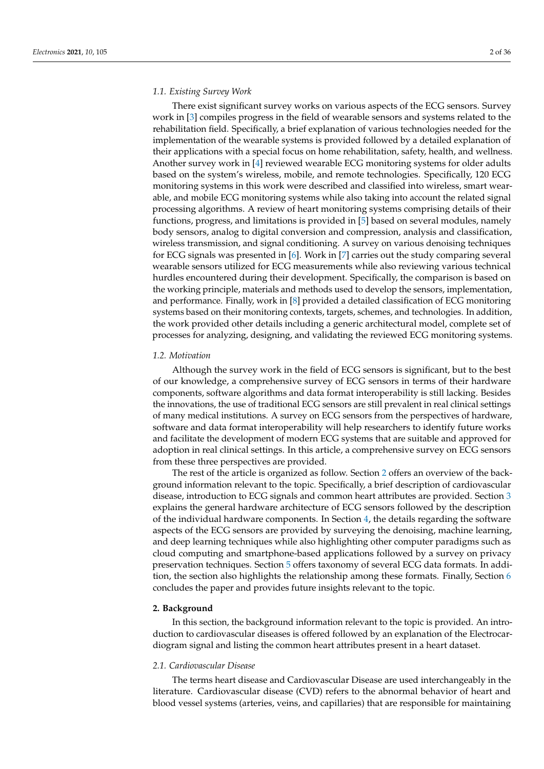## *1.1. Existing Survey Work*

There exist significant survey works on various aspects of the ECG sensors. Survey work in [\[3\]](#page-26-2) compiles progress in the field of wearable sensors and systems related to the rehabilitation field. Specifically, a brief explanation of various technologies needed for the implementation of the wearable systems is provided followed by a detailed explanation of their applications with a special focus on home rehabilitation, safety, health, and wellness. Another survey work in [\[4\]](#page-27-0) reviewed wearable ECG monitoring systems for older adults based on the system's wireless, mobile, and remote technologies. Specifically, 120 ECG monitoring systems in this work were described and classified into wireless, smart wearable, and mobile ECG monitoring systems while also taking into account the related signal processing algorithms. A review of heart monitoring systems comprising details of their functions, progress, and limitations is provided in [\[5\]](#page-27-1) based on several modules, namely body sensors, analog to digital conversion and compression, analysis and classification, wireless transmission, and signal conditioning. A survey on various denoising techniques for ECG signals was presented in [\[6\]](#page-27-2). Work in [\[7\]](#page-27-3) carries out the study comparing several wearable sensors utilized for ECG measurements while also reviewing various technical hurdles encountered during their development. Specifically, the comparison is based on the working principle, materials and methods used to develop the sensors, implementation, and performance. Finally, work in [\[8\]](#page-27-4) provided a detailed classification of ECG monitoring systems based on their monitoring contexts, targets, schemes, and technologies. In addition, the work provided other details including a generic architectural model, complete set of processes for analyzing, designing, and validating the reviewed ECG monitoring systems.

## *1.2. Motivation*

Although the survey work in the field of ECG sensors is significant, but to the best of our knowledge, a comprehensive survey of ECG sensors in terms of their hardware components, software algorithms and data format interoperability is still lacking. Besides the innovations, the use of traditional ECG sensors are still prevalent in real clinical settings of many medical institutions. A survey on ECG sensors from the perspectives of hardware, software and data format interoperability will help researchers to identify future works and facilitate the development of modern ECG systems that are suitable and approved for adoption in real clinical settings. In this article, a comprehensive survey on ECG sensors from these three perspectives are provided.

The rest of the article is organized as follow. Section [2](#page-1-0) offers an overview of the background information relevant to the topic. Specifically, a brief description of cardiovascular disease, introduction to ECG signals and common heart attributes are provided. Section [3](#page-3-0) explains the general hardware architecture of ECG sensors followed by the description of the individual hardware components. In Section [4,](#page-9-0) the details regarding the software aspects of the ECG sensors are provided by surveying the denoising, machine learning, and deep learning techniques while also highlighting other computer paradigms such as cloud computing and smartphone-based applications followed by a survey on privacy preservation techniques. Section [5](#page-19-0) offers taxonomy of several ECG data formats. In addition, the section also highlights the relationship among these formats. Finally, Section [6](#page-24-0) concludes the paper and provides future insights relevant to the topic.

# <span id="page-1-0"></span>**2. Background**

In this section, the background information relevant to the topic is provided. An introduction to cardiovascular diseases is offered followed by an explanation of the Electrocardiogram signal and listing the common heart attributes present in a heart dataset.

## *2.1. Cardiovascular Disease*

The terms heart disease and Cardiovascular Disease are used interchangeably in the literature. Cardiovascular disease (CVD) refers to the abnormal behavior of heart and blood vessel systems (arteries, veins, and capillaries) that are responsible for maintaining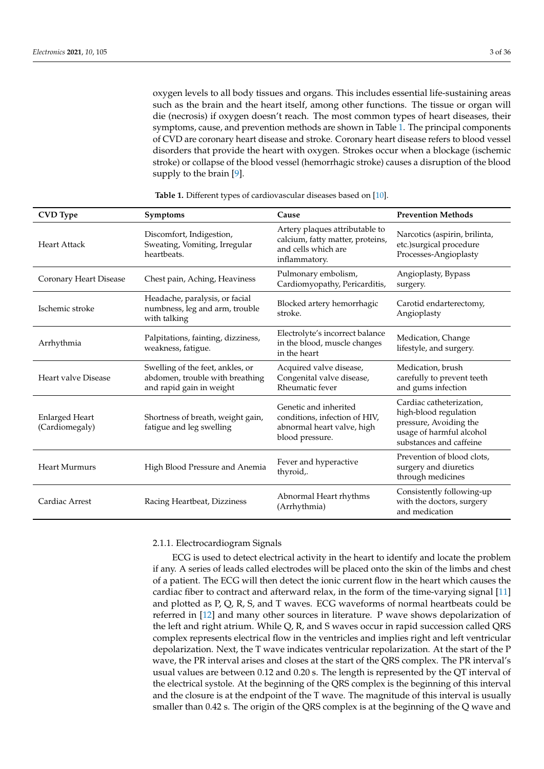oxygen levels to all body tissues and organs. This includes essential life-sustaining areas such as the brain and the heart itself, among other functions. The tissue or organ will die (necrosis) if oxygen doesn't reach. The most common types of heart diseases, their symptoms, cause, and prevention methods are shown in Table [1.](#page-2-0) The principal components of CVD are coronary heart disease and stroke. Coronary heart disease refers to blood vessel disorders that provide the heart with oxygen. Strokes occur when a blockage (ischemic stroke) or collapse of the blood vessel (hemorrhagic stroke) causes a disruption of the blood supply to the brain [\[9\]](#page-27-5).

<span id="page-2-0"></span>

| <b>CVD</b> Type                                                                          | Symptoms                                                                                        | Cause                                                                                                      | <b>Prevention Methods</b>                                                                                                          |
|------------------------------------------------------------------------------------------|-------------------------------------------------------------------------------------------------|------------------------------------------------------------------------------------------------------------|------------------------------------------------------------------------------------------------------------------------------------|
| Discomfort, Indigestion,<br>Sweating, Vomiting, Irregular<br>Heart Attack<br>heartbeats. |                                                                                                 | Artery plaques attributable to<br>calcium, fatty matter, proteins,<br>and cells which are<br>inflammatory. | Narcotics (aspirin, brilinta,<br>etc.)surgical procedure<br>Processes-Angioplasty                                                  |
| Coronary Heart Disease                                                                   | Chest pain, Aching, Heaviness                                                                   | Pulmonary embolism,<br>Cardiomyopathy, Pericarditis,                                                       | Angioplasty, Bypass<br>surgery.                                                                                                    |
| Ischemic stroke                                                                          | Headache, paralysis, or facial<br>numbness, leg and arm, trouble<br>with talking                | Blocked artery hemorrhagic<br>stroke.                                                                      | Carotid endarterectomy,<br>Angioplasty                                                                                             |
| Arrhythmia                                                                               | Palpitations, fainting, dizziness,<br>weakness, fatigue.                                        | Electrolyte's incorrect balance<br>in the blood, muscle changes<br>in the heart                            | Medication, Change<br>lifestyle, and surgery.                                                                                      |
| Heart valve Disease                                                                      | Swelling of the feet, ankles, or<br>abdomen, trouble with breathing<br>and rapid gain in weight | Acquired valve disease,<br>Congenital valve disease,<br>Rheumatic fever                                    | Medication, brush<br>carefully to prevent teeth<br>and gums infection                                                              |
| <b>Enlarged Heart</b><br>(Cardiomegaly)                                                  | Shortness of breath, weight gain,<br>fatigue and leg swelling                                   | Genetic and inherited<br>conditions, infection of HIV,<br>abnormal heart valve, high<br>blood pressure.    | Cardiac catheterization,<br>high-blood regulation<br>pressure, Avoiding the<br>usage of harmful alcohol<br>substances and caffeine |
| <b>Heart Murmurs</b>                                                                     | High Blood Pressure and Anemia                                                                  | Fever and hyperactive<br>thyroid,.                                                                         | Prevention of blood clots,<br>surgery and diuretics<br>through medicines                                                           |
| Cardiac Arrest                                                                           | Racing Heartbeat, Dizziness                                                                     | Abnormal Heart rhythms<br>(Arrhythmia)                                                                     | Consistently following-up<br>with the doctors, surgery<br>and medication                                                           |

**Table 1.** Different types of cardiovascular diseases based on [\[10\]](#page-27-6).

# 2.1.1. Electrocardiogram Signals

ECG is used to detect electrical activity in the heart to identify and locate the problem if any. A series of leads called electrodes will be placed onto the skin of the limbs and chest of a patient. The ECG will then detect the ionic current flow in the heart which causes the cardiac fiber to contract and afterward relax, in the form of the time-varying signal [\[11\]](#page-27-7) and plotted as P, Q, R, S, and T waves. ECG waveforms of normal heartbeats could be referred in [\[12\]](#page-27-8) and many other sources in literature. P wave shows depolarization of the left and right atrium. While Q, R, and S waves occur in rapid succession called QRS complex represents electrical flow in the ventricles and implies right and left ventricular depolarization. Next, the T wave indicates ventricular repolarization. At the start of the P wave, the PR interval arises and closes at the start of the QRS complex. The PR interval's usual values are between 0.12 and 0.20 s. The length is represented by the QT interval of the electrical systole. At the beginning of the QRS complex is the beginning of this interval and the closure is at the endpoint of the T wave. The magnitude of this interval is usually smaller than 0.42 s. The origin of the QRS complex is at the beginning of the Q wave and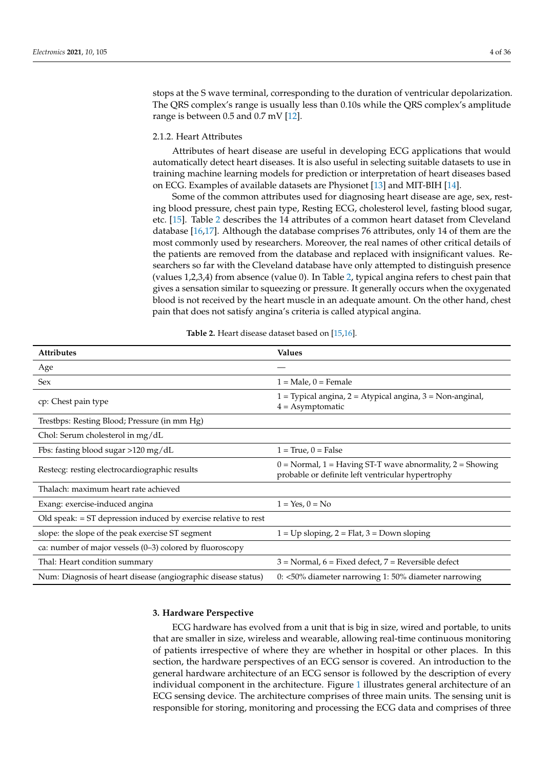stops at the S wave terminal, corresponding to the duration of ventricular depolarization. The QRS complex's range is usually less than 0.10s while the QRS complex's amplitude range is between 0.5 and 0.7 mV [\[12\]](#page-27-8).

# 2.1.2. Heart Attributes

Attributes of heart disease are useful in developing ECG applications that would automatically detect heart diseases. It is also useful in selecting suitable datasets to use in training machine learning models for prediction or interpretation of heart diseases based on ECG. Examples of available datasets are Physionet [\[13\]](#page-27-9) and MIT-BIH [\[14\]](#page-27-10).

Some of the common attributes used for diagnosing heart disease are age, sex, resting blood pressure, chest pain type, Resting ECG, cholesterol level, fasting blood sugar, etc. [\[15\]](#page-27-11). Table [2](#page-3-1) describes the 14 attributes of a common heart dataset from Cleveland database [\[16](#page-27-12)[,17\]](#page-27-13). Although the database comprises 76 attributes, only 14 of them are the most commonly used by researchers. Moreover, the real names of other critical details of the patients are removed from the database and replaced with insignificant values. Researchers so far with the Cleveland database have only attempted to distinguish presence (values 1,2,3,4) from absence (value 0). In Table [2,](#page-3-1) typical angina refers to chest pain that gives a sensation similar to squeezing or pressure. It generally occurs when the oxygenated blood is not received by the heart muscle in an adequate amount. On the other hand, chest pain that does not satisfy angina's criteria is called atypical angina.

<span id="page-3-1"></span>

| <b>Attributes</b>                                                 | <b>Values</b>                                                                                                                         |
|-------------------------------------------------------------------|---------------------------------------------------------------------------------------------------------------------------------------|
| Age                                                               |                                                                                                                                       |
| <b>Sex</b>                                                        | $1 = Male$ , $0 = Female$                                                                                                             |
| cp: Chest pain type                                               | 1 = Typical angina, 2 = Atypical angina, 3 = Non-anginal,<br>$4 =$ Asymptomatic                                                       |
| Trestbps: Resting Blood; Pressure (in mm Hg)                      |                                                                                                                                       |
| Chol: Serum cholesterol in mg/dL                                  |                                                                                                                                       |
| Fbs: fasting blood sugar $>120$ mg/dL                             | $1 = True, 0 = False$                                                                                                                 |
| Restecg: resting electrocardiographic results                     | $0 = \text{Normal}, 1 = \text{Having ST-T wave abnormality}, 2 = \text{Showing}$<br>probable or definite left ventricular hypertrophy |
| Thalach: maximum heart rate achieved                              |                                                                                                                                       |
| Exang: exercise-induced angina                                    | $1 = Yes, 0 = No$                                                                                                                     |
| Old speak: $=$ ST depression induced by exercise relative to rest |                                                                                                                                       |
| slope: the slope of the peak exercise ST segment                  | $1 = Up sloping, 2 = Flat, 3 = Down sloping$                                                                                          |
| ca: number of major vessels (0-3) colored by fluoroscopy          |                                                                                                                                       |
| Thal: Heart condition summary                                     | $3$ = Normal, $6$ = Fixed defect, $7$ = Reversible defect                                                                             |
| Num: Diagnosis of heart disease (angiographic disease status)     | 0: <50% diameter narrowing 1: 50% diameter narrowing                                                                                  |

**Table 2.** Heart disease dataset based on [\[15](#page-27-11)[,16\]](#page-27-12).

#### <span id="page-3-0"></span>**3. Hardware Perspective**

ECG hardware has evolved from a unit that is big in size, wired and portable, to units that are smaller in size, wireless and wearable, allowing real-time continuous monitoring of patients irrespective of where they are whether in hospital or other places. In this section, the hardware perspectives of an ECG sensor is covered. An introduction to the general hardware architecture of an ECG sensor is followed by the description of every individual component in the architecture. Figure [1](#page-4-0) illustrates general architecture of an ECG sensing device. The architecture comprises of three main units. The sensing unit is responsible for storing, monitoring and processing the ECG data and comprises of three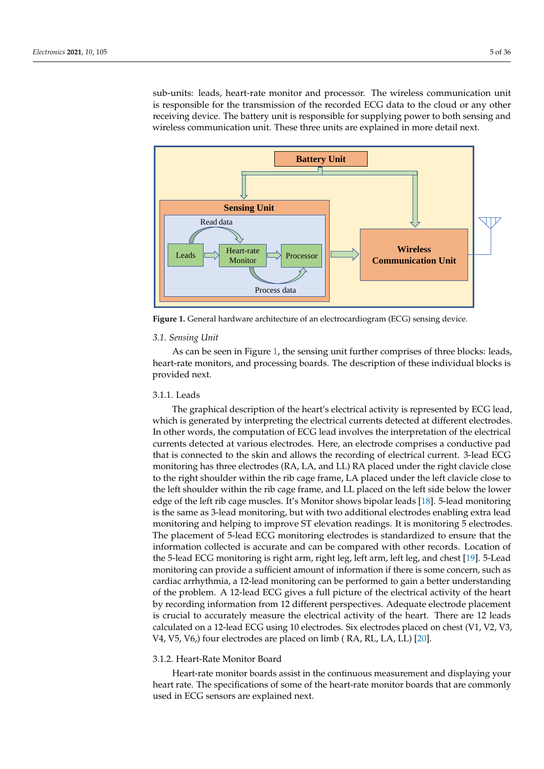sub-units: leads, heart-rate monitor and processor. The wireless communication unit is responsible for the transmission of the recorded ECG data to the cloud or any other receiving device. The battery unit is responsible for supplying power to both sensing and wireless communication unit. These three units are explained in more detail next.

<span id="page-4-0"></span>

**Figure 1.** General hardware architecture of an electrocardiogram (ECG) sensing device.

#### *3.1. Sensing Unit*

As can be seen in Figure [1,](#page-4-0) the sensing unit further comprises of three blocks: leads, heart-rate monitors, and processing boards. The description of these individual blocks is provided next.

# 3.1.1. Leads

The graphical description of the heart's electrical activity is represented by ECG lead, which is generated by interpreting the electrical currents detected at different electrodes. In other words, the computation of ECG lead involves the interpretation of the electrical currents detected at various electrodes. Here, an electrode comprises a conductive pad that is connected to the skin and allows the recording of electrical current. 3-lead ECG monitoring has three electrodes (RA, LA, and LL) RA placed under the right clavicle close to the right shoulder within the rib cage frame, LA placed under the left clavicle close to the left shoulder within the rib cage frame, and LL placed on the left side below the lower edge of the left rib cage muscles. It's Monitor shows bipolar leads [\[18\]](#page-27-14). 5-lead monitoring is the same as 3-lead monitoring, but with two additional electrodes enabling extra lead monitoring and helping to improve ST elevation readings. It is monitoring 5 electrodes. The placement of 5-lead ECG monitoring electrodes is standardized to ensure that the information collected is accurate and can be compared with other records. Location of the 5-lead ECG monitoring is right arm, right leg, left arm, left leg, and chest [\[19\]](#page-27-15). 5-Lead monitoring can provide a sufficient amount of information if there is some concern, such as cardiac arrhythmia, a 12-lead monitoring can be performed to gain a better understanding of the problem. A 12-lead ECG gives a full picture of the electrical activity of the heart by recording information from 12 different perspectives. Adequate electrode placement is crucial to accurately measure the electrical activity of the heart. There are 12 leads calculated on a 12-lead ECG using 10 electrodes. Six electrodes placed on chest (V1, V2, V3, V4, V5, V6,) four electrodes are placed on limb ( RA, RL, LA, LL) [\[20\]](#page-27-16).

# 3.1.2. Heart-Rate Monitor Board

Heart-rate monitor boards assist in the continuous measurement and displaying your heart rate. The specifications of some of the heart-rate monitor boards that are commonly used in ECG sensors are explained next.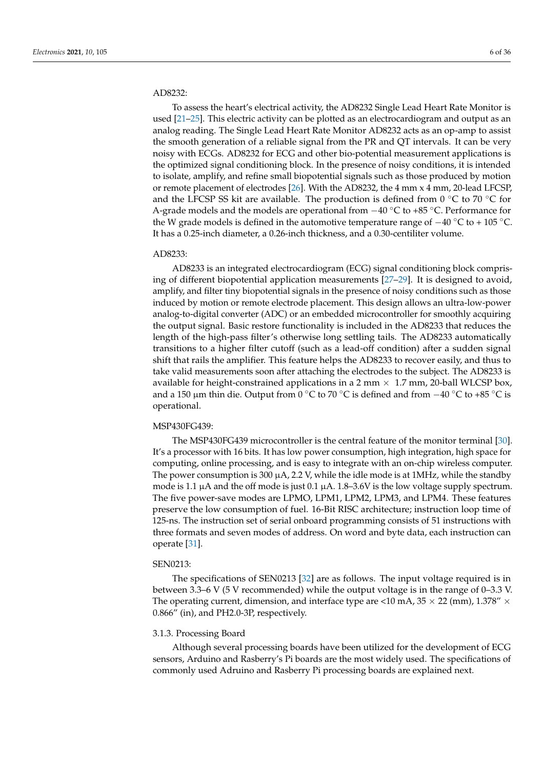# AD8232:

To assess the heart's electrical activity, the AD8232 Single Lead Heart Rate Monitor is used [\[21–](#page-27-17)[25\]](#page-27-18). This electric activity can be plotted as an electrocardiogram and output as an analog reading. The Single Lead Heart Rate Monitor AD8232 acts as an op-amp to assist the smooth generation of a reliable signal from the PR and QT intervals. It can be very noisy with ECGs. AD8232 for ECG and other bio-potential measurement applications is the optimized signal conditioning block. In the presence of noisy conditions, it is intended to isolate, amplify, and refine small biopotential signals such as those produced by motion or remote placement of electrodes [\[26\]](#page-27-19). With the AD8232, the 4 mm x 4 mm, 20-lead LFCSP, and the LFCSP SS kit are available. The production is defined from  $0^{\circ}$ C to 70  $^{\circ}$ C for A-grade models and the models are operational from  $-40\degree$ C to +85 °C. Performance for the W grade models is defined in the automotive temperature range of  $-40\degree\text{C}$  to + 105 °C. It has a 0.25-inch diameter, a 0.26-inch thickness, and a 0.30-centiliter volume.

# AD8233:

AD8233 is an integrated electrocardiogram (ECG) signal conditioning block comprising of different biopotential application measurements [\[27–](#page-27-20)[29\]](#page-27-21). It is designed to avoid, amplify, and filter tiny biopotential signals in the presence of noisy conditions such as those induced by motion or remote electrode placement. This design allows an ultra-low-power analog-to-digital converter (ADC) or an embedded microcontroller for smoothly acquiring the output signal. Basic restore functionality is included in the AD8233 that reduces the length of the high-pass filter's otherwise long settling tails. The AD8233 automatically transitions to a higher filter cutoff (such as a lead-off condition) after a sudden signal shift that rails the amplifier. This feature helps the AD8233 to recover easily, and thus to take valid measurements soon after attaching the electrodes to the subject. The AD8233 is available for height-constrained applications in a 2 mm  $\times$  1.7 mm, 20-ball WLCSP box, and a 150 µm thin die. Output from 0 ◦C to 70 ◦C is defined and from −40 ◦C to +85 ◦C is operational.

# MSP430FG439:

The MSP430FG439 microcontroller is the central feature of the monitor terminal [\[30\]](#page-27-22). It's a processor with 16 bits. It has low power consumption, high integration, high space for computing, online processing, and is easy to integrate with an on-chip wireless computer. The power consumption is 300  $\mu$ A, 2.2 V, while the idle mode is at 1MHz, while the standby mode is 1.1  $\mu$ A and the off mode is just 0.1  $\mu$ A. 1.8–3.6V is the low voltage supply spectrum. The five power-save modes are LPMO, LPM1, LPM2, LPM3, and LPM4. These features preserve the low consumption of fuel. 16-Bit RISC architecture; instruction loop time of 125-ns. The instruction set of serial onboard programming consists of 51 instructions with three formats and seven modes of address. On word and byte data, each instruction can operate [\[31\]](#page-27-23).

## SEN0213:

The specifications of SEN0213 [\[32\]](#page-27-24) are as follows. The input voltage required is in between 3.3–6 V (5 V recommended) while the output voltage is in the range of 0–3.3 V. The operating current, dimension, and interface type are <10 mA,  $35 \times 22$  (mm),  $1.378'' \times$ 0.866" (in), and PH2.0-3P, respectively.

# 3.1.3. Processing Board

Although several processing boards have been utilized for the development of ECG sensors, Arduino and Rasberry's Pi boards are the most widely used. The specifications of commonly used Adruino and Rasberry Pi processing boards are explained next.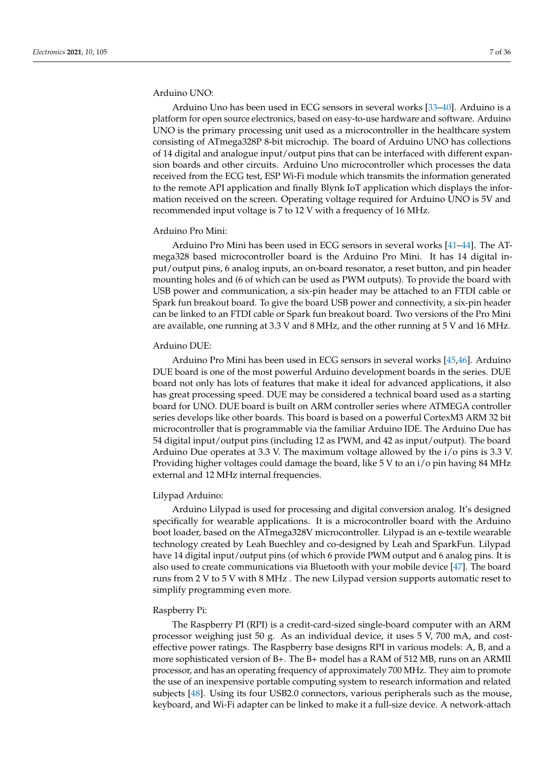# Arduino UNO:

Arduino Uno has been used in ECG sensors in several works [\[33–](#page-27-25)[40\]](#page-28-0). Arduino is a platform for open source electronics, based on easy-to-use hardware and software. Arduino UNO is the primary processing unit used as a microcontroller in the healthcare system consisting of ATmega328P 8-bit microchip. The board of Arduino UNO has collections of 14 digital and analogue input/output pins that can be interfaced with different expansion boards and other circuits. Arduino Uno microcontroller which processes the data received from the ECG test, ESP Wi-Fi module which transmits the information generated to the remote API application and finally Blynk IoT application which displays the information received on the screen. Operating voltage required for Arduino UNO is 5V and recommended input voltage is 7 to 12 V with a frequency of 16 MHz.

#### Arduino Pro Mini:

Arduino Pro Mini has been used in ECG sensors in several works [\[41](#page-28-1)[–44\]](#page-28-2). The ATmega328 based microcontroller board is the Arduino Pro Mini. It has 14 digital input/output pins, 6 analog inputs, an on-board resonator, a reset button, and pin header mounting holes and (6 of which can be used as PWM outputs). To provide the board with USB power and communication, a six-pin header may be attached to an FTDI cable or Spark fun breakout board. To give the board USB power and connectivity, a six-pin header can be linked to an FTDI cable or Spark fun breakout board. Two versions of the Pro Mini are available, one running at 3.3 V and 8 MHz, and the other running at 5 V and 16 MHz.

# Arduino DUE:

Arduino Pro Mini has been used in ECG sensors in several works [\[45](#page-28-3)[,46\]](#page-28-4). Arduino DUE board is one of the most powerful Arduino development boards in the series. DUE board not only has lots of features that make it ideal for advanced applications, it also has great processing speed. DUE may be considered a technical board used as a starting board for UNO. DUE board is built on ARM controller series where ATMEGA controller series develops like other boards. This board is based on a powerful CortexM3 ARM 32 bit microcontroller that is programmable via the familiar Arduino IDE. The Arduino Due has 54 digital input/output pins (including 12 as PWM, and 42 as input/output). The board Arduino Due operates at 3.3 V. The maximum voltage allowed by the i/o pins is 3.3 V. Providing higher voltages could damage the board, like 5 V to an i/o pin having 84 MHz external and 12 MHz internal frequencies.

#### Lilypad Arduino:

Arduino Lilypad is used for processing and digital conversion analog. It's designed specifically for wearable applications. It is a microcontroller board with the Arduino boot loader, based on the ATmega328V microcontroller. Lilypad is an e-textile wearable technology created by Leah Buechley and co-designed by Leah and SparkFun. Lilypad have 14 digital input/output pins (of which 6 provide PWM output and 6 analog pins. It is also used to create communications via Bluetooth with your mobile device [\[47\]](#page-28-5). The board runs from 2 V to 5 V with 8 MHz . The new Lilypad version supports automatic reset to simplify programming even more.

# Raspberry Pi:

The Raspberry PI (RPI) is a credit-card-sized single-board computer with an ARM processor weighing just 50 g. As an individual device, it uses 5 V, 700 mA, and costeffective power ratings. The Raspberry base designs RPI in various models: A, B, and a more sophisticated version of B+. The B+ model has a RAM of 512 MB, runs on an ARMII processor, and has an operating frequency of approximately 700 MHz. They aim to promote the use of an inexpensive portable computing system to research information and related subjects [\[48\]](#page-28-6). Using its four USB2.0 connectors, various peripherals such as the mouse, keyboard, and Wi-Fi adapter can be linked to make it a full-size device. A network-attach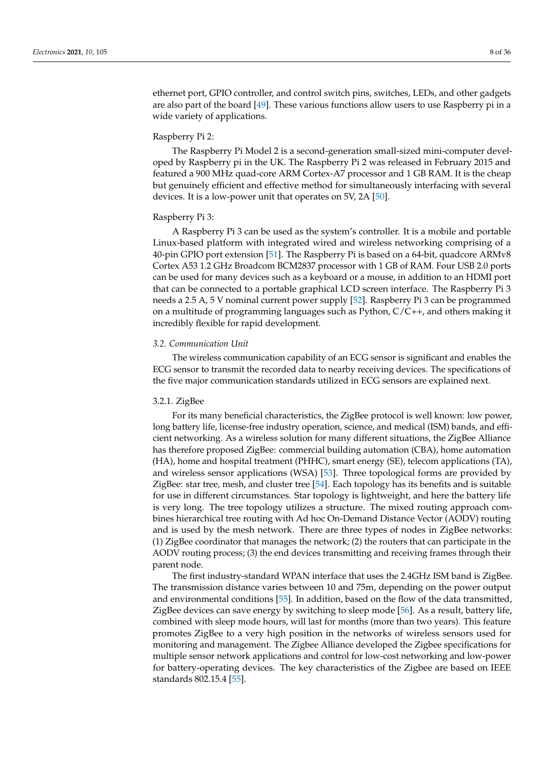ethernet port, GPIO controller, and control switch pins, switches, LEDs, and other gadgets are also part of the board [\[49\]](#page-28-7). These various functions allow users to use Raspberry pi in a wide variety of applications.

#### Raspberry Pi 2:

The Raspberry Pi Model 2 is a second-generation small-sized mini-computer developed by Raspberry pi in the UK. The Raspberry Pi 2 was released in February 2015 and featured a 900 MHz quad-core ARM Cortex-A7 processor and 1 GB RAM. It is the cheap but genuinely efficient and effective method for simultaneously interfacing with several devices. It is a low-power unit that operates on 5V, 2A [\[50\]](#page-28-8).

## Raspberry Pi 3:

A Raspberry Pi 3 can be used as the system's controller. It is a mobile and portable Linux-based platform with integrated wired and wireless networking comprising of a 40-pin GPIO port extension [\[51\]](#page-28-9). The Raspberry Pi is based on a 64-bit, quadcore ARMv8 Cortex A53 1.2 GHz Broadcom BCM2837 processor with 1 GB of RAM. Four USB 2.0 ports can be used for many devices such as a keyboard or a mouse, in addition to an HDMI port that can be connected to a portable graphical LCD screen interface. The Raspberry Pi 3 needs a 2.5 A, 5 V nominal current power supply [\[52\]](#page-28-10). Raspberry Pi 3 can be programmed on a multitude of programming languages such as Python, C/C++, and others making it incredibly flexible for rapid development.

# *3.2. Communication Unit*

The wireless communication capability of an ECG sensor is significant and enables the ECG sensor to transmit the recorded data to nearby receiving devices. The specifications of the five major communication standards utilized in ECG sensors are explained next.

## 3.2.1. ZigBee

For its many beneficial characteristics, the ZigBee protocol is well known: low power, long battery life, license-free industry operation, science, and medical (ISM) bands, and efficient networking. As a wireless solution for many different situations, the ZigBee Alliance has therefore proposed ZigBee: commercial building automation (CBA), home automation (HA), home and hospital treatment (PHHC), smart energy (SE), telecom applications (TA), and wireless sensor applications (WSA) [\[53\]](#page-28-11). Three topological forms are provided by ZigBee: star tree, mesh, and cluster tree [\[54\]](#page-28-12). Each topology has its benefits and is suitable for use in different circumstances. Star topology is lightweight, and here the battery life is very long. The tree topology utilizes a structure. The mixed routing approach combines hierarchical tree routing with Ad hoc On-Demand Distance Vector (AODV) routing and is used by the mesh network. There are three types of nodes in ZigBee networks: (1) ZigBee coordinator that manages the network; (2) the routers that can participate in the AODV routing process; (3) the end devices transmitting and receiving frames through their parent node.

The first industry-standard WPAN interface that uses the 2.4GHz ISM band is ZigBee. The transmission distance varies between 10 and 75m, depending on the power output and environmental conditions [\[55\]](#page-28-13). In addition, based on the flow of the data transmitted, ZigBee devices can save energy by switching to sleep mode [\[56\]](#page-28-14). As a result, battery life, combined with sleep mode hours, will last for months (more than two years). This feature promotes ZigBee to a very high position in the networks of wireless sensors used for monitoring and management. The Zigbee Alliance developed the Zigbee specifications for multiple sensor network applications and control for low-cost networking and low-power for battery-operating devices. The key characteristics of the Zigbee are based on IEEE standards 802.15.4 [\[55\]](#page-28-13).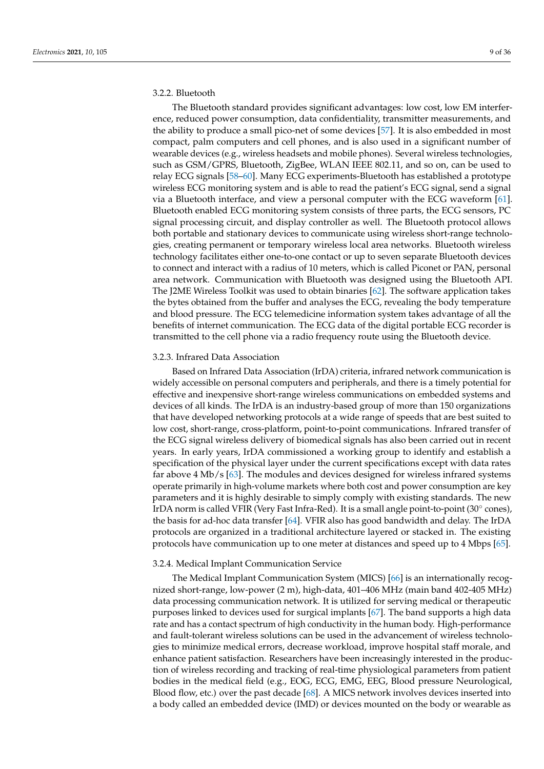# 3.2.2. Bluetooth

The Bluetooth standard provides significant advantages: low cost, low EM interference, reduced power consumption, data confidentiality, transmitter measurements, and the ability to produce a small pico-net of some devices [\[57\]](#page-28-15). It is also embedded in most compact, palm computers and cell phones, and is also used in a significant number of wearable devices (e.g., wireless headsets and mobile phones). Several wireless technologies, such as GSM/GPRS, Bluetooth, ZigBee, WLAN IEEE 802.11, and so on, can be used to relay ECG signals [\[58](#page-28-16)[–60\]](#page-29-0). Many ECG experiments-Bluetooth has established a prototype wireless ECG monitoring system and is able to read the patient's ECG signal, send a signal via a Bluetooth interface, and view a personal computer with the ECG waveform [\[61\]](#page-29-1). Bluetooth enabled ECG monitoring system consists of three parts, the ECG sensors, PC signal processing circuit, and display controller as well. The Bluetooth protocol allows both portable and stationary devices to communicate using wireless short-range technologies, creating permanent or temporary wireless local area networks. Bluetooth wireless technology facilitates either one-to-one contact or up to seven separate Bluetooth devices to connect and interact with a radius of 10 meters, which is called Piconet or PAN, personal area network. Communication with Bluetooth was designed using the Bluetooth API. The J2ME Wireless Toolkit was used to obtain binaries [\[62\]](#page-29-2). The software application takes the bytes obtained from the buffer and analyses the ECG, revealing the body temperature and blood pressure. The ECG telemedicine information system takes advantage of all the benefits of internet communication. The ECG data of the digital portable ECG recorder is transmitted to the cell phone via a radio frequency route using the Bluetooth device.

# 3.2.3. Infrared Data Association

Based on Infrared Data Association (IrDA) criteria, infrared network communication is widely accessible on personal computers and peripherals, and there is a timely potential for effective and inexpensive short-range wireless communications on embedded systems and devices of all kinds. The IrDA is an industry-based group of more than 150 organizations that have developed networking protocols at a wide range of speeds that are best suited to low cost, short-range, cross-platform, point-to-point communications. Infrared transfer of the ECG signal wireless delivery of biomedical signals has also been carried out in recent years. In early years, IrDA commissioned a working group to identify and establish a specification of the physical layer under the current specifications except with data rates far above 4 Mb/s [\[63\]](#page-29-3). The modules and devices designed for wireless infrared systems operate primarily in high-volume markets where both cost and power consumption are key parameters and it is highly desirable to simply comply with existing standards. The new IrDA norm is called VFIR (Very Fast Infra-Red). It is a small angle point-to-point (30◦ cones), the basis for ad-hoc data transfer [\[64\]](#page-29-4). VFIR also has good bandwidth and delay. The IrDA protocols are organized in a traditional architecture layered or stacked in. The existing protocols have communication up to one meter at distances and speed up to 4 Mbps [\[65\]](#page-29-5).

# 3.2.4. Medical Implant Communication Service

The Medical Implant Communication System (MICS) [\[66\]](#page-29-6) is an internationally recognized short-range, low-power (2 m), high-data, 401–406 MHz (main band 402-405 MHz) data processing communication network. It is utilized for serving medical or therapeutic purposes linked to devices used for surgical implants [\[67\]](#page-29-7). The band supports a high data rate and has a contact spectrum of high conductivity in the human body. High-performance and fault-tolerant wireless solutions can be used in the advancement of wireless technologies to minimize medical errors, decrease workload, improve hospital staff morale, and enhance patient satisfaction. Researchers have been increasingly interested in the production of wireless recording and tracking of real-time physiological parameters from patient bodies in the medical field (e.g., EOG, ECG, EMG, EEG, Blood pressure Neurological, Blood flow, etc.) over the past decade [\[68\]](#page-29-8). A MICS network involves devices inserted into a body called an embedded device (IMD) or devices mounted on the body or wearable as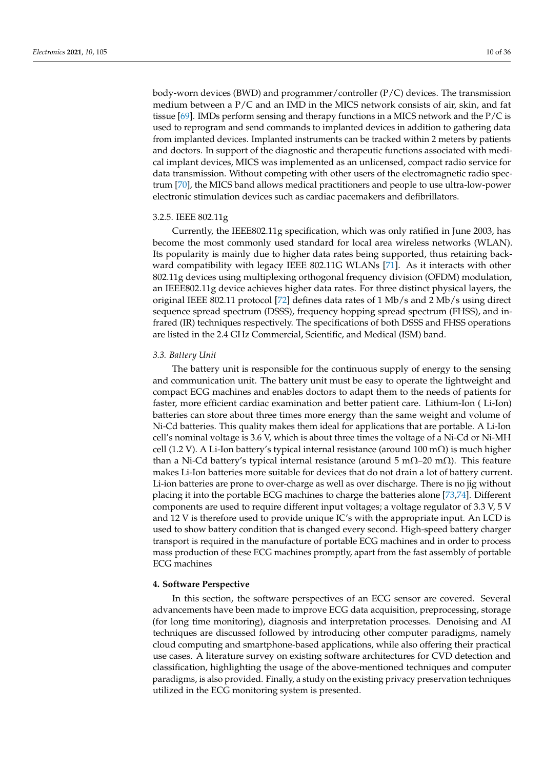body-worn devices (BWD) and programmer/controller (P/C) devices. The transmission medium between a P/C and an IMD in the MICS network consists of air, skin, and fat tissue [\[69\]](#page-29-9). IMDs perform sensing and therapy functions in a MICS network and the  $P/C$  is used to reprogram and send commands to implanted devices in addition to gathering data from implanted devices. Implanted instruments can be tracked within 2 meters by patients and doctors. In support of the diagnostic and therapeutic functions associated with medical implant devices, MICS was implemented as an unlicensed, compact radio service for data transmission. Without competing with other users of the electromagnetic radio spectrum [\[70\]](#page-29-10), the MICS band allows medical practitioners and people to use ultra-low-power

# 3.2.5. IEEE 802.11g

Currently, the IEEE802.11g specification, which was only ratified in June 2003, has become the most commonly used standard for local area wireless networks (WLAN). Its popularity is mainly due to higher data rates being supported, thus retaining backward compatibility with legacy IEEE 802.11G WLANs [\[71\]](#page-29-11). As it interacts with other 802.11g devices using multiplexing orthogonal frequency division (OFDM) modulation, an IEEE802.11g device achieves higher data rates. For three distinct physical layers, the original IEEE 802.11 protocol [\[72\]](#page-29-12) defines data rates of 1 Mb/s and 2 Mb/s using direct sequence spread spectrum (DSSS), frequency hopping spread spectrum (FHSS), and infrared (IR) techniques respectively. The specifications of both DSSS and FHSS operations are listed in the 2.4 GHz Commercial, Scientific, and Medical (ISM) band.

electronic stimulation devices such as cardiac pacemakers and defibrillators.

## *3.3. Battery Unit*

The battery unit is responsible for the continuous supply of energy to the sensing and communication unit. The battery unit must be easy to operate the lightweight and compact ECG machines and enables doctors to adapt them to the needs of patients for faster, more efficient cardiac examination and better patient care. Lithium-Ion ( Li-Ion) batteries can store about three times more energy than the same weight and volume of Ni-Cd batteries. This quality makes them ideal for applications that are portable. A Li-Ion cell's nominal voltage is 3.6 V, which is about three times the voltage of a Ni-Cd or Ni-MH cell (1.2 V). A Li-Ion battery's typical internal resistance (around 100 m $\Omega$ ) is much higher than a Ni-Cd battery's typical internal resistance (around 5 mΩ–20 mΩ). This feature makes Li-Ion batteries more suitable for devices that do not drain a lot of battery current. Li-ion batteries are prone to over-charge as well as over discharge. There is no jig without placing it into the portable ECG machines to charge the batteries alone [\[73,](#page-29-13)[74\]](#page-29-14). Different components are used to require different input voltages; a voltage regulator of 3.3 V, 5 V and 12 V is therefore used to provide unique IC's with the appropriate input. An LCD is used to show battery condition that is changed every second. High-speed battery charger transport is required in the manufacture of portable ECG machines and in order to process mass production of these ECG machines promptly, apart from the fast assembly of portable ECG machines

# <span id="page-9-0"></span>**4. Software Perspective**

In this section, the software perspectives of an ECG sensor are covered. Several advancements have been made to improve ECG data acquisition, preprocessing, storage (for long time monitoring), diagnosis and interpretation processes. Denoising and AI techniques are discussed followed by introducing other computer paradigms, namely cloud computing and smartphone-based applications, while also offering their practical use cases. A literature survey on existing software architectures for CVD detection and classification, highlighting the usage of the above-mentioned techniques and computer paradigms, is also provided. Finally, a study on the existing privacy preservation techniques utilized in the ECG monitoring system is presented.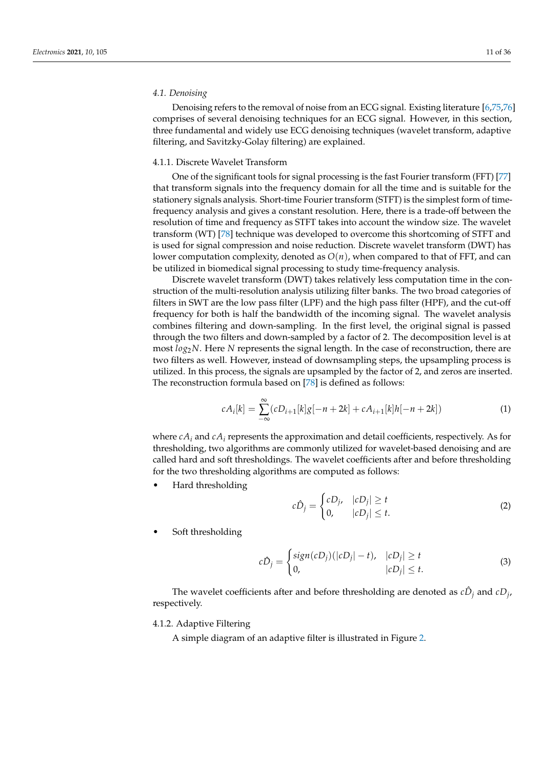## *4.1. Denoising*

Denoising refers to the removal of noise from an ECG signal. Existing literature [\[6](#page-27-2)[,75](#page-29-15)[,76\]](#page-29-16) comprises of several denoising techniques for an ECG signal. However, in this section, three fundamental and widely use ECG denoising techniques (wavelet transform, adaptive filtering, and Savitzky-Golay filtering) are explained.

## 4.1.1. Discrete Wavelet Transform

One of the significant tools for signal processing is the fast Fourier transform (FFT) [\[77\]](#page-29-17) that transform signals into the frequency domain for all the time and is suitable for the stationery signals analysis. Short-time Fourier transform (STFT) is the simplest form of timefrequency analysis and gives a constant resolution. Here, there is a trade-off between the resolution of time and frequency as STFT takes into account the window size. The wavelet transform (WT) [\[78\]](#page-29-18) technique was developed to overcome this shortcoming of STFT and is used for signal compression and noise reduction. Discrete wavelet transform (DWT) has lower computation complexity, denoted as  $O(n)$ , when compared to that of FFT, and can be utilized in biomedical signal processing to study time-frequency analysis.

Discrete wavelet transform (DWT) takes relatively less computation time in the construction of the multi-resolution analysis utilizing filter banks. The two broad categories of filters in SWT are the low pass filter (LPF) and the high pass filter (HPF), and the cut-off frequency for both is half the bandwidth of the incoming signal. The wavelet analysis combines filtering and down-sampling. In the first level, the original signal is passed through the two filters and down-sampled by a factor of 2. The decomposition level is at most  $log_2 N$ . Here *N* represents the signal length. In the case of reconstruction, there are two filters as well. However, instead of downsampling steps, the upsampling process is utilized. In this process, the signals are upsampled by the factor of 2, and zeros are inserted. The reconstruction formula based on [\[78\]](#page-29-18) is defined as follows:

$$
cA_i[k] = \sum_{-\infty}^{\infty} (cD_{i+1}[k]g[-n+2k] + cA_{i+1}[k]h[-n+2k])
$$
\n(1)

where  $cA_i$  and  $cA_i$  represents the approximation and detail coefficients, respectively. As for thresholding, two algorithms are commonly utilized for wavelet-based denoising and are called hard and soft thresholdings. The wavelet coefficients after and before thresholding for the two thresholding algorithms are computed as follows:

• Hard thresholding

$$
c\hat{D}_j = \begin{cases} cD_j, & |cD_j| \ge t \\ 0, & |cD_j| \le t. \end{cases} \tag{2}
$$

Soft thresholding

$$
c\hat{D}_j = \begin{cases} sign(cD_j)(|cD_j| - t), & |cD_j| \ge t \\ 0, & |cD_j| \le t. \end{cases}
$$
(3)

The wavelet coefficients after and before thresholding are denoted as  $c\hat{D}_j$  and  $cD_j$ , respectively.

## 4.1.2. Adaptive Filtering

A simple diagram of an adaptive filter is illustrated in Figure [2.](#page-11-0)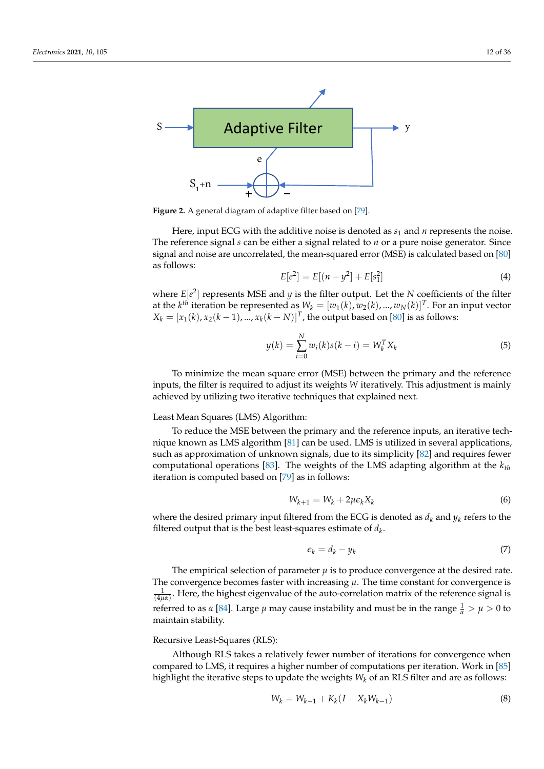<span id="page-11-0"></span>

**Figure 2.** A general diagram of adaptive filter based on [\[79\]](#page-29-19).

Here, input ECG with the additive noise is denoted as  $s_1$  and  $n$  represents the noise. The reference signal *s* can be either a signal related to *n* or a pure noise generator. Since signal and noise are uncorrelated, the mean-squared error (MSE) is calculated based on [\[80\]](#page-29-20) as follows:

$$
E[e^2] = E[(n - y^2] + E[s_1^2]
$$
\n(4)

where  $E[e^2]$  represents MSE and *y* is the filter output. Let the *N* coefficients of the filter at the  $k^{th}$  iteration be represented as  $W_k = [w_1(k), w_2(k), ..., w_N(k)]^T$ . For an input vector  $X_k = [x_1(k), x_2(k-1), ..., x_k(k-N)]^T$ , the output based on [\[80\]](#page-29-20) is as follows:

$$
y(k) = \sum_{i=0}^{N} w_i(k)s(k-i) = W_k^T X_k
$$
\n(5)

To minimize the mean square error (MSE) between the primary and the reference inputs, the filter is required to adjust its weights *W* iteratively. This adjustment is mainly achieved by utilizing two iterative techniques that explained next.

## Least Mean Squares (LMS) Algorithm:

To reduce the MSE between the primary and the reference inputs, an iterative technique known as LMS algorithm [\[81\]](#page-29-21) can be used. LMS is utilized in several applications, such as approximation of unknown signals, due to its simplicity [\[82\]](#page-29-22) and requires fewer computational operations [\[83\]](#page-29-23). The weights of the LMS adapting algorithm at the *kth* iteration is computed based on [\[79\]](#page-29-19) as in follows:

$$
W_{k+1} = W_k + 2\mu\epsilon_k X_k \tag{6}
$$

where the desired primary input filtered from the ECG is denoted as  $d_k$  and  $y_k$  refers to the filtered output that is the best least-squares estimate of  $d_k$ .

$$
\epsilon_k = d_k - y_k \tag{7}
$$

The empirical selection of parameter  $\mu$  is to produce convergence at the desired rate. The convergence becomes faster with increasing  $\mu$ . The time constant for convergence is  $\frac{1}{(4\mu\alpha)}$ . Here, the highest eigenvalue of the auto-correlation matrix of the reference signal is referred to as *α* [\[84\]](#page-29-24). Large *μ* may cause instability and must be in the range  $\frac{1}{\alpha} > \mu > 0$  to maintain stability.

# Recursive Least-Squares (RLS):

Although RLS takes a relatively fewer number of iterations for convergence when compared to LMS, it requires a higher number of computations per iteration. Work in [\[85\]](#page-29-25) highlight the iterative steps to update the weights *W<sup>k</sup>* of an RLS filter and are as follows:

$$
W_k = W_{k-1} + K_k(I - X_k W_{k-1})
$$
\n(8)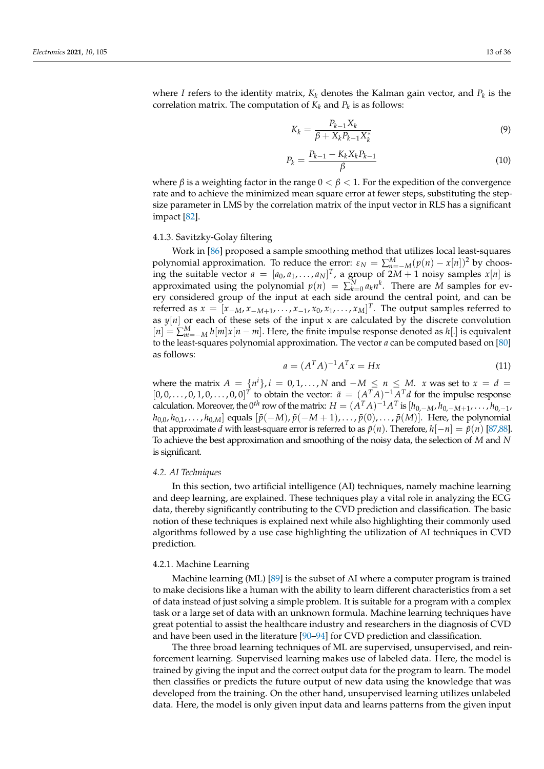where *I* refers to the identity matrix,  $K_k$  denotes the Kalman gain vector, and  $P_k$  is the correlation matrix. The computation of  $K_k$  and  $P_k$  is as follows:

$$
K_k = \frac{P_{k-1}X_k}{\beta + X_k P_{k-1} X_k^*}
$$
\n(9)

$$
P_k = \frac{P_{k-1} - K_k X_k P_{k-1}}{\beta} \tag{10}
$$

where  $\beta$  is a weighting factor in the range  $0 < \beta < 1$ . For the expedition of the convergence rate and to achieve the minimized mean square error at fewer steps, substituting the stepsize parameter in LMS by the correlation matrix of the input vector in RLS has a significant impact [\[82\]](#page-29-22).

#### 4.1.3. Savitzky-Golay filtering

Work in [\[86\]](#page-29-26) proposed a sample smoothing method that utilizes local least-squares polynomial approximation. To reduce the error:  $\varepsilon_N = \sum_{n=-M}^{M} (p(n) - x[n])^2$  by choosing the suitable vector  $a = [a_0, a_1, \ldots, a_N]^T$ , a group of  $2M + 1$  noisy samples  $x[n]$  is approximated using the polynomial  $p(n) = \sum_{k=0}^{N} a_k n^k$ . There are *M* samples for every considered group of the input at each side around the central point, and can be referred as  $x = [x_{-M}, x_{-M+1}, \ldots, x_{-1}, x_0, x_1, \ldots, x_M]^T$ . The output samples referred to as  $y[n]$  or each of these sets of the input x are calculated by the discrete convolution  $[n] = \sum_{m=-M}^{M} h[m]x[n-m]$ . Here, the finite impulse response denoted as  $h[.]$  is equivalent to the least-squares polynomial approximation. The vector *a* can be computed based on [\[80\]](#page-29-20) as follows:

$$
a = (AT A)^{-1} AT x = Hx
$$
\n(11)

where the matrix  $A = \{n^i\}, i = 0, 1, ..., N$  and  $-M \le n \le M$ . *x* was set to  $x = d$  $[0, 0, \ldots, 0, 1, 0, \ldots, 0, 0]^T$  to obtain the vector:  $\tilde{a} = (A^T A)^{-1} A^T d$  for the impulse response calculation. Moreover, the 0<sup>th</sup> row of the matrix:  $H = (A^T A)^{-1} A^T$  is  $[h_{0,-M}, h_{0,-M+1}, \ldots, h_{0,-1},$  $h_{0,0}, h_{0,1}, \ldots, h_{0,M}$  equals  $[\tilde{p}(-M), \tilde{p}(-M+1), \ldots, \tilde{p}(0), \ldots, \tilde{p}(M)]$ . Here, the polynomial that approximate *d* with least-square error is referred to as  $\tilde{p}(n)$ . Therefore,  $h[-n] = \tilde{p}(n)$  [\[87,](#page-29-27)[88\]](#page-30-0). To achieve the best approximation and smoothing of the noisy data, the selection of *M* and *N* is significant.

#### *4.2. AI Techniques*

In this section, two artificial intelligence (AI) techniques, namely machine learning and deep learning, are explained. These techniques play a vital role in analyzing the ECG data, thereby significantly contributing to the CVD prediction and classification. The basic notion of these techniques is explained next while also highlighting their commonly used algorithms followed by a use case highlighting the utilization of AI techniques in CVD prediction.

# 4.2.1. Machine Learning

Machine learning (ML) [\[89\]](#page-30-1) is the subset of AI where a computer program is trained to make decisions like a human with the ability to learn different characteristics from a set of data instead of just solving a simple problem. It is suitable for a program with a complex task or a large set of data with an unknown formula. Machine learning techniques have great potential to assist the healthcare industry and researchers in the diagnosis of CVD and have been used in the literature [\[90–](#page-30-2)[94\]](#page-30-3) for CVD prediction and classification.

The three broad learning techniques of ML are supervised, unsupervised, and reinforcement learning. Supervised learning makes use of labeled data. Here, the model is trained by giving the input and the correct output data for the program to learn. The model then classifies or predicts the future output of new data using the knowledge that was developed from the training. On the other hand, unsupervised learning utilizes unlabeled data. Here, the model is only given input data and learns patterns from the given input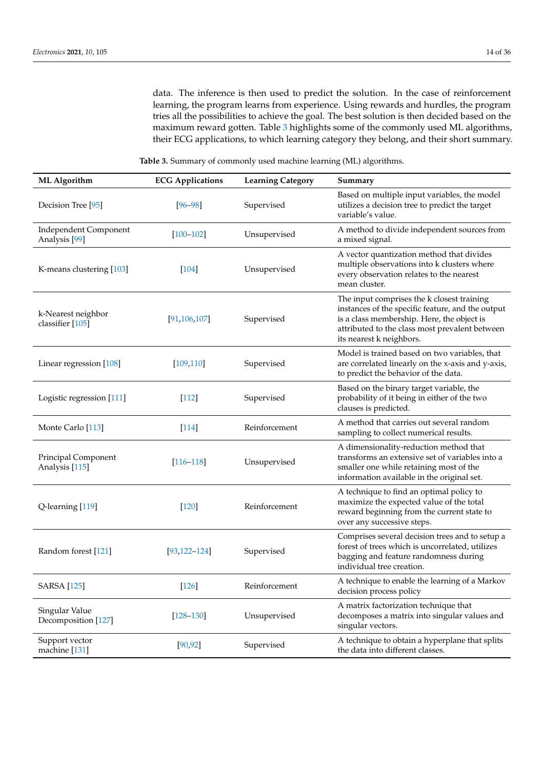data. The inference is then used to predict the solution. In the case of reinforcement learning, the program learns from experience. Using rewards and hurdles, the program tries all the possibilities to achieve the goal. The best solution is then decided based on the maximum reward gotten. Table [3](#page-13-0) highlights some of the commonly used ML algorithms, their ECG applications, to which learning category they belong, and their short summary.

**Table 3.** Summary of commonly used machine learning (ML) algorithms.

<span id="page-13-0"></span>

| <b>ML</b> Algorithm                               | <b>ECG Applications</b> | <b>Learning Category</b> | Summary                                                                                                                                                                                                                     |
|---------------------------------------------------|-------------------------|--------------------------|-----------------------------------------------------------------------------------------------------------------------------------------------------------------------------------------------------------------------------|
| Decision Tree [95]                                | $[96 - 98]$             | Supervised               | Based on multiple input variables, the model<br>utilizes a decision tree to predict the target<br>variable's value.                                                                                                         |
| Independent Component<br>Analysis <sup>[99]</sup> | $[100 - 102]$           | Unsupervised             | A method to divide independent sources from<br>a mixed signal.                                                                                                                                                              |
| K-means clustering [103]                          | $[104]$                 | Unsupervised             | A vector quantization method that divides<br>multiple observations into k clusters where<br>every observation relates to the nearest<br>mean cluster.                                                                       |
| k-Nearest neighbor<br>classifier [105]            | [91, 106, 107]          | Supervised               | The input comprises the k closest training<br>instances of the specific feature, and the output<br>is a class membership. Here, the object is<br>attributed to the class most prevalent between<br>its nearest k neighbors. |
| Linear regression [108]                           | [109, 110]              | Supervised               | Model is trained based on two variables, that<br>are correlated linearly on the x-axis and y-axis,<br>to predict the behavior of the data.                                                                                  |
| Logistic regression [111]                         | $[112]$                 | Supervised               | Based on the binary target variable, the<br>probability of it being in either of the two<br>clauses is predicted.                                                                                                           |
| Monte Carlo [113]                                 | $[114]$                 | Reinforcement            | A method that carries out several random<br>sampling to collect numerical results.                                                                                                                                          |
| Principal Component<br>Analysis [115]             | $[116 - 118]$           | Unsupervised             | A dimensionality-reduction method that<br>transforms an extensive set of variables into a<br>smaller one while retaining most of the<br>information available in the original set.                                          |
| Q-learning [119]                                  | $[120]$                 | Reinforcement            | A technique to find an optimal policy to<br>maximize the expected value of the total<br>reward beginning from the current state to<br>over any successive steps.                                                            |
| Random forest [121]                               | $[93, 122 - 124]$       | Supervised               | Comprises several decision trees and to setup a<br>forest of trees which is uncorrelated, utilizes<br>bagging and feature randomness during<br>individual tree creation.                                                    |
| <b>SARSA</b> [125]                                | $[126]$                 | Reinforcement            | A technique to enable the learning of a Markov<br>decision process policy                                                                                                                                                   |
| Singular Value<br>Decomposition [127]             | $[128 - 130]$           | Unsupervised             | A matrix factorization technique that<br>decomposes a matrix into singular values and<br>singular vectors.                                                                                                                  |
| Support vector<br>machine [131]                   | [90, 92]                | Supervised               | A technique to obtain a hyperplane that splits<br>the data into different classes.                                                                                                                                          |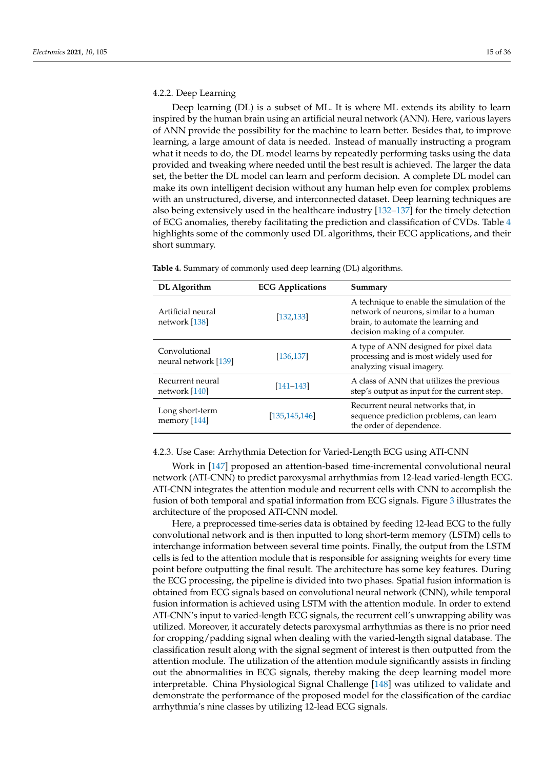# 4.2.2. Deep Learning

Deep learning (DL) is a subset of ML. It is where ML extends its ability to learn inspired by the human brain using an artificial neural network (ANN). Here, various layers of ANN provide the possibility for the machine to learn better. Besides that, to improve learning, a large amount of data is needed. Instead of manually instructing a program what it needs to do, the DL model learns by repeatedly performing tasks using the data provided and tweaking where needed until the best result is achieved. The larger the data set, the better the DL model can learn and perform decision. A complete DL model can make its own intelligent decision without any human help even for complex problems with an unstructured, diverse, and interconnected dataset. Deep learning techniques are also being extensively used in the healthcare industry [\[132–](#page-31-14)[137\]](#page-31-15) for the timely detection of ECG anomalies, thereby facilitating the prediction and classification of CVDs. Table [4](#page-14-0) highlights some of the commonly used DL algorithms, their ECG applications, and their short summary.

<span id="page-14-0"></span>**Table 4.** Summary of commonly used deep learning (DL) algorithms.

| DL Algorithm                          | <b>ECG Applications</b> | Summary                                                                                                                                                        |
|---------------------------------------|-------------------------|----------------------------------------------------------------------------------------------------------------------------------------------------------------|
| Artificial neural<br>network [138]    | [132, 133]              | A technique to enable the simulation of the<br>network of neurons, similar to a human<br>brain, to automate the learning and<br>decision making of a computer. |
| Convolutional<br>neural network [139] | [136, 137]              | A type of ANN designed for pixel data<br>processing and is most widely used for<br>analyzing visual imagery.                                                   |
| Recurrent neural<br>network [140]     | $[141 - 143]$           | A class of ANN that utilizes the previous<br>step's output as input for the current step.                                                                      |
| Long short-term<br>memory [144]       | [135, 145, 146]         | Recurrent neural networks that, in<br>sequence prediction problems, can learn<br>the order of dependence.                                                      |

4.2.3. Use Case: Arrhythmia Detection for Varied-Length ECG using ATI-CNN

Work in [\[147\]](#page-32-4) proposed an attention-based time-incremental convolutional neural network (ATI-CNN) to predict paroxysmal arrhythmias from 12-lead varied-length ECG. ATI-CNN integrates the attention module and recurrent cells with CNN to accomplish the fusion of both temporal and spatial information from ECG signals. Figure [3](#page-15-0) illustrates the architecture of the proposed ATI-CNN model.

Here, a preprocessed time-series data is obtained by feeding 12-lead ECG to the fully convolutional network and is then inputted to long short-term memory (LSTM) cells to interchange information between several time points. Finally, the output from the LSTM cells is fed to the attention module that is responsible for assigning weights for every time point before outputting the final result. The architecture has some key features. During the ECG processing, the pipeline is divided into two phases. Spatial fusion information is obtained from ECG signals based on convolutional neural network (CNN), while temporal fusion information is achieved using LSTM with the attention module. In order to extend ATI-CNN's input to varied-length ECG signals, the recurrent cell's unwrapping ability was utilized. Moreover, it accurately detects paroxysmal arrhythmias as there is no prior need for cropping/padding signal when dealing with the varied-length signal database. The classification result along with the signal segment of interest is then outputted from the attention module. The utilization of the attention module significantly assists in finding out the abnormalities in ECG signals, thereby making the deep learning model more interpretable. China Physiological Signal Challenge [\[148\]](#page-32-5) was utilized to validate and demonstrate the performance of the proposed model for the classification of the cardiac arrhythmia's nine classes by utilizing 12-lead ECG signals.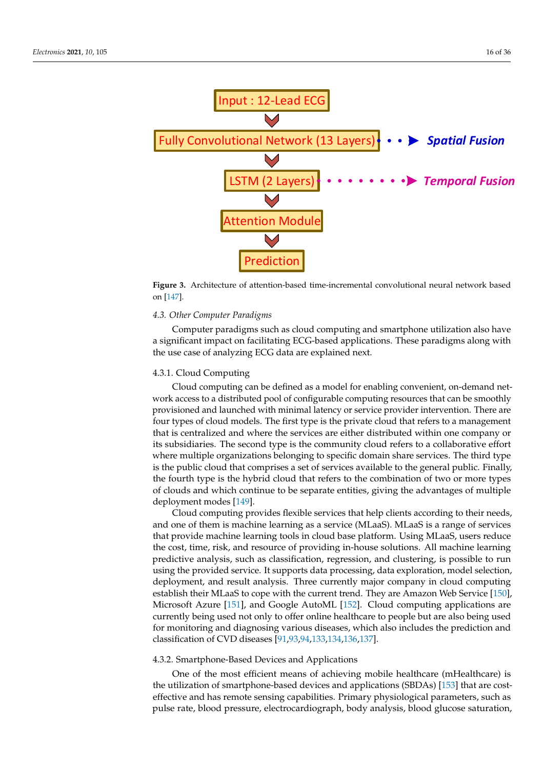<span id="page-15-0"></span>

**Figure 3.** Architecture of attention-based time-incremental convolutional neural network based on [\[147\]](#page-32-4).

## *4.3. Other Computer Paradigms*

Computer paradigms such as cloud computing and smartphone utilization also have a significant impact on facilitating ECG-based applications. These paradigms along with the use case of analyzing ECG data are explained next.

## 4.3.1. Cloud Computing

Cloud computing can be defined as a model for enabling convenient, on-demand network access to a distributed pool of configurable computing resources that can be smoothly provisioned and launched with minimal latency or service provider intervention. There are four types of cloud models. The first type is the private cloud that refers to a management that is centralized and where the services are either distributed within one company or its subsidiaries. The second type is the community cloud refers to a collaborative effort where multiple organizations belonging to specific domain share services. The third type is the public cloud that comprises a set of services available to the general public. Finally, the fourth type is the hybrid cloud that refers to the combination of two or more types of clouds and which continue to be separate entities, giving the advantages of multiple deployment modes [\[149\]](#page-32-6).

Cloud computing provides flexible services that help clients according to their needs, and one of them is machine learning as a service (MLaaS). MLaaS is a range of services that provide machine learning tools in cloud base platform. Using MLaaS, users reduce the cost, time, risk, and resource of providing in-house solutions. All machine learning predictive analysis, such as classification, regression, and clustering, is possible to run using the provided service. It supports data processing, data exploration, model selection, deployment, and result analysis. Three currently major company in cloud computing establish their MLaaS to cope with the current trend. They are Amazon Web Service [\[150\]](#page-32-7), Microsoft Azure [\[151\]](#page-32-8), and Google AutoML [\[152\]](#page-32-9). Cloud computing applications are currently being used not only to offer online healthcare to people but are also being used for monitoring and diagnosing various diseases, which also includes the prediction and classification of CVD diseases [\[91](#page-30-13)[,93](#page-30-23)[,94](#page-30-3)[,133,](#page-31-17)[134,](#page-31-23)[136,](#page-31-19)[137\]](#page-31-15).

## 4.3.2. Smartphone-Based Devices and Applications

One of the most efficient means of achieving mobile healthcare (mHealthcare) is the utilization of smartphone-based devices and applications (SBDAs) [\[153\]](#page-32-10) that are costeffective and has remote sensing capabilities. Primary physiological parameters, such as pulse rate, blood pressure, electrocardiograph, body analysis, blood glucose saturation,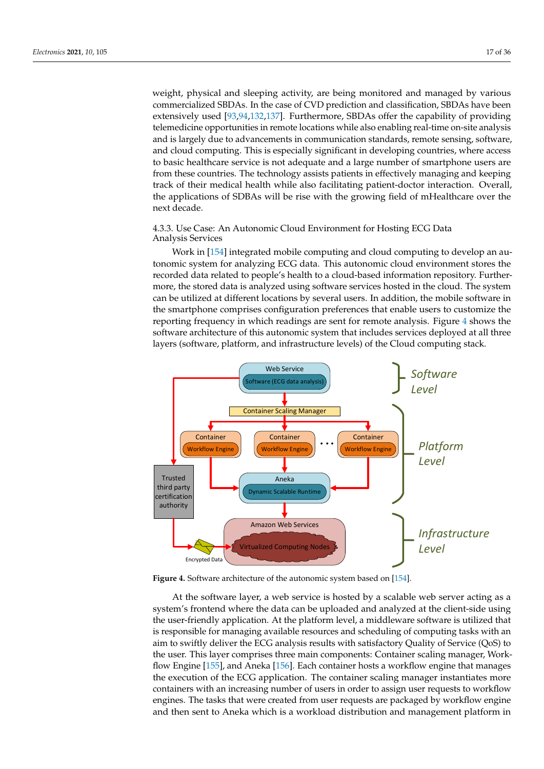weight, physical and sleeping activity, are being monitored and managed by various commercialized SBDAs. In the case of CVD prediction and classification, SBDAs have been extensively used [\[93](#page-30-23)[,94](#page-30-3)[,132](#page-31-14)[,137\]](#page-31-15). Furthermore, SBDAs offer the capability of providing telemedicine opportunities in remote locations while also enabling real-time on-site analysis and is largely due to advancements in communication standards, remote sensing, software, and cloud computing. This is especially significant in developing countries, where access to basic healthcare service is not adequate and a large number of smartphone users are from these countries. The technology assists patients in effectively managing and keeping track of their medical health while also facilitating patient-doctor interaction. Overall, the applications of SDBAs will be rise with the growing field of mHealthcare over the next decade.

4.3.3. Use Case: An Autonomic Cloud Environment for Hosting ECG Data Analysis Services

Work in [\[154\]](#page-32-11) integrated mobile computing and cloud computing to develop an autonomic system for analyzing ECG data. This autonomic cloud environment stores the recorded data related to people's health to a cloud-based information repository. Furthermore, the stored data is analyzed using software services hosted in the cloud. The system can be utilized at different locations by several users. In addition, the mobile software in the smartphone comprises configuration preferences that enable users to customize the reporting frequency in which readings are sent for remote analysis. Figure [4](#page-16-0) shows the software architecture of this autonomic system that includes services deployed at all three layers (software, platform, and infrastructure levels) of the Cloud computing stack.

<span id="page-16-0"></span>

**Figure 4.** Software architecture of the autonomic system based on [\[154\]](#page-32-11).

At the software layer, a web service is hosted by a scalable web server acting as a system's frontend where the data can be uploaded and analyzed at the client-side using the user-friendly application. At the platform level, a middleware software is utilized that is responsible for managing available resources and scheduling of computing tasks with an aim to swiftly deliver the ECG analysis results with satisfactory Quality of Service (QoS) to the user. This layer comprises three main components: Container scaling manager, Workflow Engine [\[155\]](#page-32-12), and Aneka [\[156\]](#page-32-13). Each container hosts a workflow engine that manages the execution of the ECG application. The container scaling manager instantiates more containers with an increasing number of users in order to assign user requests to workflow engines. The tasks that were created from user requests are packaged by workflow engine and then sent to Aneka which is a workload distribution and management platform in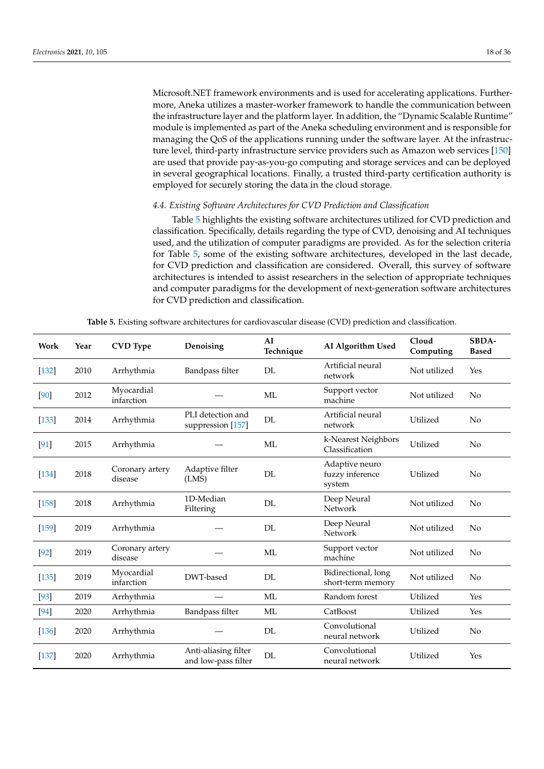Microsoft.NET framework environments and is used for accelerating applications. Furthermore, Aneka utilizes a master-worker framework to handle the communication between the infrastructure layer and the platform layer. In addition, the "Dynamic Scalable Runtime" module is implemented as part of the Aneka scheduling environment and is responsible for managing the QoS of the applications running under the software layer. At the infrastructure level, third-party infrastructure service providers such as Amazon web services [\[150\]](#page-32-7) are used that provide pay-as-you-go computing and storage services and can be deployed in several geographical locations. Finally, a trusted third-party certification authority is employed for securely storing the data in the cloud storage.

# *4.4. Existing Software Architectures for CVD Prediction and Classification*

Table [5](#page-17-0) highlights the existing software architectures utilized for CVD prediction and classification. Specifically, details regarding the type of CVD, denoising and AI techniques used, and the utilization of computer paradigms are provided. As for the selection criteria for Table [5,](#page-17-0) some of the existing software architectures, developed in the last decade, for CVD prediction and classification are considered. Overall, this survey of software architectures is intended to assist researchers in the selection of appropriate techniques and computer paradigms for the development of next-generation software architectures for CVD prediction and classification.

| Table 5. Existing software architectures for cardiovascular disease (CVD) prediction and classification. |  |  |  |
|----------------------------------------------------------------------------------------------------------|--|--|--|
|----------------------------------------------------------------------------------------------------------|--|--|--|

<span id="page-17-0"></span>

| Work    | Year | <b>CVD</b> Type            | Denoising                                   | AI<br>Technique | AI Algorithm Used                           | Cloud<br>Computing | SBDA-<br><b>Based</b> |
|---------|------|----------------------------|---------------------------------------------|-----------------|---------------------------------------------|--------------------|-----------------------|
| $[132]$ | 2010 | Arrhythmia                 | Bandpass filter                             | DL              | Artificial neural<br>network                | Not utilized       | Yes                   |
| [90]    | 2012 | Myocardial<br>infarction   |                                             | ML              | Support vector<br>machine                   | Not utilized       | No                    |
| $[133]$ | 2014 | Arrhythmia                 | PLI detection and<br>suppression [157]      | DL              | Artificial neural<br>network                | Utilized           | No                    |
| [91]    | 2015 | Arrhythmia                 |                                             | ML              | k-Nearest Neighbors<br>Classification       | Utilized           | No                    |
| $[134]$ | 2018 | Coronary artery<br>disease | Adaptive filter<br>(LMS)                    | DL              | Adaptive neuro<br>fuzzy inference<br>system | Utilized           | No                    |
| $[158]$ | 2018 | Arrhythmia                 | 1D-Median<br>Filtering                      | DL              | Deep Neural<br><b>Network</b>               | Not utilized       | No                    |
| $[159]$ | 2019 | Arrhythmia                 |                                             | DL              | Deep Neural<br><b>Network</b>               | Not utilized       | No                    |
| $[92]$  | 2019 | Coronary artery<br>disease |                                             | ML              | Support vector<br>machine                   | Not utilized       | No                    |
| $[135]$ | 2019 | Myocardial<br>infarction   | DWT-based                                   | DL              | Bidirectional, long<br>short-term memory    | Not utilized       | No                    |
| $[93]$  | 2019 | Arrhythmia                 |                                             | ML              | Random forest                               | Utilized           | Yes                   |
| [94]    | 2020 | Arrhythmia                 | Bandpass filter                             | ML              | CatBoost                                    | Utilized           | Yes                   |
| $[136]$ | 2020 | Arrhythmia                 |                                             | DL              | Convolutional<br>neural network             | Utilized           | No                    |
| $[137]$ | 2020 | Arrhythmia                 | Anti-aliasing filter<br>and low-pass filter | DL              | Convolutional<br>neural network             | Utilized           | Yes                   |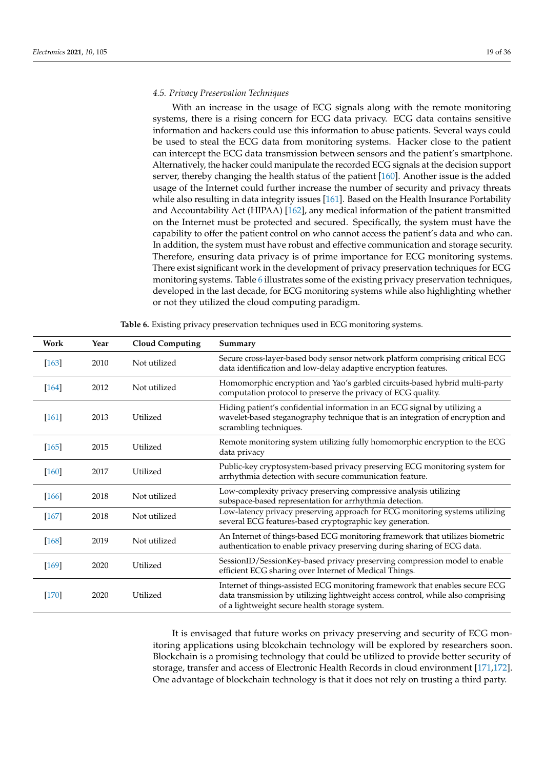# *4.5. Privacy Preservation Techniques*

With an increase in the usage of ECG signals along with the remote monitoring systems, there is a rising concern for ECG data privacy. ECG data contains sensitive information and hackers could use this information to abuse patients. Several ways could be used to steal the ECG data from monitoring systems. Hacker close to the patient can intercept the ECG data transmission between sensors and the patient's smartphone. Alternatively, the hacker could manipulate the recorded ECG signals at the decision support server, thereby changing the health status of the patient [\[160\]](#page-32-17). Another issue is the added usage of the Internet could further increase the number of security and privacy threats while also resulting in data integrity issues [\[161\]](#page-32-18). Based on the Health Insurance Portability and Accountability Act (HIPAA) [\[162\]](#page-32-19), any medical information of the patient transmitted on the Internet must be protected and secured. Specifically, the system must have the capability to offer the patient control on who cannot access the patient's data and who can. In addition, the system must have robust and effective communication and storage security. Therefore, ensuring data privacy is of prime importance for ECG monitoring systems. There exist significant work in the development of privacy preservation techniques for ECG monitoring systems. Table [6](#page-18-0) illustrates some of the existing privacy preservation techniques, developed in the last decade, for ECG monitoring systems while also highlighting whether or not they utilized the cloud computing paradigm.

<span id="page-18-0"></span>

| Work    | Year | <b>Cloud Computing</b> | Summary                                                                                                                                                                                                            |
|---------|------|------------------------|--------------------------------------------------------------------------------------------------------------------------------------------------------------------------------------------------------------------|
| $[163]$ | 2010 | Not utilized           | Secure cross-layer-based body sensor network platform comprising critical ECG<br>data identification and low-delay adaptive encryption features.                                                                   |
| $[164]$ | 2012 | Not utilized           | Homomorphic encryption and Yao's garbled circuits-based hybrid multi-party<br>computation protocol to preserve the privacy of ECG quality.                                                                         |
| $[161]$ | 2013 | Utilized               | Hiding patient's confidential information in an ECG signal by utilizing a<br>wavelet-based steganography technique that is an integration of encryption and<br>scrambling techniques.                              |
| $[165]$ | 2015 | Utilized               | Remote monitoring system utilizing fully homomorphic encryption to the ECG<br>data privacy                                                                                                                         |
| $[160]$ | 2017 | Utilized               | Public-key cryptosystem-based privacy preserving ECG monitoring system for<br>arrhythmia detection with secure communication feature.                                                                              |
| $[166]$ | 2018 | Not utilized           | Low-complexity privacy preserving compressive analysis utilizing<br>subspace-based representation for arrhythmia detection.                                                                                        |
| $[167]$ | 2018 | Not utilized           | Low-latency privacy preserving approach for ECG monitoring systems utilizing<br>several ECG features-based cryptographic key generation.                                                                           |
| $[168]$ | 2019 | Not utilized           | An Internet of things-based ECG monitoring framework that utilizes biometric<br>authentication to enable privacy preserving during sharing of ECG data.                                                            |
| $[169]$ | 2020 | Utilized               | SessionID/SessionKey-based privacy preserving compression model to enable<br>efficient ECG sharing over Internet of Medical Things.                                                                                |
| $[170]$ | 2020 | Utilized               | Internet of things-assisted ECG monitoring framework that enables secure ECG<br>data transmission by utilizing lightweight access control, while also comprising<br>of a lightweight secure health storage system. |

**Table 6.** Existing privacy preservation techniques used in ECG monitoring systems.

It is envisaged that future works on privacy preserving and security of ECG monitoring applications using blcokchain technology will be explored by researchers soon. Blockchain is a promising technology that could be utilized to provide better security of storage, transfer and access of Electronic Health Records in cloud environment [\[171,](#page-33-1)[172\]](#page-33-2). One advantage of blockchain technology is that it does not rely on trusting a third party.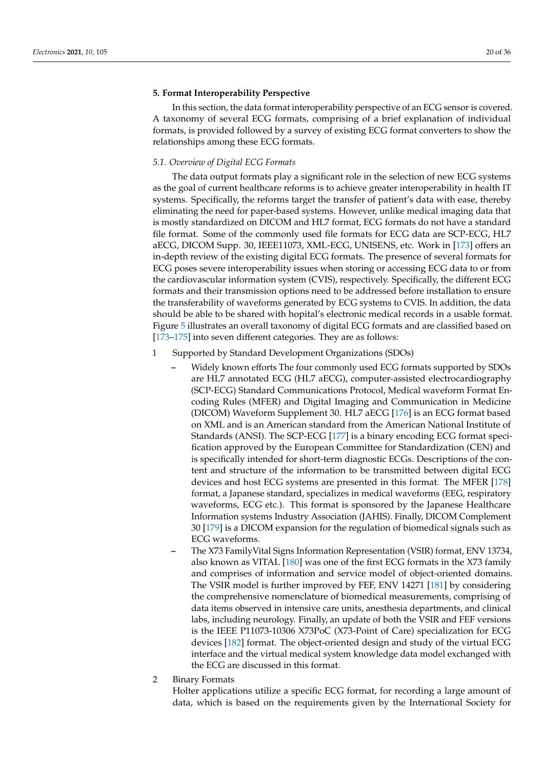# <span id="page-19-0"></span>**5. Format Interoperability Perspective**

In this section, the data format interoperability perspective of an ECG sensor is covered. A taxonomy of several ECG formats, comprising of a brief explanation of individual formats, is provided followed by a survey of existing ECG format converters to show the relationships among these ECG formats.

# *5.1. Overview of Digital ECG Formats*

The data output formats play a significant role in the selection of new ECG systems as the goal of current healthcare reforms is to achieve greater interoperability in health IT systems. Specifically, the reforms target the transfer of patient's data with ease, thereby eliminating the need for paper-based systems. However, unlike medical imaging data that is mostly standardized on DICOM and HL7 format, ECG formats do not have a standard file format. Some of the commonly used file formats for ECG data are SCP-ECG, HL7 aECG, DICOM Supp. 30, IEEE11073, XML-ECG, UNISENS, etc. Work in [\[173\]](#page-33-3) offers an in-depth review of the existing digital ECG formats. The presence of several formats for ECG poses severe interoperability issues when storing or accessing ECG data to or from the cardiovascular information system (CVIS), respectively. Specifically, the different ECG formats and their transmission options need to be addressed before installation to ensure the transferability of waveforms generated by ECG systems to CVIS. In addition, the data should be able to be shared with hopital's electronic medical records in a usable format. Figure [5](#page-22-0) illustrates an overall taxonomy of digital ECG formats and are classified based on [\[173–](#page-33-3)[175\]](#page-33-4) into seven different categories. They are as follows:

- 1 Supported by Standard Development Organizations (SDOs)
	- **–** Widely known efforts The four commonly used ECG formats supported by SDOs are HL7 annotated ECG (HL7 aECG), computer-assisted electrocardiography (SCP-ECG) Standard Communications Protocol, Medical waveform Format Encoding Rules (MFER) and Digital Imaging and Communication in Medicine (DICOM) Waveform Supplement 30. HL7 aECG [\[176\]](#page-33-5) is an ECG format based on XML and is an American standard from the American National Institute of Standards (ANSI). The SCP-ECG [\[177\]](#page-33-6) is a binary encoding ECG format specification approved by the European Committee for Standardization (CEN) and is specifically intended for short-term diagnostic ECGs. Descriptions of the content and structure of the information to be transmitted between digital ECG devices and host ECG systems are presented in this format. The MFER [\[178\]](#page-33-7) format, a Japanese standard, specializes in medical waveforms (EEG, respiratory waveforms, ECG etc.). This format is sponsored by the Japanese Healthcare Information systems Industry Association (JAHIS). Finally, DICOM Complement 30 [\[179\]](#page-33-8) is a DICOM expansion for the regulation of biomedical signals such as ECG waveforms.
	- **–** The X73 FamilyVital Signs Information Representation (VSIR) format, ENV 13734, also known as VITAL [\[180\]](#page-33-9) was one of the first ECG formats in the X73 family and comprises of information and service model of object-oriented domains. The VSIR model is further improved by FEF, ENV 14271 [\[181\]](#page-33-10) by considering the comprehensive nomenclature of biomedical measurements, comprising of data items observed in intensive care units, anesthesia departments, and clinical labs, including neurology. Finally, an update of both the VSIR and FEF versions is the IEEE P11073-10306 X73PoC (X73-Point of Care) specialization for ECG devices [\[182\]](#page-33-11) format. The object-oriented design and study of the virtual ECG interface and the virtual medical system knowledge data model exchanged with the ECG are discussed in this format.
- 2 Binary Formats

Holter applications utilize a specific ECG format, for recording a large amount of data, which is based on the requirements given by the International Society for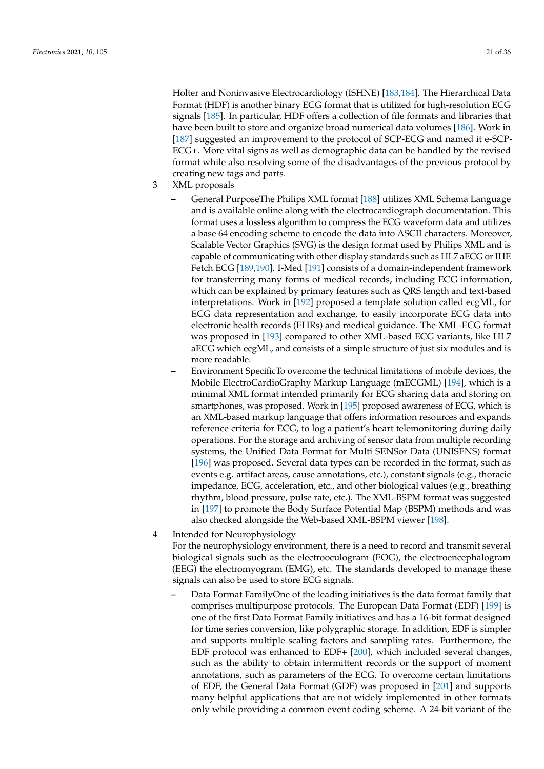Holter and Noninvasive Electrocardiology (ISHNE) [\[183](#page-33-12)[,184\]](#page-33-13). The Hierarchical Data Format (HDF) is another binary ECG format that is utilized for high-resolution ECG signals [\[185\]](#page-33-14). In particular, HDF offers a collection of file formats and libraries that have been built to store and organize broad numerical data volumes [\[186\]](#page-33-15). Work in [\[187\]](#page-33-16) suggested an improvement to the protocol of SCP-ECG and named it e-SCP-ECG+. More vital signs as well as demographic data can be handled by the revised format while also resolving some of the disadvantages of the previous protocol by creating new tags and parts.

- 3 XML proposals
	- **–** General PurposeThe Philips XML format [\[188\]](#page-33-17) utilizes XML Schema Language and is available online along with the electrocardiograph documentation. This format uses a lossless algorithm to compress the ECG waveform data and utilizes a base 64 encoding scheme to encode the data into ASCII characters. Moreover, Scalable Vector Graphics (SVG) is the design format used by Philips XML and is capable of communicating with other display standards such as HL7 aECG or IHE Fetch ECG [\[189,](#page-33-18)[190\]](#page-33-19). I-Med [\[191\]](#page-33-20) consists of a domain-independent framework for transferring many forms of medical records, including ECG information, which can be explained by primary features such as QRS length and text-based interpretations. Work in [\[192\]](#page-33-21) proposed a template solution called ecgML, for ECG data representation and exchange, to easily incorporate ECG data into electronic health records (EHRs) and medical guidance. The XML-ECG format was proposed in [\[193\]](#page-33-22) compared to other XML-based ECG variants, like HL7 aECG which ecgML, and consists of a simple structure of just six modules and is more readable.
	- **–** Environment SpecificTo overcome the technical limitations of mobile devices, the Mobile ElectroCardioGraphy Markup Language (mECGML) [\[194\]](#page-33-23), which is a minimal XML format intended primarily for ECG sharing data and storing on smartphones, was proposed. Work in [\[195\]](#page-33-24) proposed awareness of ECG, which is an XML-based markup language that offers information resources and expands reference criteria for ECG, to log a patient's heart telemonitoring during daily operations. For the storage and archiving of sensor data from multiple recording systems, the Unified Data Format for Multi SENSor Data (UNISENS) format [\[196\]](#page-33-25) was proposed. Several data types can be recorded in the format, such as events e.g. artifact areas, cause annotations, etc.), constant signals (e.g., thoracic impedance, ECG, acceleration, etc., and other biological values (e.g., breathing rhythm, blood pressure, pulse rate, etc.). The XML-BSPM format was suggested in [\[197\]](#page-33-26) to promote the Body Surface Potential Map (BSPM) methods and was also checked alongside the Web-based XML-BSPM viewer [\[198\]](#page-33-27).
- 4 Intended for Neurophysiology

For the neurophysiology environment, there is a need to record and transmit several biological signals such as the electrooculogram (EOG), the electroencephalogram (EEG) the electromyogram (EMG), etc. The standards developed to manage these signals can also be used to store ECG signals.

**–** Data Format FamilyOne of the leading initiatives is the data format family that comprises multipurpose protocols. The European Data Format (EDF) [\[199\]](#page-33-28) is one of the first Data Format Family initiatives and has a 16-bit format designed for time series conversion, like polygraphic storage. In addition, EDF is simpler and supports multiple scaling factors and sampling rates. Furthermore, the EDF protocol was enhanced to EDF+ [\[200\]](#page-34-0), which included several changes, such as the ability to obtain intermittent records or the support of moment annotations, such as parameters of the ECG. To overcome certain limitations of EDF, the General Data Format (GDF) was proposed in [\[201\]](#page-34-1) and supports many helpful applications that are not widely implemented in other formats only while providing a common event coding scheme. A 24-bit variant of the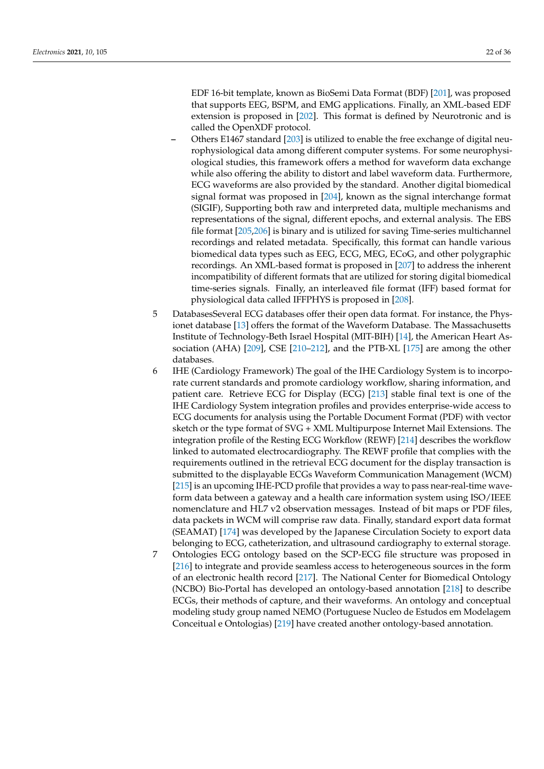EDF 16-bit template, known as BioSemi Data Format (BDF) [\[201\]](#page-34-1), was proposed that supports EEG, BSPM, and EMG applications. Finally, an XML-based EDF extension is proposed in [\[202\]](#page-34-2). This format is defined by Neurotronic and is called the OpenXDF protocol.

- **–** Others E1467 standard [\[203\]](#page-34-3) is utilized to enable the free exchange of digital neurophysiological data among different computer systems. For some neurophysiological studies, this framework offers a method for waveform data exchange while also offering the ability to distort and label waveform data. Furthermore, ECG waveforms are also provided by the standard. Another digital biomedical signal format was proposed in [\[204\]](#page-34-4), known as the signal interchange format (SIGIF), Supporting both raw and interpreted data, multiple mechanisms and representations of the signal, different epochs, and external analysis. The EBS file format [\[205,](#page-34-5)[206\]](#page-34-6) is binary and is utilized for saving Time-series multichannel recordings and related metadata. Specifically, this format can handle various biomedical data types such as EEG, ECG, MEG, ECoG, and other polygraphic recordings. An XML-based format is proposed in [\[207\]](#page-34-7) to address the inherent incompatibility of different formats that are utilized for storing digital biomedical time-series signals. Finally, an interleaved file format (IFF) based format for physiological data called IFFPHYS is proposed in [\[208\]](#page-34-8).
- 5 DatabasesSeveral ECG databases offer their open data format. For instance, the Physionet database [\[13\]](#page-27-9) offers the format of the Waveform Database. The Massachusetts Institute of Technology-Beth Israel Hospital (MIT-BIH) [\[14\]](#page-27-10), the American Heart Association (AHA) [\[209\]](#page-34-9), CSE [\[210](#page-34-10)[–212\]](#page-34-11), and the PTB-XL [\[175\]](#page-33-4) are among the other databases.
- 6 IHE (Cardiology Framework) The goal of the IHE Cardiology System is to incorporate current standards and promote cardiology workflow, sharing information, and patient care. Retrieve ECG for Display (ECG) [\[213\]](#page-34-12) stable final text is one of the IHE Cardiology System integration profiles and provides enterprise-wide access to ECG documents for analysis using the Portable Document Format (PDF) with vector sketch or the type format of SVG + XML Multipurpose Internet Mail Extensions. The integration profile of the Resting ECG Workflow (REWF) [\[214\]](#page-34-13) describes the workflow linked to automated electrocardiography. The REWF profile that complies with the requirements outlined in the retrieval ECG document for the display transaction is submitted to the displayable ECGs Waveform Communication Management (WCM) [\[215\]](#page-34-14) is an upcoming IHE-PCD profile that provides a way to pass near-real-time waveform data between a gateway and a health care information system using ISO/IEEE nomenclature and HL7 v2 observation messages. Instead of bit maps or PDF files, data packets in WCM will comprise raw data. Finally, standard export data format (SEAMAT) [\[174\]](#page-33-29) was developed by the Japanese Circulation Society to export data belonging to ECG, catheterization, and ultrasound cardiography to external storage.
- 7 Ontologies ECG ontology based on the SCP-ECG file structure was proposed in [\[216\]](#page-34-15) to integrate and provide seamless access to heterogeneous sources in the form of an electronic health record [\[217\]](#page-34-16). The National Center for Biomedical Ontology (NCBO) Bio-Portal has developed an ontology-based annotation [\[218\]](#page-34-17) to describe ECGs, their methods of capture, and their waveforms. An ontology and conceptual modeling study group named NEMO (Portuguese Nucleo de Estudos em Modelagem Conceitual e Ontologias) [\[219\]](#page-34-18) have created another ontology-based annotation.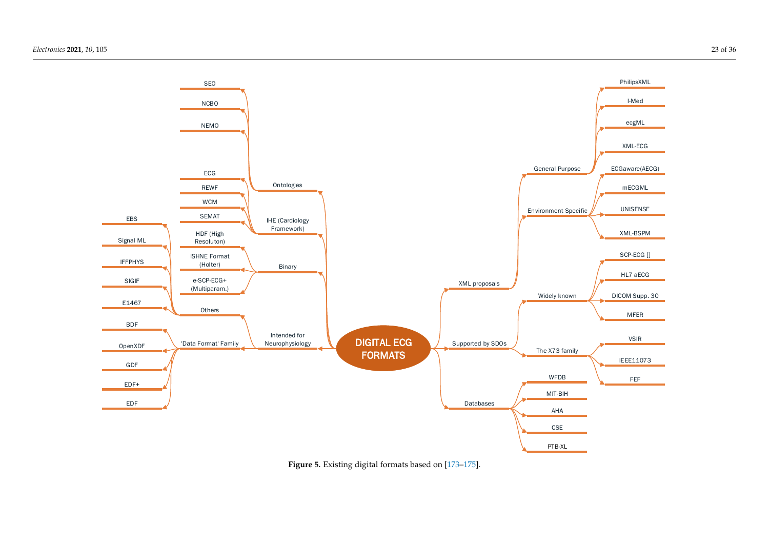<span id="page-22-0"></span>

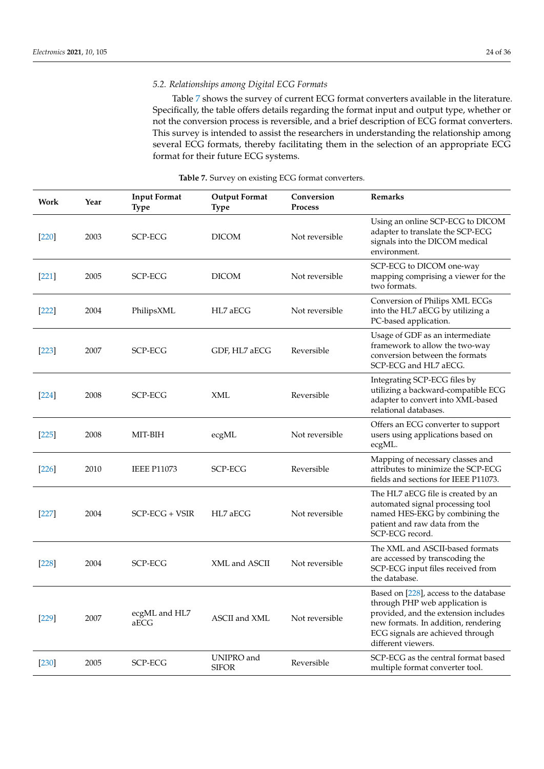# *5.2. Relationships among Digital ECG Formats*

Table [7](#page-24-1) shows the survey of current ECG format converters available in the literature. Specifically, the table offers details regarding the format input and output type, whether or not the conversion process is reversible, and a brief description of ECG format converters. This survey is intended to assist the researchers in understanding the relationship among several ECG formats, thereby facilitating them in the selection of an appropriate ECG format for their future ECG systems.

| Work    | Year | <b>Input Format</b><br><b>Type</b> | <b>Output Format</b><br><b>Type</b> | Conversion<br><b>Process</b> | Remarks                                                                                                                                                                                                           |
|---------|------|------------------------------------|-------------------------------------|------------------------------|-------------------------------------------------------------------------------------------------------------------------------------------------------------------------------------------------------------------|
| $[220]$ | 2003 | SCP-ECG                            | <b>DICOM</b>                        | Not reversible               | Using an online SCP-ECG to DICOM<br>adapter to translate the SCP-ECG<br>signals into the DICOM medical<br>environment.                                                                                            |
| $[221]$ | 2005 | <b>SCP-ECG</b>                     | <b>DICOM</b>                        | Not reversible               | SCP-ECG to DICOM one-way<br>mapping comprising a viewer for the<br>two formats.                                                                                                                                   |
| $[222]$ | 2004 | PhilipsXML                         | HL7 aECG                            | Not reversible               | Conversion of Philips XML ECGs<br>into the HL7 aECG by utilizing a<br>PC-based application.                                                                                                                       |
| $[223]$ | 2007 | <b>SCP-ECG</b>                     | GDF, HL7 aECG                       | Reversible                   | Usage of GDF as an intermediate<br>framework to allow the two-way<br>conversion between the formats<br>SCP-ECG and HL7 aECG.                                                                                      |
| $[224]$ | 2008 | <b>SCP-ECG</b>                     | XML                                 | Reversible                   | Integrating SCP-ECG files by<br>utilizing a backward-compatible ECG<br>adapter to convert into XML-based<br>relational databases.                                                                                 |
| [225]   | 2008 | MIT-BIH                            | ecgML                               | Not reversible               | Offers an ECG converter to support<br>users using applications based on<br>ecgML.                                                                                                                                 |
| $[226]$ | 2010 | <b>IEEE P11073</b>                 | <b>SCP-ECG</b>                      | Reversible                   | Mapping of necessary classes and<br>attributes to minimize the SCP-ECG<br>fields and sections for IEEE P11073.                                                                                                    |
| $[227]$ | 2004 | SCP-ECG + VSIR                     | HL7 aECG                            | Not reversible               | The HL7 aECG file is created by an<br>automated signal processing tool<br>named HES-EKG by combining the<br>patient and raw data from the<br>SCP-ECG record.                                                      |
| $[228]$ | 2004 | <b>SCP-ECG</b>                     | XML and ASCII                       | Not reversible               | The XML and ASCII-based formats<br>are accessed by transcoding the<br>SCP-ECG input files received from<br>the database.                                                                                          |
| $[229]$ | 2007 | ecgML and HL7<br>aECG              | ASCII and XML                       | Not reversible               | Based on [228], access to the database<br>through PHP web application is<br>provided, and the extension includes<br>new formats. In addition, rendering<br>ECG signals are achieved through<br>different viewers. |
| $[230]$ | 2005 | SCP-ECG                            | UNIPRO and<br><b>SIFOR</b>          | Reversible                   | SCP-ECG as the central format based<br>multiple format converter tool.                                                                                                                                            |

# **Table 7.** Survey on existing ECG format converters.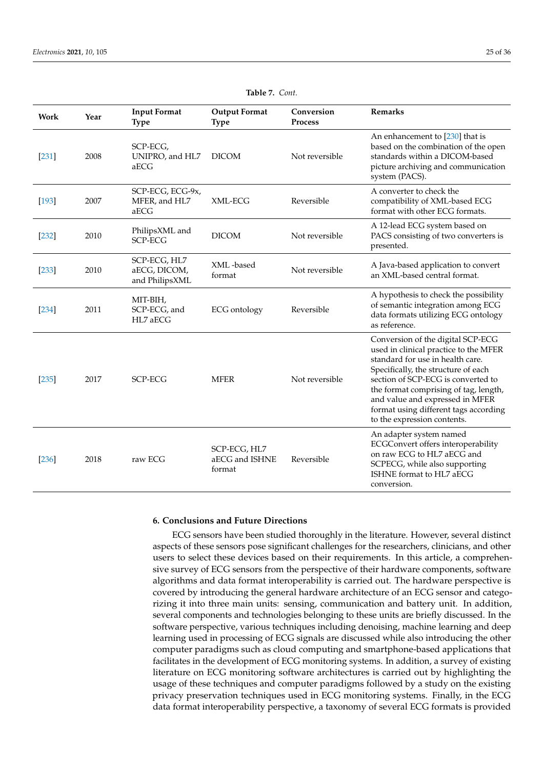<span id="page-24-1"></span>

| Work    | Year | <b>Input Format</b><br><b>Type</b>             | <b>Output Format</b><br><b>Type</b>      | Conversion<br><b>Process</b> | <b>Remarks</b>                                                                                                                                                                                                                                                                                                                                  |
|---------|------|------------------------------------------------|------------------------------------------|------------------------------|-------------------------------------------------------------------------------------------------------------------------------------------------------------------------------------------------------------------------------------------------------------------------------------------------------------------------------------------------|
| $[231]$ | 2008 | SCP-ECG,<br>UNIPRO, and HL7<br>aECG            | <b>DICOM</b>                             | Not reversible               | An enhancement to [230] that is<br>based on the combination of the open<br>standards within a DICOM-based<br>picture archiving and communication<br>system (PACS).                                                                                                                                                                              |
| $[193]$ | 2007 | SCP-ECG, ECG-9x,<br>MFER, and HL7<br>aECG      | XML-ECG                                  | Reversible                   | A converter to check the<br>compatibility of XML-based ECG<br>format with other ECG formats.                                                                                                                                                                                                                                                    |
| $[232]$ | 2010 | PhilipsXML and<br><b>SCP-ECG</b>               | <b>DICOM</b>                             | Not reversible               | A 12-lead ECG system based on<br>PACS consisting of two converters is<br>presented.                                                                                                                                                                                                                                                             |
| $[233]$ | 2010 | SCP-ECG, HL7<br>aECG, DICOM,<br>and PhilipsXML | XML-based<br>format                      | Not reversible               | A Java-based application to convert<br>an XML-based central format.                                                                                                                                                                                                                                                                             |
| $[234]$ | 2011 | MIT-BIH,<br>SCP-ECG, and<br>HL7 aECG           | <b>ECG</b> ontology                      | Reversible                   | A hypothesis to check the possibility<br>of semantic integration among ECG<br>data formats utilizing ECG ontology<br>as reference.                                                                                                                                                                                                              |
| [235]   | 2017 | <b>SCP-ECG</b>                                 | <b>MFER</b>                              | Not reversible               | Conversion of the digital SCP-ECG<br>used in clinical practice to the MFER<br>standard for use in health care.<br>Specifically, the structure of each<br>section of SCP-ECG is converted to<br>the format comprising of tag, length,<br>and value and expressed in MFER<br>format using different tags according<br>to the expression contents. |
| [236]   | 2018 | raw ECG                                        | SCP-ECG, HL7<br>aECG and ISHNE<br>format | Reversible                   | An adapter system named<br>ECGConvert offers interoperability<br>on raw ECG to HL7 aECG and<br>SCPECG, while also supporting<br>ISHNE format to HL7 aECG<br>conversion.                                                                                                                                                                         |

**Table 7.** *Cont.*

# <span id="page-24-0"></span>**6. Conclusions and Future Directions**

ECG sensors have been studied thoroughly in the literature. However, several distinct aspects of these sensors pose significant challenges for the researchers, clinicians, and other users to select these devices based on their requirements. In this article, a comprehensive survey of ECG sensors from the perspective of their hardware components, software algorithms and data format interoperability is carried out. The hardware perspective is covered by introducing the general hardware architecture of an ECG sensor and categorizing it into three main units: sensing, communication and battery unit. In addition, several components and technologies belonging to these units are briefly discussed. In the software perspective, various techniques including denoising, machine learning and deep learning used in processing of ECG signals are discussed while also introducing the other computer paradigms such as cloud computing and smartphone-based applications that facilitates in the development of ECG monitoring systems. In addition, a survey of existing literature on ECG monitoring software architectures is carried out by highlighting the usage of these techniques and computer paradigms followed by a study on the existing privacy preservation techniques used in ECG monitoring systems. Finally, in the ECG data format interoperability perspective, a taxonomy of several ECG formats is provided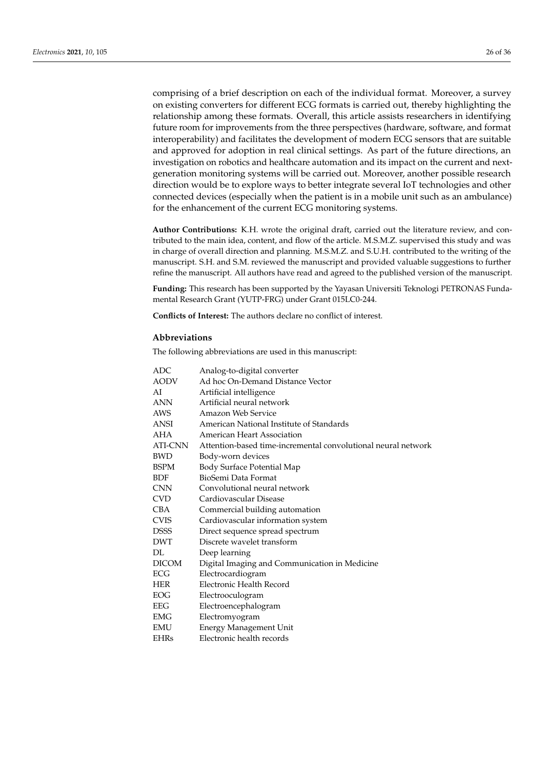comprising of a brief description on each of the individual format. Moreover, a survey on existing converters for different ECG formats is carried out, thereby highlighting the relationship among these formats. Overall, this article assists researchers in identifying future room for improvements from the three perspectives (hardware, software, and format interoperability) and facilitates the development of modern ECG sensors that are suitable and approved for adoption in real clinical settings. As part of the future directions, an investigation on robotics and healthcare automation and its impact on the current and nextgeneration monitoring systems will be carried out. Moreover, another possible research direction would be to explore ways to better integrate several IoT technologies and other connected devices (especially when the patient is in a mobile unit such as an ambulance) for the enhancement of the current ECG monitoring systems.

**Author Contributions:** K.H. wrote the original draft, carried out the literature review, and contributed to the main idea, content, and flow of the article. M.S.M.Z. supervised this study and was in charge of overall direction and planning. M.S.M.Z. and S.U.H. contributed to the writing of the manuscript. S.H. and S.M. reviewed the manuscript and provided valuable suggestions to further refine the manuscript. All authors have read and agreed to the published version of the manuscript.

**Funding:** This research has been supported by the Yayasan Universiti Teknologi PETRONAS Fundamental Research Grant (YUTP-FRG) under Grant 015LC0-244.

**Conflicts of Interest:** The authors declare no conflict of interest.

## **Abbreviations**

The following abbreviations are used in this manuscript:

| ADC          | Analog-to-digital converter                                   |
|--------------|---------------------------------------------------------------|
| <b>AODV</b>  | Ad hoc On-Demand Distance Vector                              |
| AI           | Artificial intelligence                                       |
| <b>ANN</b>   | Artificial neural network                                     |
| AWS          | Amazon Web Service                                            |
| <b>ANSI</b>  | American National Institute of Standards                      |
| AHA          | American Heart Association                                    |
| ATI-CNN      | Attention-based time-incremental convolutional neural network |
| <b>BWD</b>   | Body-worn devices                                             |
| <b>BSPM</b>  | <b>Body Surface Potential Map</b>                             |
| <b>BDF</b>   | BioSemi Data Format                                           |
| <b>CNN</b>   | Convolutional neural network                                  |
| <b>CVD</b>   | Cardiovascular Disease                                        |
| <b>CBA</b>   | Commercial building automation                                |
| <b>CVIS</b>  | Cardiovascular information system                             |
| <b>DSSS</b>  | Direct sequence spread spectrum                               |
| <b>DWT</b>   | Discrete wavelet transform                                    |
| DI.          | Deep learning                                                 |
| <b>DICOM</b> | Digital Imaging and Communication in Medicine                 |
| ECG          | Electrocardiogram                                             |
| <b>HER</b>   | Electronic Health Record                                      |
| EOG          | Electrooculogram                                              |
| EEG          | Electroencephalogram                                          |
| EMG          | Electromyogram                                                |
| <b>EMU</b>   | <b>Energy Management Unit</b>                                 |
| <b>EHRs</b>  | Electronic health records                                     |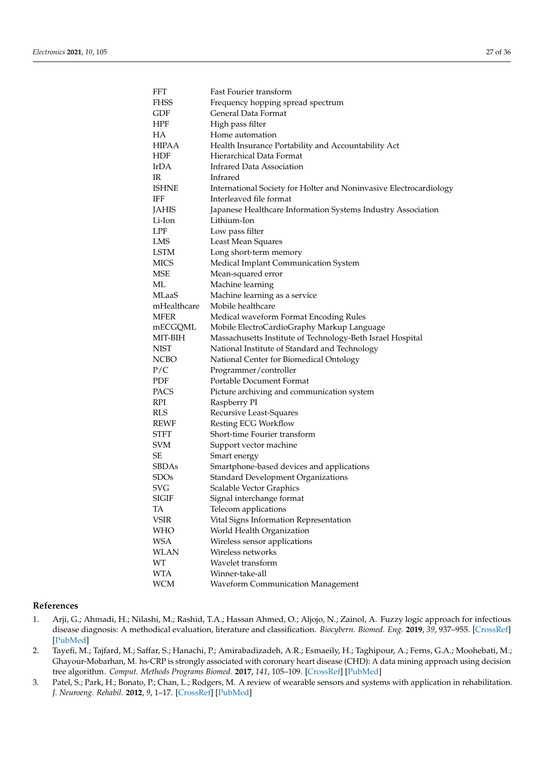| FFT          | Fast Fourier transform                                             |
|--------------|--------------------------------------------------------------------|
| FHSS         | Frequency hopping spread spectrum                                  |
| GDF          | General Data Format                                                |
| HPF          | High pass filter                                                   |
| HА           | Home automation                                                    |
| HIPAA        | Health Insurance Portability and Accountability Act                |
| HDF          | Hierarchical Data Format                                           |
| IrDA         | Infrared Data Association                                          |
| IR           | Infrared                                                           |
| <b>ISHNE</b> | International Society for Holter and Noninvasive Electrocardiology |
| IFF          | Interleaved file format                                            |
| JAHIS        | Japanese Healthcare Information Systems Industry Association       |
| Li-Ion       | Lithium-Ion                                                        |
| <b>LPF</b>   | Low pass filter                                                    |
| LMS          | Least Mean Squares                                                 |
| <b>LSTM</b>  | Long short-term memory                                             |
| <b>MICS</b>  | Medical Implant Communication System                               |
| MSE          | Mean-squared error                                                 |
| МL           | Machine learning                                                   |
| <b>MLaaS</b> | Machine learning as a service                                      |
| mHealthcare  | Mobile healthcare                                                  |
| MFER         | Medical waveform Format Encoding Rules                             |
| mECGQML      | Mobile ElectroCardioGraphy Markup Language                         |
| MIT-BIH      | Massachusetts Institute of Technology-Beth Israel Hospital         |
| <b>NIST</b>  | National Institute of Standard and Technology                      |
| NCBO         | National Center for Biomedical Ontology                            |
| P/C          | Programmer/controller                                              |
| PDF          | Portable Document Format                                           |
| PACS         | Picture archiving and communication system                         |
| <b>RPI</b>   | Raspberry PI                                                       |
| RLS          | Recursive Least-Squares                                            |
| <b>REWF</b>  | Resting ECG Workflow                                               |
| STFT         | Short-time Fourier transform                                       |
| SVM          | Support vector machine                                             |
| SЕ           | Smart energy                                                       |
| SBDAs        | Smartphone-based devices and applications                          |
| SDOs         | <b>Standard Development Organizations</b>                          |
| SVG          | Scalable Vector Graphics                                           |
| <b>SIGIF</b> | Signal interchange format                                          |
| TA           | Telecom applications                                               |
| <b>VSIR</b>  | Vital Signs Information Representation                             |
| WHO          | World Health Organization                                          |
| <b>WSA</b>   | Wireless sensor applications                                       |
| <b>WLAN</b>  | Wireless networks                                                  |
| WT           | Wavelet transform                                                  |
| <b>WTA</b>   | Winner-take-all                                                    |
| <b>WCM</b>   | <b>Waveform Communication Management</b>                           |

# **References**

- <span id="page-26-0"></span>1. Arji, G.; Ahmadi, H.; Nilashi, M.; Rashid, T.A.; Hassan Ahmed, O.; Aljojo, N.; Zainol, A. Fuzzy logic approach for infectious disease diagnosis: A methodical evaluation, literature and classification. *Biocybern. Biomed. Eng.* **2019**, *39*, 937–955. [\[CrossRef\]](http://doi.org/10.1016/j.bbe.2019.09.004) [\[PubMed\]](http://www.ncbi.nlm.nih.gov/pubmed/32287711)
- <span id="page-26-1"></span>2. Tayefi, M.; Tajfard, M.; Saffar, S.; Hanachi, P.; Amirabadizadeh, A.R.; Esmaeily, H.; Taghipour, A.; Ferns, G.A.; Moohebati, M.; Ghayour-Mobarhan, M. hs-CRP is strongly associated with coronary heart disease (CHD): A data mining approach using decision tree algorithm. *Comput. Methods Programs Biomed.* **2017**, *141*, 105–109. [\[CrossRef\]](http://dx.doi.org/10.1016/j.cmpb.2017.02.001) [\[PubMed\]](http://www.ncbi.nlm.nih.gov/pubmed/28241960)
- <span id="page-26-2"></span>3. Patel, S.; Park, H.; Bonato, P.; Chan, L.; Rodgers, M. A review of wearable sensors and systems with application in rehabilitation. *J. Neuroeng. Rehabil.* **2012**, *9*, 1–17. [\[CrossRef\]](http://dx.doi.org/10.1186/1743-0003-9-21) [\[PubMed\]](http://www.ncbi.nlm.nih.gov/pubmed/22520559)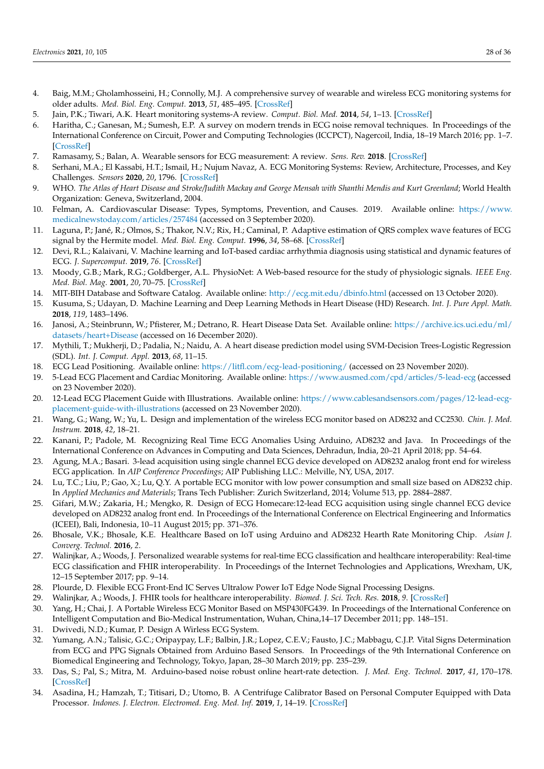- <span id="page-27-0"></span>4. Baig, M.M.; Gholamhosseini, H.; Connolly, M.J. A comprehensive survey of wearable and wireless ECG monitoring systems for older adults. *Med. Biol. Eng. Comput.* **2013**, *51*, 485–495. [\[CrossRef\]](http://dx.doi.org/10.1007/s11517-012-1021-6)
- <span id="page-27-1"></span>5. Jain, P.K.; Tiwari, A.K. Heart monitoring systems-A review. *Comput. Biol. Med.* **2014**, *54*, 1–13. [\[CrossRef\]](http://dx.doi.org/10.1016/j.compbiomed.2014.08.014)
- <span id="page-27-2"></span>6. Haritha, C.; Ganesan, M.; Sumesh, E.P. A survey on modern trends in ECG noise removal techniques. In Proceedings of the International Conference on Circuit, Power and Computing Technologies (ICCPCT), Nagercoil, India, 18–19 March 2016; pp. 1–7. [\[CrossRef\]](http://dx.doi.org/10.1109/ICCPCT.2016.7530192)
- <span id="page-27-3"></span>7. Ramasamy, S.; Balan, A. Wearable sensors for ECG measurement: A review. *Sens. Rev.* **2018**. [\[CrossRef\]](http://dx.doi.org/10.1108/SR-06-2017-0110)
- <span id="page-27-4"></span>8. Serhani, M.A.; El Kassabi, H.T.; Ismail, H.; Nujum Navaz, A. ECG Monitoring Systems: Review, Architecture, Processes, and Key Challenges. *Sensors* **2020**, *20*, 1796. [\[CrossRef\]](http://dx.doi.org/10.3390/s20061796)
- <span id="page-27-5"></span>9. WHO. *The Atlas of Heart Disease and Stroke/Judith Mackay and George Mensah with Shanthi Mendis and Kurt Greenland*; World Health Organization: Geneva, Switzerland, 2004.
- <span id="page-27-6"></span>10. Felman, A. Cardiovascular Disease: Types, Symptoms, Prevention, and Causes. 2019. Available online: [https://www.](https://www.medicalnewstoday.com/articles/257484) [medicalnewstoday.com/articles/257484](https://www.medicalnewstoday.com/articles/257484) (accessed on 3 September 2020).
- <span id="page-27-7"></span>11. Laguna, P.; Jané, R.; Olmos, S.; Thakor, N.V.; Rix, H.; Caminal, P. Adaptive estimation of QRS complex wave features of ECG signal by the Hermite model. *Med. Biol. Eng. Comput.* **1996**, *34*, 58–68. [\[CrossRef\]](http://dx.doi.org/10.1007/BF02637023)
- <span id="page-27-8"></span>12. Devi, R.L.; Kalaivani, V. Machine learning and IoT-based cardiac arrhythmia diagnosis using statistical and dynamic features of ECG. *J. Supercomput.* **2019**, *76*. [\[CrossRef\]](http://dx.doi.org/10.1007/s11227-019-02873-y)
- <span id="page-27-9"></span>13. Moody, G.B.; Mark, R.G.; Goldberger, A.L. PhysioNet: A Web-based resource for the study of physiologic signals. *IEEE Eng. Med. Biol. Mag.* **2001**, *20*, 70–75. [\[CrossRef\]](http://dx.doi.org/10.1109/51.932728)
- <span id="page-27-10"></span>14. MIT-BIH Database and Software Catalog. Available online: <http://ecg.mit.edu/dbinfo.html> (accessed on 13 October 2020).
- <span id="page-27-11"></span>15. Kusuma, S.; Udayan, D. Machine Learning and Deep Learning Methods in Heart Disease (HD) Research. *Int. J. Pure Appl. Math.* **2018**, *119*, 1483–1496.
- <span id="page-27-12"></span>16. Janosi, A.; Steinbrunn, W.; Pfisterer, M.; Detrano, R. Heart Disease Data Set. Available online: [https://archive.ics.uci.edu/ml/](https://archive.ics.uci.edu/ml/datasets/heart+Disease) [datasets/heart+Disease](https://archive.ics.uci.edu/ml/datasets/heart+Disease) (accessed on 16 December 2020).
- <span id="page-27-13"></span>17. Mythili, T.; Mukherji, D.; Padalia, N.; Naidu, A. A heart disease prediction model using SVM-Decision Trees-Logistic Regression (SDL). *Int. J. Comput. Appl.* **2013**, *68*, 11–15.
- <span id="page-27-14"></span>18. ECG Lead Positioning. Available online: <https://litfl.com/ecg-lead-positioning/> (accessed on 23 November 2020).
- <span id="page-27-15"></span>19. 5-Lead ECG Placement and Cardiac Monitoring. Available online: <https://www.ausmed.com/cpd/articles/5-lead-ecg> (accessed on 23 November 2020).
- <span id="page-27-16"></span>20. 12-Lead ECG Placement Guide with Illustrations. Available online: [https://www.cablesandsensors.com/pages/12-lead-ecg](https://www.cablesandsensors.com/pages/12-lead-ecg-placement-guide-with-illustrations)[placement-guide-with-illustrations](https://www.cablesandsensors.com/pages/12-lead-ecg-placement-guide-with-illustrations) (accessed on 23 November 2020).
- <span id="page-27-17"></span>21. Wang, G.; Wang, W.; Yu, L. Design and implementation of the wireless ECG monitor based on AD8232 and CC2530. *Chin. J. Med. Instrum.* **2018**, *42*, 18–21.
- 22. Kanani, P.; Padole, M. Recognizing Real Time ECG Anomalies Using Arduino, AD8232 and Java. In Proceedings of the International Conference on Advances in Computing and Data Sciences, Dehradun, India, 20–21 April 2018; pp. 54–64.
- 23. Agung, M.A.; Basari. 3-lead acquisition using single channel ECG device developed on AD8232 analog front end for wireless ECG application. In *AIP Conference Proceedings*; AIP Publishing LLC.: Melville, NY, USA, 2017.
- 24. Lu, T.C.; Liu, P.; Gao, X.; Lu, Q.Y. A portable ECG monitor with low power consumption and small size based on AD8232 chip. In *Applied Mechanics and Materials*; Trans Tech Publisher: Zurich Switzerland, 2014; Volume 513, pp. 2884–2887.
- <span id="page-27-18"></span>25. Gifari, M.W.; Zakaria, H.; Mengko, R. Design of ECG Homecare:12-lead ECG acquisition using single channel ECG device developed on AD8232 analog front end. In Proceedings of the International Conference on Electrical Engineering and Informatics (ICEEI), Bali, Indonesia, 10–11 August 2015; pp. 371–376.
- <span id="page-27-19"></span>26. Bhosale, V.K.; Bhosale, K.E. Healthcare Based on IoT using Arduino and AD8232 Hearth Rate Monitoring Chip. *Asian J. Converg. Technol.* **2016**, *2*.
- <span id="page-27-20"></span>27. Walinjkar, A.; Woods, J. Personalized wearable systems for real-time ECG classification and healthcare interoperability: Real-time ECG classification and FHIR interoperability. In Proceedings of the Internet Technologies and Applications, Wrexham, UK, 12–15 September 2017; pp. 9–14.
- 28. Plourde, D. Flexible ECG Front-End IC Serves Ultralow Power IoT Edge Node Signal Processing Designs.
- <span id="page-27-21"></span>29. Walinjkar, A.; Woods, J. FHIR tools for healthcare interoperability. *Biomed. J. Sci. Tech. Res.* **2018**, *9*. [\[CrossRef\]](http://dx.doi.org/10.26717/BJSTR.2018.09.001863)
- <span id="page-27-22"></span>30. Yang, H.; Chai, J. A Portable Wireless ECG Monitor Based on MSP430FG439. In Proceedings of the International Conference on Intelligent Computation and Bio-Medical Instrumentation, Wuhan, China,14–17 December 2011; pp. 148–151.
- <span id="page-27-23"></span>31. Dwivedi, N.D.; Kumar, P. Design A Wirless ECG System.
- <span id="page-27-24"></span>32. Yumang, A.N.; Talisic, G.C.; Oripaypay, L.F.; Balbin, J.R.; Lopez, C.E.V.; Fausto, J.C.; Mabbagu, C.J.P. Vital Signs Determination from ECG and PPG Signals Obtained from Arduino Based Sensors. In Proceedings of the 9th International Conference on Biomedical Engineering and Technology, Tokyo, Japan, 28–30 March 2019; pp. 235–239.
- <span id="page-27-25"></span>33. Das, S.; Pal, S.; Mitra, M. Arduino-based noise robust online heart-rate detection. *J. Med. Eng. Technol.* **2017**, *41*, 170–178. [\[CrossRef\]](http://dx.doi.org/10.1080/03091902.2016.1271044)
- 34. Asadina, H.; Hamzah, T.; Titisari, D.; Utomo, B. A Centrifuge Calibrator Based on Personal Computer Equipped with Data Processor. *Indones. J. Electron. Electromed. Eng. Med. Inf.* **2019**, *1*, 14–19. [\[CrossRef\]](http://dx.doi.org/10.35882/ijeeemi.v1i1.3)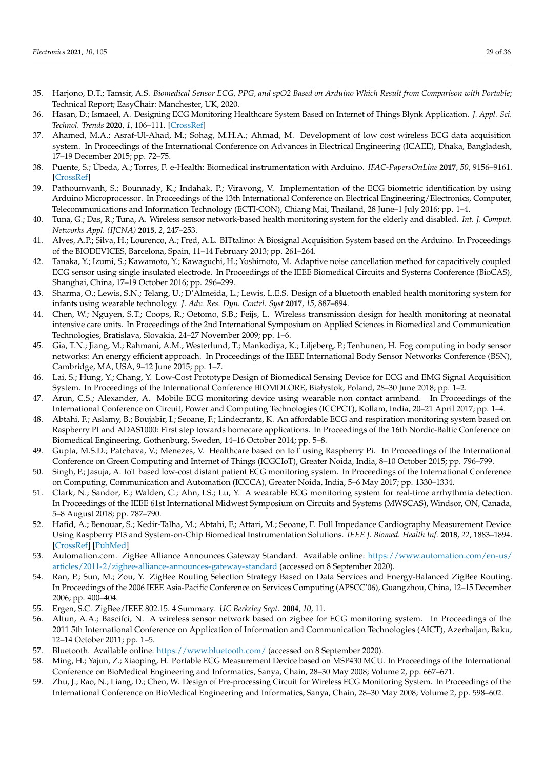- 35. Harjono, D.T.; Tamsir, A.S. *Biomedical Sensor ECG, PPG, and spO2 Based on Arduino Which Result from Comparison with Portable*; Technical Report; EasyChair: Manchester, UK, 2020.
- 36. Hasan, D.; Ismaeel, A. Designing ECG Monitoring Healthcare System Based on Internet of Things Blynk Application. *J. Appl. Sci. Technol. Trends* **2020**, *1*, 106–111. [\[CrossRef\]](http://dx.doi.org/10.38094/jastt1336)
- 37. Ahamed, M.A.; Asraf-Ul-Ahad, M.; Sohag, M.H.A.; Ahmad, M. Development of low cost wireless ECG data acquisition system. In Proceedings of the International Conference on Advances in Electrical Engineering (ICAEE), Dhaka, Bangladesh, 17–19 December 2015; pp. 72–75.
- 38. Puente, S.; Úbeda, A.; Torres, F. e-Health: Biomedical instrumentation with Arduino. *IFAC-PapersOnLine* **2017**, *50*, 9156–9161. [\[CrossRef\]](http://dx.doi.org/10.1016/j.ifacol.2017.08.1724)
- 39. Pathoumvanh, S.; Bounnady, K.; Indahak, P.; Viravong, V. Implementation of the ECG biometric identification by using Arduino Microprocessor. In Proceedings of the 13th International Conference on Electrical Engineering/Electronics, Computer, Telecommunications and Information Technology (ECTI-CON), Chiang Mai, Thailand, 28 June–1 July 2016; pp. 1–4.
- <span id="page-28-0"></span>40. Tuna, G.; Das, R.; Tuna, A. Wireless sensor network-based health monitoring system for the elderly and disabled. *Int. J. Comput. Networks Appl. (IJCNA)* **2015**, *2*, 247–253.
- <span id="page-28-1"></span>41. Alves, A.P.; Silva, H.; Lourenco, A.; Fred, A.L. BITtalino: A Biosignal Acquisition System based on the Arduino. In Proceedings of the BIODEVICES, Barcelona, Spain, 11–14 February 2013; pp. 261–264.
- 42. Tanaka, Y.; Izumi, S.; Kawamoto, Y.; Kawaguchi, H.; Yoshimoto, M. Adaptive noise cancellation method for capacitively coupled ECG sensor using single insulated electrode. In Proceedings of the IEEE Biomedical Circuits and Systems Conference (BioCAS), Shanghai, China, 17–19 October 2016; pp. 296–299.
- 43. Sharma, O.; Lewis, S.N.; Telang, U.; D'Almeida, L.; Lewis, L.E.S. Design of a bluetooth enabled health monitoring system for infants using wearable technology. *J. Adv. Res. Dyn. Contrl. Syst* **2017**, *15*, 887–894.
- <span id="page-28-2"></span>44. Chen, W.; Nguyen, S.T.; Coops, R.; Oetomo, S.B.; Feijs, L. Wireless transmission design for health monitoring at neonatal intensive care units. In Proceedings of the 2nd International Symposium on Applied Sciences in Biomedical and Communication Technologies, Bratislava, Slovakia, 24–27 November 2009; pp. 1–6.
- <span id="page-28-3"></span>45. Gia, T.N.; Jiang, M.; Rahmani, A.M.; Westerlund, T.; Mankodiya, K.; Liljeberg, P.; Tenhunen, H. Fog computing in body sensor networks: An energy efficient approach. In Proceedings of the IEEE International Body Sensor Networks Conference (BSN), Cambridge, MA, USA, 9–12 June 2015; pp. 1–7.
- <span id="page-28-4"></span>46. Lai, S.; Hung, Y.; Chang, Y. Low-Cost Prototype Design of Biomedical Sensing Device for ECG and EMG Signal Acquisition System. In Proceedings of the International Conference BIOMDLORE, Białystok, Poland, 28–30 June 2018; pp. 1–2.
- <span id="page-28-5"></span>47. Arun, C.S.; Alexander, A. Mobile ECG monitoring device using wearable non contact armband. In Proceedings of the International Conference on Circuit, Power and Computing Technologies (ICCPCT), Kollam, India, 20–21 April 2017; pp. 1–4.
- <span id="page-28-6"></span>48. Abtahi, F.; Aslamy, B.; Boujabir, I.; Seoane, F.; Lindecrantz, K. An affordable ECG and respiration monitoring system based on Raspberry PI and ADAS1000: First step towards homecare applications. In Proceedings of the 16th Nordic-Baltic Conference on Biomedical Engineering, Gothenburg, Sweden, 14–16 October 2014; pp. 5–8.
- <span id="page-28-7"></span>49. Gupta, M.S.D.; Patchava, V.; Menezes, V. Healthcare based on IoT using Raspberry Pi. In Proceedings of the International Conference on Green Computing and Internet of Things (ICGCIoT), Greater Noida, India, 8–10 October 2015; pp. 796–799.
- <span id="page-28-8"></span>50. Singh, P.; Jasuja, A. IoT based low-cost distant patient ECG monitoring system. In Proceedings of the International Conference on Computing, Communication and Automation (ICCCA), Greater Noida, India, 5–6 May 2017; pp. 1330–1334.
- <span id="page-28-9"></span>51. Clark, N.; Sandor, E.; Walden, C.; Ahn, I.S.; Lu, Y. A wearable ECG monitoring system for real-time arrhythmia detection. In Proceedings of the IEEE 61st International Midwest Symposium on Circuits and Systems (MWSCAS), Windsor, ON, Canada, 5–8 August 2018; pp. 787–790.
- <span id="page-28-10"></span>52. Hafid, A.; Benouar, S.; Kedir-Talha, M.; Abtahi, F.; Attari, M.; Seoane, F. Full Impedance Cardiography Measurement Device Using Raspberry PI3 and System-on-Chip Biomedical Instrumentation Solutions. *IEEE J. Biomed. Health Inf.* **2018**, *22*, 1883–1894. [\[CrossRef\]](http://dx.doi.org/10.1109/JBHI.2017.2783949) [\[PubMed\]](http://www.ncbi.nlm.nih.gov/pubmed/29990025)
- <span id="page-28-11"></span>53. Automation.com. ZigBee Alliance Announces Gateway Standard. Available online: [https://www.automation.com/en-us/](https://www.automation.com/en-us/articles/2011-2/zigbee-alliance-announces-gateway-standard) [articles/2011-2/zigbee-alliance-announces-gateway-standard](https://www.automation.com/en-us/articles/2011-2/zigbee-alliance-announces-gateway-standard) (accessed on 8 September 2020).
- <span id="page-28-12"></span>54. Ran, P.; Sun, M.; Zou, Y. ZigBee Routing Selection Strategy Based on Data Services and Energy-Balanced ZigBee Routing. In Proceedings of the 2006 IEEE Asia-Pacific Conference on Services Computing (APSCC'06), Guangzhou, China, 12–15 December 2006; pp. 400–404.
- <span id="page-28-13"></span>55. Ergen, S.C. ZigBee/IEEE 802.15. 4 Summary. *UC Berkeley Sept.* **2004**, *10*, 11.
- <span id="page-28-14"></span>56. Altun, A.A.; Bascifci, N. A wireless sensor network based on zigbee for ECG monitoring system. In Proceedings of the 2011 5th International Conference on Application of Information and Communication Technologies (AICT), Azerbaijan, Baku, 12–14 October 2011; pp. 1–5.
- <span id="page-28-15"></span>57. Bluetooth. Available online: <https://www.bluetooth.com/> (accessed on 8 September 2020).
- <span id="page-28-16"></span>58. Ming, H.; Yajun, Z.; Xiaoping, H. Portable ECG Measurement Device based on MSP430 MCU. In Proceedings of the International Conference on BioMedical Engineering and Informatics, Sanya, Chain, 28–30 May 2008; Volume 2, pp. 667–671.
- 59. Zhu, J.; Rao, N.; Liang, D.; Chen, W. Design of Pre-processing Circuit for Wireless ECG Monitoring System. In Proceedings of the International Conference on BioMedical Engineering and Informatics, Sanya, Chain, 28–30 May 2008; Volume 2, pp. 598–602.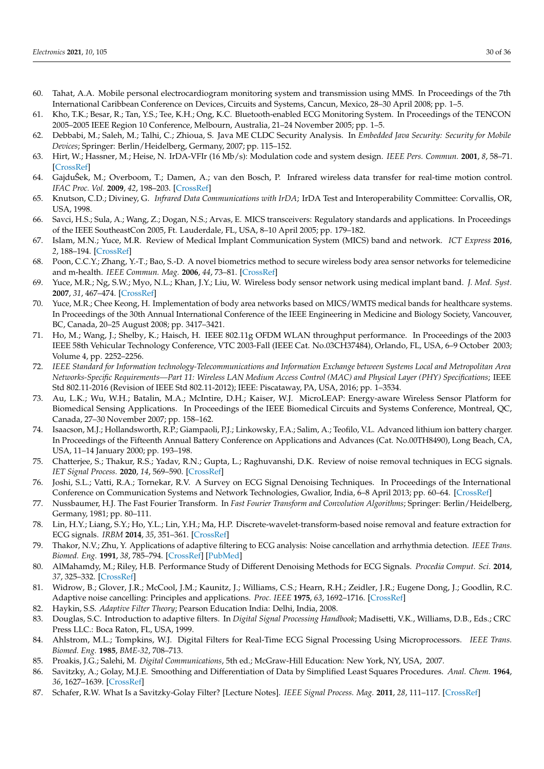- <span id="page-29-0"></span>60. Tahat, A.A. Mobile personal electrocardiogram monitoring system and transmission using MMS. In Proceedings of the 7th International Caribbean Conference on Devices, Circuits and Systems, Cancun, Mexico, 28–30 April 2008; pp. 1–5.
- <span id="page-29-1"></span>61. Kho, T.K.; Besar, R.; Tan, Y.S.; Tee, K.H.; Ong, K.C. Bluetooth-enabled ECG Monitoring System. In Proceedings of the TENCON 2005–2005 IEEE Region 10 Conference, Melbourn, Australia, 21–24 November 2005; pp. 1–5.
- <span id="page-29-2"></span>62. Debbabi, M.; Saleh, M.; Talhi, C.; Zhioua, S. Java ME CLDC Security Analysis. In *Embedded Java Security: Security for Mobile Devices*; Springer: Berlin/Heidelberg, Germany, 2007; pp. 115–152.
- <span id="page-29-3"></span>63. Hirt, W.; Hassner, M.; Heise, N. IrDA-VFIr (16 Mb/s): Modulation code and system design. *IEEE Pers. Commun.* **2001**, *8*, 58–71. [\[CrossRef\]](http://dx.doi.org/10.1109/98.904900)
- <span id="page-29-4"></span>64. GajduSek, M.; Overboom, T.; Damen, A.; van den Bosch, P. Infrared wireless data transfer for real-time motion control. ˆ *IFAC Proc. Vol.* **2009**, *42*, 198–203. [\[CrossRef\]](http://dx.doi.org/10.3182/20090210-3-CZ-4002.00041)
- <span id="page-29-5"></span>65. Knutson, C.D.; Diviney, G. *Infrared Data Communications with IrDA*; IrDA Test and Interoperability Committee: Corvallis, OR, USA, 1998.
- <span id="page-29-6"></span>66. Savci, H.S.; Sula, A.; Wang, Z.; Dogan, N.S.; Arvas, E. MICS transceivers: Regulatory standards and applications. In Proceedings of the IEEE SoutheastCon 2005, Ft. Lauderdale, FL, USA, 8–10 April 2005; pp. 179–182.
- <span id="page-29-7"></span>67. Islam, M.N.; Yuce, M.R. Review of Medical Implant Communication System (MICS) band and network. *ICT Express* **2016**, *2*, 188–194. [\[CrossRef\]](http://dx.doi.org/10.1016/j.icte.2016.08.010)
- <span id="page-29-8"></span>68. Poon, C.C.Y.; Zhang, Y.-T.; Bao, S.-D. A novel biometrics method to secure wireless body area sensor networks for telemedicine and m-health. *IEEE Commun. Mag.* **2006**, *44*, 73–81. [\[CrossRef\]](http://dx.doi.org/10.1109/MCOM.2006.1632652)
- <span id="page-29-9"></span>69. Yuce, M.R.; Ng, S.W.; Myo, N.L.; Khan, J.Y.; Liu, W. Wireless body sensor network using medical implant band. *J. Med. Syst.* **2007**, *31*, 467–474. [\[CrossRef\]](http://dx.doi.org/10.1007/s10916-007-9086-8)
- <span id="page-29-10"></span>70. Yuce, M.R.; Chee Keong, H. Implementation of body area networks based on MICS/WMTS medical bands for healthcare systems. In Proceedings of the 30th Annual International Conference of the IEEE Engineering in Medicine and Biology Society, Vancouver, BC, Canada, 20–25 August 2008; pp. 3417–3421.
- <span id="page-29-11"></span>71. Ho, M.; Wang, J.; Shelby, K.; Haisch, H. IEEE 802.11g OFDM WLAN throughput performance. In Proceedings of the 2003 IEEE 58th Vehicular Technology Conference, VTC 2003-Fall (IEEE Cat. No.03CH37484), Orlando, FL, USA, 6–9 October 2003; Volume 4, pp. 2252–2256.
- <span id="page-29-12"></span>72. *IEEE Standard for Information technology-Telecommunications and Information Exchange between Systems Local and Metropolitan Area Networks-Specific Requirements—Part 11: Wireless LAN Medium Access Control (MAC) and Physical Layer (PHY) Specifications*; IEEE Std 802.11-2016 (Revision of IEEE Std 802.11-2012); IEEE: Piscataway, PA, USA, 2016; pp. 1–3534.
- <span id="page-29-13"></span>73. Au, L.K.; Wu, W.H.; Batalin, M.A.; McIntire, D.H.; Kaiser, W.J. MicroLEAP: Energy-aware Wireless Sensor Platform for Biomedical Sensing Applications. In Proceedings of the IEEE Biomedical Circuits and Systems Conference, Montreal, QC, Canada, 27–30 November 2007; pp. 158–162.
- <span id="page-29-14"></span>74. Isaacson, M.J.; Hollandsworth, R.P.; Giampaoli, P.J.; Linkowsky, F.A.; Salim, A.; Teofilo, V.L. Advanced lithium ion battery charger. In Proceedings of the Fifteenth Annual Battery Conference on Applications and Advances (Cat. No.00TH8490), Long Beach, CA, USA, 11–14 January 2000; pp. 193–198.
- <span id="page-29-15"></span>75. Chatterjee, S.; Thakur, R.S.; Yadav, R.N.; Gupta, L.; Raghuvanshi, D.K. Review of noise removal techniques in ECG signals. *IET Signal Process.* **2020**, *14*, 569–590. [\[CrossRef\]](http://dx.doi.org/10.1049/iet-spr.2020.0104)
- <span id="page-29-16"></span>76. Joshi, S.L.; Vatti, R.A.; Tornekar, R.V. A Survey on ECG Signal Denoising Techniques. In Proceedings of the International Conference on Communication Systems and Network Technologies, Gwalior, India, 6–8 April 2013; pp. 60–64. [\[CrossRef\]](http://dx.doi.org/10.1109/CSNT.2013.22)
- <span id="page-29-17"></span>77. Nussbaumer, H.J. The Fast Fourier Transform. In *Fast Fourier Transform and Convolution Algorithms*; Springer: Berlin/Heidelberg, Germany, 1981; pp. 80–111.
- <span id="page-29-18"></span>78. Lin, H.Y.; Liang, S.Y.; Ho, Y.L.; Lin, Y.H.; Ma, H.P. Discrete-wavelet-transform-based noise removal and feature extraction for ECG signals. *IRBM* **2014**, *35*, 351–361. [\[CrossRef\]](http://dx.doi.org/10.1016/j.irbm.2014.10.004)
- <span id="page-29-19"></span>79. Thakor, N.V.; Zhu, Y. Applications of adaptive filtering to ECG analysis: Noise cancellation and arrhythmia detection. *IEEE Trans. Biomed. Eng.* **1991**, *38*, 785–794. [\[CrossRef\]](http://dx.doi.org/10.1109/10.83591) [\[PubMed\]](http://www.ncbi.nlm.nih.gov/pubmed/1937512)
- <span id="page-29-20"></span>80. AlMahamdy, M.; Riley, H.B. Performance Study of Different Denoising Methods for ECG Signals. *Procedia Comput. Sci.* **2014**, *37*, 325–332. [\[CrossRef\]](http://dx.doi.org/10.1016/j.procs.2014.08.048)
- <span id="page-29-21"></span>81. Widrow, B.; Glover, J.R.; McCool, J.M.; Kaunitz, J.; Williams, C.S.; Hearn, R.H.; Zeidler, J.R.; Eugene Dong, J.; Goodlin, R.C. Adaptive noise cancelling: Principles and applications. *Proc. IEEE* **1975**, *63*, 1692–1716. [\[CrossRef\]](http://dx.doi.org/10.1109/PROC.1975.10036)
- <span id="page-29-22"></span>82. Haykin, S.S. *Adaptive Filter Theory*; Pearson Education India: Delhi, India, 2008.
- <span id="page-29-23"></span>83. Douglas, S.C. Introduction to adaptive filters. In *Digital Signal Processing Handbook*; Madisetti, V.K., Williams, D.B., Eds.; CRC Press LLC.: Boca Raton, FL, USA, 1999.
- <span id="page-29-24"></span>84. Ahlstrom, M.L.; Tompkins, W.J. Digital Filters for Real-Time ECG Signal Processing Using Microprocessors. *IEEE Trans. Biomed. Eng.* **1985**, *BME-32*, 708–713.
- <span id="page-29-25"></span>85. Proakis, J.G.; Salehi, M. *Digital Communications*, 5th ed.; McGraw-Hill Education: New York, NY, USA, 2007.
- <span id="page-29-26"></span>86. Savitzky, A.; Golay, M.J.E. Smoothing and Differentiation of Data by Simplified Least Squares Procedures. *Anal. Chem.* **1964**, *36*, 1627–1639. [\[CrossRef\]](http://dx.doi.org/10.1021/ac60214a047)
- <span id="page-29-27"></span>87. Schafer, R.W. What Is a Savitzky-Golay Filter? [Lecture Notes]. *IEEE Signal Process. Mag.* **2011**, *28*, 111–117. [\[CrossRef\]](http://dx.doi.org/10.1109/MSP.2011.941097)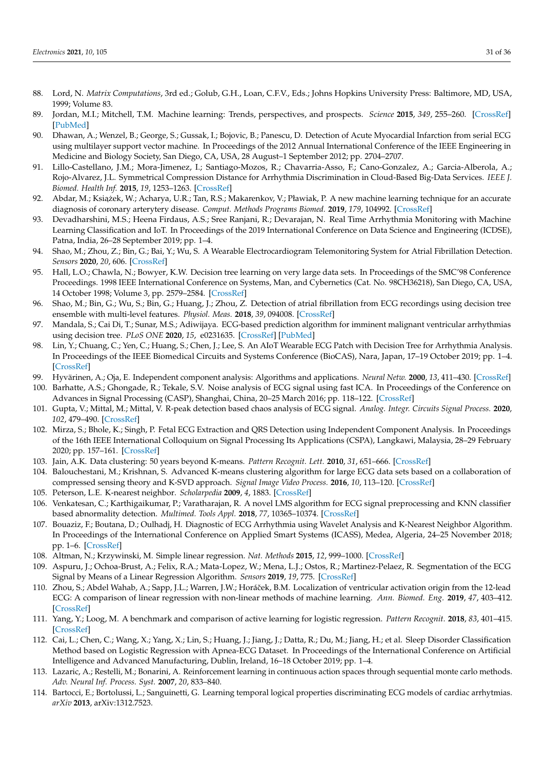- <span id="page-30-0"></span>88. Lord, N. *Matrix Computations*, 3rd ed.; Golub, G.H., Loan, C.F.V., Eds.; Johns Hopkins University Press: Baltimore, MD, USA, 1999; Volume 83.
- <span id="page-30-1"></span>89. Jordan, M.I.; Mitchell, T.M. Machine learning: Trends, perspectives, and prospects. *Science* **2015**, *349*, 255–260. [\[CrossRef\]](http://dx.doi.org/10.1126/science.aaa8415) [\[PubMed\]](http://www.ncbi.nlm.nih.gov/pubmed/26185243)
- <span id="page-30-2"></span>90. Dhawan, A.; Wenzel, B.; George, S.; Gussak, I.; Bojovic, B.; Panescu, D. Detection of Acute Myocardial Infarction from serial ECG using multilayer support vector machine. In Proceedings of the 2012 Annual International Conference of the IEEE Engineering in Medicine and Biology Society, San Diego, CA, USA, 28 August–1 September 2012; pp. 2704–2707.
- <span id="page-30-13"></span>91. Lillo-Castellano, J.M.; Mora-Jimenez, I.; Santiago-Mozos, R.; Chavarria-Asso, F.; Cano-Gonzalez, A.; Garcia-Alberola, A.; Rojo-Alvarez, J.L. Symmetrical Compression Distance for Arrhythmia Discrimination in Cloud-Based Big-Data Services. *IEEE J. Biomed. Health Inf.* **2015**, *19*, 1253–1263. [\[CrossRef\]](http://dx.doi.org/10.1109/JBHI.2015.2412175)
- <span id="page-30-24"></span>92. Abdar, M.; Książek, W.; Acharya, U.R.; Tan, R.S.; Makarenkov, V.; Pławiak, P. A new machine learning technique for an accurate diagnosis of coronary arterytery disease. *Comput. Methods Programs Biomed.* **2019**, *179*, 104992. [\[CrossRef\]](http://dx.doi.org/10.1016/j.cmpb.2019.104992)
- <span id="page-30-23"></span>93. Devadharshini, M.S.; Heena Firdaus, A.S.; Sree Ranjani, R.; Devarajan, N. Real Time Arrhythmia Monitoring with Machine Learning Classification and IoT. In Proceedings of the 2019 International Conference on Data Science and Engineering (ICDSE), Patna, India, 26–28 September 2019; pp. 1–4.
- <span id="page-30-3"></span>94. Shao, M.; Zhou, Z.; Bin, G.; Bai, Y.; Wu, S. A Wearable Electrocardiogram Telemonitoring System for Atrial Fibrillation Detection. *Sensors* **2020**, *20*, 606. [\[CrossRef\]](http://dx.doi.org/10.3390/s20030606)
- <span id="page-30-4"></span>95. Hall, L.O.; Chawla, N.; Bowyer, K.W. Decision tree learning on very large data sets. In Proceedings of the SMC'98 Conference Proceedings. 1998 IEEE International Conference on Systems, Man, and Cybernetics (Cat. No. 98CH36218), San Diego, CA, USA, 14 October 1998; Volume 3, pp. 2579–2584. [\[CrossRef\]](http://dx.doi.org/10.1109/ICSMC.1998.725047)
- <span id="page-30-5"></span>96. Shao, M.; Bin, G.; Wu, S.; Bin, G.; Huang, J.; Zhou, Z. Detection of atrial fibrillation from ECG recordings using decision tree ensemble with multi-level features. *Physiol. Meas.* **2018**, *39*, 094008. [\[CrossRef\]](http://dx.doi.org/10.1088/1361-6579/aadf48)
- 97. Mandala, S.; Cai Di, T.; Sunar, M.S.; Adiwijaya. ECG-based prediction algorithm for imminent malignant ventricular arrhythmias using decision tree. *PLoS ONE* **2020**, *15*, e0231635. [\[CrossRef\]](http://dx.doi.org/10.1371/journal.pone.0231635) [\[PubMed\]](http://www.ncbi.nlm.nih.gov/pubmed/32407335)
- <span id="page-30-6"></span>98. Lin, Y.; Chuang, C.; Yen, C.; Huang, S.; Chen, J.; Lee, S. An AIoT Wearable ECG Patch with Decision Tree for Arrhythmia Analysis. In Proceedings of the IEEE Biomedical Circuits and Systems Conference (BioCAS), Nara, Japan, 17–19 October 2019; pp. 1–4. [\[CrossRef\]](http://dx.doi.org/10.1109/BIOCAS.2019.8919141)
- <span id="page-30-7"></span>99. Hyvärinen, A.; Oja, E. Independent component analysis: Algorithms and applications. *Neural Netw.* **2000**, *13*, 411–430. [\[CrossRef\]](http://dx.doi.org/10.1016/S0893-6080(00)00026-5)
- <span id="page-30-8"></span>100. Barhatte, A.S.; Ghongade, R.; Tekale, S.V. Noise analysis of ECG signal using fast ICA. In Proceedings of the Conference on Advances in Signal Processing (CASP), Shanghai, China, 20–25 March 2016; pp. 118–122. [\[CrossRef\]](http://dx.doi.org/10.1109/CASP.2016.7746149)
- 101. Gupta, V.; Mittal, M.; Mittal, V. R-peak detection based chaos analysis of ECG signal. *Analog. Integr. Circuits Signal Process.* **2020**, *102*, 479–490. [\[CrossRef\]](http://dx.doi.org/10.1007/s10470-019-01556-1)
- <span id="page-30-9"></span>102. Mirza, S.; Bhole, K.; Singh, P. Fetal ECG Extraction and QRS Detection using Independent Component Analysis. In Proceedings of the 16th IEEE International Colloquium on Signal Processing Its Applications (CSPA), Langkawi, Malaysia, 28–29 February 2020; pp. 157–161. [\[CrossRef\]](http://dx.doi.org/10.1109/CSPA48992.2020.9068696)
- <span id="page-30-10"></span>103. Jain, A.K. Data clustering: 50 years beyond K-means. *Pattern Recognit. Lett.* **2010**, *31*, 651–666. [\[CrossRef\]](http://dx.doi.org/10.1016/j.patrec.2009.09.011)
- <span id="page-30-11"></span>104. Balouchestani, M.; Krishnan, S. Advanced K-means clustering algorithm for large ECG data sets based on a collaboration of compressed sensing theory and K-SVD approach. *Signal Image Video Process.* **2016**, *10*, 113–120. [\[CrossRef\]](http://dx.doi.org/10.1007/s11760-014-0709-5)
- <span id="page-30-12"></span>105. Peterson, L.E. K-nearest neighbor. *Scholarpedia* **2009**, *4*, 1883. [\[CrossRef\]](http://dx.doi.org/10.4249/scholarpedia.1883)
- <span id="page-30-14"></span>106. Venkatesan, C.; Karthigaikumar, P.; Varatharajan, R. A novel LMS algorithm for ECG signal preprocessing and KNN classifier based abnormality detection. *Multimed. Tools Appl.* **2018**, *77*, 10365–10374. [\[CrossRef\]](http://dx.doi.org/10.1007/s11042-018-5762-6)
- <span id="page-30-15"></span>107. Bouaziz, F.; Boutana, D.; Oulhadj, H. Diagnostic of ECG Arrhythmia using Wavelet Analysis and K-Nearest Neighbor Algorithm. In Proceedings of the International Conference on Applied Smart Systems (ICASS), Medea, Algeria, 24–25 November 2018; pp. 1–6. [\[CrossRef\]](http://dx.doi.org/10.1109/ICASS.2018.8652020)
- <span id="page-30-16"></span>108. Altman, N.; Krzywinski, M. Simple linear regression. *Nat. Methods* **2015**, *12*, 999–1000. [\[CrossRef\]](http://dx.doi.org/10.1038/nmeth.3627)
- <span id="page-30-17"></span>109. Aspuru, J.; Ochoa-Brust, A.; Felix, R.A.; Mata-Lopez, W.; Mena, L.J.; Ostos, R.; Martinez-Pelaez, R. Segmentation of the ECG Signal by Means of a Linear Regression Algorithm. *Sensors* **2019**, *19*, 775. [\[CrossRef\]](http://dx.doi.org/10.3390/s19040775)
- <span id="page-30-18"></span>110. Zhou, S.; Abdel Wahab, A.; Sapp, J.L.; Warren, J.W.; Horáček, B.M. Localization of ventricular activation origin from the 12-lead ECG: A comparison of linear regression with non-linear methods of machine learning. *Ann. Biomed. Eng.* **2019**, *47*, 403–412. [\[CrossRef\]](http://dx.doi.org/10.1007/s10439-018-02168-y)
- <span id="page-30-19"></span>111. Yang, Y.; Loog, M. A benchmark and comparison of active learning for logistic regression. *Pattern Recognit.* **2018**, *83*, 401–415. [\[CrossRef\]](http://dx.doi.org/10.1016/j.patcog.2018.06.004)
- <span id="page-30-20"></span>112. Cai, L.; Chen, C.; Wang, X.; Yang, X.; Lin, S.; Huang, J.; Jiang, J.; Datta, R.; Du, M.; Jiang, H.; et al. Sleep Disorder Classification Method based on Logistic Regression with Apnea-ECG Dataset. In Proceedings of the International Conference on Artificial Intelligence and Advanced Manufacturing, Dublin, Ireland, 16–18 October 2019; pp. 1–4.
- <span id="page-30-21"></span>113. Lazaric, A.; Restelli, M.; Bonarini, A. Reinforcement learning in continuous action spaces through sequential monte carlo methods. *Adv. Neural Inf. Process. Syst.* **2007**, *20*, 833–840.
- <span id="page-30-22"></span>114. Bartocci, E.; Bortolussi, L.; Sanguinetti, G. Learning temporal logical properties discriminating ECG models of cardiac arrhytmias. *arXiv* **2013**, arXiv:1312.7523.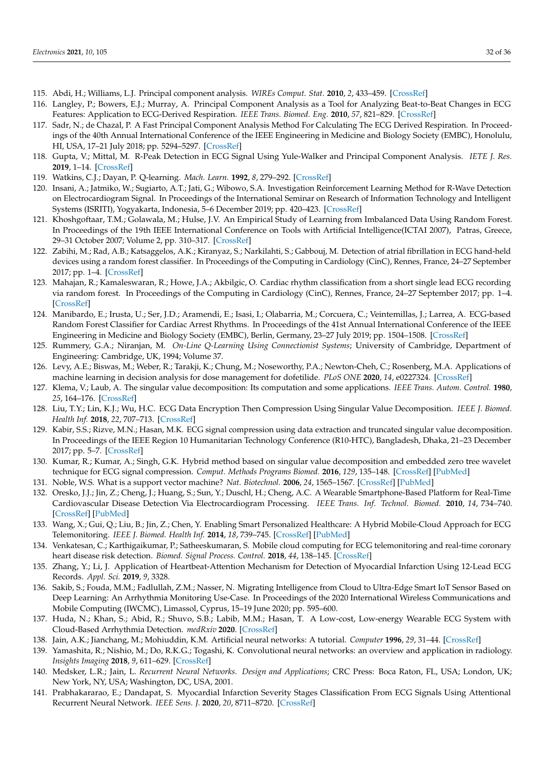- <span id="page-31-0"></span>115. Abdi, H.; Williams, L.J. Principal component analysis. *WIREs Comput. Stat.* **2010**, *2*, 433–459. [\[CrossRef\]](http://dx.doi.org/10.1002/wics.101)
- <span id="page-31-1"></span>116. Langley, P.; Bowers, E.J.; Murray, A. Principal Component Analysis as a Tool for Analyzing Beat-to-Beat Changes in ECG Features: Application to ECG-Derived Respiration. *IEEE Trans. Biomed. Eng.* **2010**, *57*, 821–829. [\[CrossRef\]](http://dx.doi.org/10.1109/TBME.2009.2018297)
- 117. Sadr, N.; de Chazal, P. A Fast Principal Component Analysis Method For Calculating The ECG Derived Respiration. In Proceedings of the 40th Annual International Conference of the IEEE Engineering in Medicine and Biology Society (EMBC), Honolulu, HI, USA, 17–21 July 2018; pp. 5294–5297. [\[CrossRef\]](http://dx.doi.org/10.1109/EMBC.2018.8513495)
- <span id="page-31-2"></span>118. Gupta, V.; Mittal, M. R-Peak Detection in ECG Signal Using Yule-Walker and Principal Component Analysis. *IETE J. Res.* **2019**, 1–14. [\[CrossRef\]](http://dx.doi.org/10.1080/03772063.2019.1575292)
- <span id="page-31-3"></span>119. Watkins, C.J.; Dayan, P. Q-learning. *Mach. Learn.* **1992**, *8*, 279–292. [\[CrossRef\]](http://dx.doi.org/10.1007/BF00992698)
- <span id="page-31-4"></span>120. Insani, A.; Jatmiko, W.; Sugiarto, A.T.; Jati, G.; Wibowo, S.A. Investigation Reinforcement Learning Method for R-Wave Detection on Electrocardiogram Signal. In Proceedings of the International Seminar on Research of Information Technology and Intelligent Systems (ISRITI), Yogyakarta, Indonesia, 5–6 December 2019; pp. 420–423. [\[CrossRef\]](http://dx.doi.org/10.1109/ISRITI48646.2019.9034649)
- <span id="page-31-5"></span>121. Khoshgoftaar, T.M.; Golawala, M.; Hulse, J.V. An Empirical Study of Learning from Imbalanced Data Using Random Forest. In Proceedings of the 19th IEEE International Conference on Tools with Artificial Intelligence(ICTAI 2007), Patras, Greece, 29–31 October 2007; Volume 2, pp. 310–317. [\[CrossRef\]](http://dx.doi.org/10.1109/ICTAI.2007.46)
- <span id="page-31-6"></span>122. Zabihi, M.; Rad, A.B.; Katsaggelos, A.K.; Kiranyaz, S.; Narkilahti, S.; Gabbouj, M. Detection of atrial fibrillation in ECG hand-held devices using a random forest classifier. In Proceedings of the Computing in Cardiology (CinC), Rennes, France, 24–27 September 2017; pp. 1–4. [\[CrossRef\]](http://dx.doi.org/10.22489/CinC.2017.069-336)
- 123. Mahajan, R.; Kamaleswaran, R.; Howe, J.A.; Akbilgic, O. Cardiac rhythm classification from a short single lead ECG recording via random forest. In Proceedings of the Computing in Cardiology (CinC), Rennes, France, 24–27 September 2017; pp. 1–4. [\[CrossRef\]](http://dx.doi.org/10.22489/CinC.2017.179-403)
- <span id="page-31-7"></span>124. Manibardo, E.; Irusta, U.; Ser, J.D.; Aramendi, E.; Isasi, I.; Olabarria, M.; Corcuera, C.; Veintemillas, J.; Larrea, A. ECG-based Random Forest Classifier for Cardiac Arrest Rhythms. In Proceedings of the 41st Annual International Conference of the IEEE Engineering in Medicine and Biology Society (EMBC), Berlin, Germany, 23–27 July 2019; pp. 1504–1508. [\[CrossRef\]](http://dx.doi.org/10.1109/EMBC.2019.8857893)
- <span id="page-31-8"></span>125. Rummery, G.A.; Niranjan, M. *On-Line Q-Learning Using Connectionist Systems*; University of Cambridge, Department of Engineering: Cambridge, UK, 1994; Volume 37.
- <span id="page-31-9"></span>126. Levy, A.E.; Biswas, M.; Weber, R.; Tarakji, K.; Chung, M.; Noseworthy, P.A.; Newton-Cheh, C.; Rosenberg, M.A. Applications of machine learning in decision analysis for dose management for dofetilide. *PLoS ONE* **2020**, *14*, e0227324. [\[CrossRef\]](http://dx.doi.org/10.1371/journal.pone.0227324)
- <span id="page-31-10"></span>127. Klema, V.; Laub, A. The singular value decomposition: Its computation and some applications. *IEEE Trans. Autom. Control.* **1980**, *25*, 164–176. [\[CrossRef\]](http://dx.doi.org/10.1109/TAC.1980.1102314)
- <span id="page-31-11"></span>128. Liu, T.Y.; Lin, K.J.; Wu, H.C. ECG Data Encryption Then Compression Using Singular Value Decomposition. *IEEE J. Biomed. Health Inf.* **2018**, *22*, 707–713. [\[CrossRef\]](http://dx.doi.org/10.1109/JBHI.2017.2698498)
- 129. Kabir, S.S.; Rizve, M.N.; Hasan, M.K. ECG signal compression using data extraction and truncated singular value decomposition. In Proceedings of the IEEE Region 10 Humanitarian Technology Conference (R10-HTC), Bangladesh, Dhaka, 21–23 December 2017; pp. 5–7. [\[CrossRef\]](http://dx.doi.org/10.1109/R10-HTC.2017.8288893)
- <span id="page-31-12"></span>130. Kumar, R.; Kumar, A.; Singh, G.K. Hybrid method based on singular value decomposition and embedded zero tree wavelet technique for ECG signal compression. *Comput. Methods Programs Biomed.* **2016**, *129*, 135–148. [\[CrossRef\]](http://dx.doi.org/10.1016/j.cmpb.2016.01.006) [\[PubMed\]](http://www.ncbi.nlm.nih.gov/pubmed/26846671)
- <span id="page-31-13"></span>131. Noble, W.S. What is a support vector machine? *Nat. Biotechnol.* **2006**, *24*, 1565–1567. [\[CrossRef\]](http://dx.doi.org/10.1038/nbt1206-1565) [\[PubMed\]](http://www.ncbi.nlm.nih.gov/pubmed/17160063)
- <span id="page-31-14"></span>132. Oresko, J.J.; Jin, Z.; Cheng, J.; Huang, S.; Sun, Y.; Duschl, H.; Cheng, A.C. A Wearable Smartphone-Based Platform for Real-Time Cardiovascular Disease Detection Via Electrocardiogram Processing. *IEEE Trans. Inf. Technol. Biomed.* **2010**, *14*, 734–740. [\[CrossRef\]](http://dx.doi.org/10.1109/TITB.2010.2047865) [\[PubMed\]](http://www.ncbi.nlm.nih.gov/pubmed/20388600)
- <span id="page-31-17"></span>133. Wang, X.; Gui, Q.; Liu, B.; Jin, Z.; Chen, Y. Enabling Smart Personalized Healthcare: A Hybrid Mobile-Cloud Approach for ECG Telemonitoring. *IEEE J. Biomed. Health Inf.* **2014**, *18*, 739–745. [\[CrossRef\]](http://dx.doi.org/10.1109/JBHI.2013.2286157) [\[PubMed\]](http://www.ncbi.nlm.nih.gov/pubmed/24144678)
- <span id="page-31-23"></span>134. Venkatesan, C.; Karthigaikumar, P.; Satheeskumaran, S. Mobile cloud computing for ECG telemonitoring and real-time coronary heart disease risk detection. *Biomed. Signal Process. Control.* **2018**, *44*, 138–145. [\[CrossRef\]](http://dx.doi.org/10.1016/j.bspc.2018.04.013)
- <span id="page-31-22"></span>135. Zhang, Y.; Li, J. Application of Heartbeat-Attention Mechanism for Detection of Myocardial Infarction Using 12-Lead ECG Records. *Appl. Sci.* **2019**, *9*, 3328.
- <span id="page-31-19"></span>136. Sakib, S.; Fouda, M.M.; Fadlullah, Z.M.; Nasser, N. Migrating Intelligence from Cloud to Ultra-Edge Smart IoT Sensor Based on Deep Learning: An Arrhythmia Monitoring Use-Case. In Proceedings of the 2020 International Wireless Communications and Mobile Computing (IWCMC), Limassol, Cyprus, 15–19 June 2020; pp. 595–600.
- <span id="page-31-15"></span>137. Huda, N.; Khan, S.; Abid, R.; Shuvo, S.B.; Labib, M.M.; Hasan, T. A Low-cost, Low-energy Wearable ECG System with Cloud-Based Arrhythmia Detection. *medRxiv* **2020**. [\[CrossRef\]](http://dx.doi.org/10.1101/2020.08.30.20184770)
- <span id="page-31-16"></span>138. Jain, A.K.; Jianchang, M.; Mohiuddin, K.M. Artificial neural networks: A tutorial. *Computer* **1996**, *29*, 31–44. [\[CrossRef\]](http://dx.doi.org/10.1109/2.485891)
- <span id="page-31-18"></span>139. Yamashita, R.; Nishio, M.; Do, R.K.G.; Togashi, K. Convolutional neural networks: an overview and application in radiology. *Insights Imaging* **2018**, *9*, 611–629. [\[CrossRef\]](http://dx.doi.org/10.1007/s13244-018-0639-9)
- <span id="page-31-20"></span>140. Medsker, L.R.; Jain, L. *Recurrent Neural Networks. Design and Applications*; CRC Press: Boca Raton, FL, USA; London, UK; New York, NY, USA; Washington, DC, USA, 2001.
- <span id="page-31-21"></span>141. Prabhakararao, E.; Dandapat, S. Myocardial Infarction Severity Stages Classification From ECG Signals Using Attentional Recurrent Neural Network. *IEEE Sens. J.* **2020**, *20*, 8711–8720. [\[CrossRef\]](http://dx.doi.org/10.1109/JSEN.2020.2984493)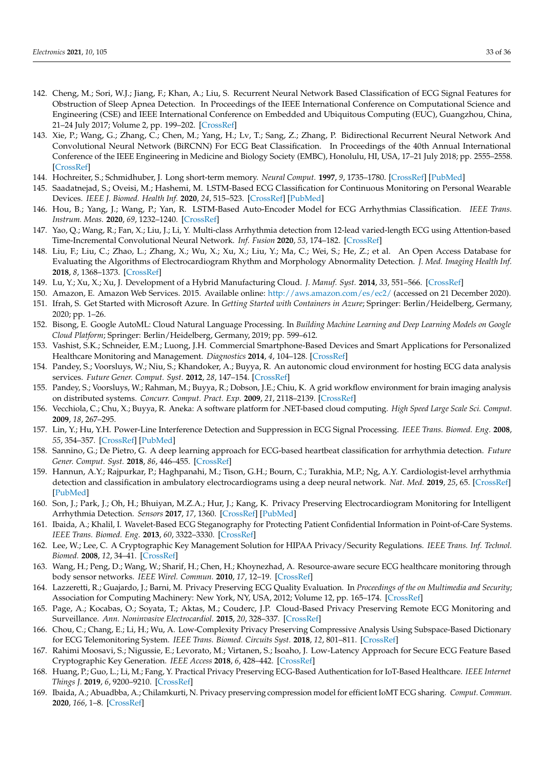- 142. Cheng, M.; Sori, W.J.; Jiang, F.; Khan, A.; Liu, S. Recurrent Neural Network Based Classification of ECG Signal Features for Obstruction of Sleep Apnea Detection. In Proceedings of the IEEE International Conference on Computational Science and Engineering (CSE) and IEEE International Conference on Embedded and Ubiquitous Computing (EUC), Guangzhou, China, 21–24 July 2017; Volume 2, pp. 199–202. [\[CrossRef\]](http://dx.doi.org/10.1109/CSE-EUC.2017.220)
- <span id="page-32-0"></span>143. Xie, P.; Wang, G.; Zhang, C.; Chen, M.; Yang, H.; Lv, T.; Sang, Z.; Zhang, P. Bidirectional Recurrent Neural Network And Convolutional Neural Network (BiRCNN) For ECG Beat Classification. In Proceedings of the 40th Annual International Conference of the IEEE Engineering in Medicine and Biology Society (EMBC), Honolulu, HI, USA, 17–21 July 2018; pp. 2555–2558. [\[CrossRef\]](http://dx.doi.org/10.1109/EMBC.2018.8512752)
- <span id="page-32-1"></span>144. Hochreiter, S.; Schmidhuber, J. Long short-term memory. *Neural Comput.* **1997**, *9*, 1735–1780. [\[CrossRef\]](http://dx.doi.org/10.1162/neco.1997.9.8.1735) [\[PubMed\]](http://www.ncbi.nlm.nih.gov/pubmed/9377276)
- <span id="page-32-2"></span>145. Saadatnejad, S.; Oveisi, M.; Hashemi, M. LSTM-Based ECG Classification for Continuous Monitoring on Personal Wearable Devices. *IEEE J. Biomed. Health Inf.* **2020**, *24*, 515–523. [\[CrossRef\]](http://dx.doi.org/10.1109/JBHI.2019.2911367) [\[PubMed\]](http://www.ncbi.nlm.nih.gov/pubmed/30990452)
- <span id="page-32-3"></span>146. Hou, B.; Yang, J.; Wang, P.; Yan, R. LSTM-Based Auto-Encoder Model for ECG Arrhythmias Classification. *IEEE Trans. Instrum. Meas.* **2020**, *69*, 1232–1240. [\[CrossRef\]](http://dx.doi.org/10.1109/TIM.2019.2910342)
- <span id="page-32-4"></span>147. Yao, Q.; Wang, R.; Fan, X.; Liu, J.; Li, Y. Multi-class Arrhythmia detection from 12-lead varied-length ECG using Attention-based Time-Incremental Convolutional Neural Network. *Inf. Fusion* **2020**, *53*, 174–182. [\[CrossRef\]](http://dx.doi.org/10.1016/j.inffus.2019.06.024)
- <span id="page-32-5"></span>148. Liu, F.; Liu, C.; Zhao, L.; Zhang, X.; Wu, X.; Xu, X.; Liu, Y.; Ma, C.; Wei, S.; He, Z.; et al. An Open Access Database for Evaluating the Algorithms of Electrocardiogram Rhythm and Morphology Abnormality Detection. *J. Med. Imaging Health Inf.* **2018**, *8*, 1368–1373. [\[CrossRef\]](http://dx.doi.org/10.1166/jmihi.2018.2442)
- <span id="page-32-6"></span>149. Lu, Y.; Xu, X.; Xu, J. Development of a Hybrid Manufacturing Cloud. *J. Manuf. Syst.* **2014**, *33*, 551–566. [\[CrossRef\]](http://dx.doi.org/10.1016/j.jmsy.2014.05.003)
- <span id="page-32-7"></span>150. Amazon, E. Amazon Web Services. 2015. Available online: [http://aws.amazon.com/es/ec2/](http://aws. amazon. com/es/ec2/) (accessed on 21 December 2020).
- <span id="page-32-8"></span>151. Ifrah, S. Get Started with Microsoft Azure. In *Getting Started with Containers in Azure*; Springer: Berlin/Heidelberg, Germany, 2020; pp. 1–26.
- <span id="page-32-9"></span>152. Bisong, E. Google AutoML: Cloud Natural Language Processing. In *Building Machine Learning and Deep Learning Models on Google Cloud Platform*; Springer: Berlin/Heidelberg, Germany, 2019; pp. 599–612.
- <span id="page-32-10"></span>153. Vashist, S.K.; Schneider, E.M.; Luong, J.H. Commercial Smartphone-Based Devices and Smart Applications for Personalized Healthcare Monitoring and Management. *Diagnostics* **2014**, *4*, 104–128. [\[CrossRef\]](http://dx.doi.org/10.3390/diagnostics4030104)
- <span id="page-32-11"></span>154. Pandey, S.; Voorsluys, W.; Niu, S.; Khandoker, A.; Buyya, R. An autonomic cloud environment for hosting ECG data analysis services. *Future Gener. Comput. Syst.* **2012**, *28*, 147–154. [\[CrossRef\]](http://dx.doi.org/10.1016/j.future.2011.04.022)
- <span id="page-32-12"></span>155. Pandey, S.; Voorsluys, W.; Rahman, M.; Buyya, R.; Dobson, J.E.; Chiu, K. A grid workflow environment for brain imaging analysis on distributed systems. *Concurr. Comput. Pract. Exp.* **2009**, *21*, 2118–2139. [\[CrossRef\]](http://dx.doi.org/10.1002/cpe.1461)
- <span id="page-32-13"></span>156. Vecchiola, C.; Chu, X.; Buyya, R. Aneka: A software platform for .NET-based cloud computing. *High Speed Large Scale Sci. Comput.* **2009**, *18*, 267–295.
- <span id="page-32-14"></span>157. Lin, Y.; Hu, Y.H. Power-Line Interference Detection and Suppression in ECG Signal Processing. *IEEE Trans. Biomed. Eng.* **2008**, *55*, 354–357. [\[CrossRef\]](http://dx.doi.org/10.1109/TBME.2007.902234) [\[PubMed\]](http://www.ncbi.nlm.nih.gov/pubmed/18232382)
- <span id="page-32-15"></span>158. Sannino, G.; De Pietro, G. A deep learning approach for ECG-based heartbeat classification for arrhythmia detection. *Future Gener. Comput. Syst.* **2018**, *86*, 446–455. [\[CrossRef\]](http://dx.doi.org/10.1016/j.future.2018.03.057)
- <span id="page-32-16"></span>159. Hannun, A.Y.; Rajpurkar, P.; Haghpanahi, M.; Tison, G.H.; Bourn, C.; Turakhia, M.P.; Ng, A.Y. Cardiologist-level arrhythmia detection and classification in ambulatory electrocardiograms using a deep neural network. *Nat. Med.* **2019**, *25*, 65. [\[CrossRef\]](http://dx.doi.org/10.1038/s41591-018-0268-3) [\[PubMed\]](http://www.ncbi.nlm.nih.gov/pubmed/30617320)
- <span id="page-32-17"></span>160. Son, J.; Park, J.; Oh, H.; Bhuiyan, M.Z.A.; Hur, J.; Kang, K. Privacy Preserving Electrocardiogram Monitoring for Intelligent Arrhythmia Detection. *Sensors* **2017**, *17*, 1360. [\[CrossRef\]](http://dx.doi.org/10.3390/s17061360) [\[PubMed\]](http://www.ncbi.nlm.nih.gov/pubmed/28604628)
- <span id="page-32-18"></span>161. Ibaida, A.; Khalil, I. Wavelet-Based ECG Steganography for Protecting Patient Confidential Information in Point-of-Care Systems. *IEEE Trans. Biomed. Eng.* **2013**, *60*, 3322–3330. [\[CrossRef\]](http://dx.doi.org/10.1109/TBME.2013.2264539)
- <span id="page-32-19"></span>162. Lee, W.; Lee, C. A Cryptographic Key Management Solution for HIPAA Privacy/Security Regulations. *IEEE Trans. Inf. Technol. Biomed.* **2008**, *12*, 34–41. [\[CrossRef\]](http://dx.doi.org/10.1109/TITB.2007.906101)
- <span id="page-32-20"></span>163. Wang, H.; Peng, D.; Wang, W.; Sharif, H.; Chen, H.; Khoynezhad, A. Resource-aware secure ECG healthcare monitoring through body sensor networks. *IEEE Wirel. Commun.* **2010**, *17*, 12–19. [\[CrossRef\]](http://dx.doi.org/10.1109/MWC.2010.5416345)
- <span id="page-32-21"></span>164. Lazzeretti, R.; Guajardo, J.; Barni, M. Privacy Preserving ECG Quality Evaluation. In *Proceedings of the on Multimedia and Security*; Association for Computing Machinery: New York, NY, USA, 2012; Volume 12, pp. 165–174. [\[CrossRef\]](http://dx.doi.org/10.1145/2361407.2361435)
- <span id="page-32-22"></span>165. Page, A.; Kocabas, O.; Soyata, T.; Aktas, M.; Couderc, J.P. Cloud-Based Privacy Preserving Remote ECG Monitoring and Surveillance. *Ann. Noninvasive Electrocardiol.* **2015**, *20*, 328–337. [\[CrossRef\]](http://dx.doi.org/10.1111/anec.12204)
- <span id="page-32-23"></span>166. Chou, C.; Chang, E.; Li, H.; Wu, A. Low-Complexity Privacy Preserving Compressive Analysis Using Subspace-Based Dictionary for ECG Telemonitoring System. *IEEE Trans. Biomed. Circuits Syst.* **2018**, *12*, 801–811. [\[CrossRef\]](http://dx.doi.org/10.1109/TBCAS.2018.2828031)
- <span id="page-32-24"></span>167. Rahimi Moosavi, S.; Nigussie, E.; Levorato, M.; Virtanen, S.; Isoaho, J. Low-Latency Approach for Secure ECG Feature Based Cryptographic Key Generation. *IEEE Access* **2018**, *6*, 428–442. [\[CrossRef\]](http://dx.doi.org/10.1109/ACCESS.2017.2766523)
- <span id="page-32-25"></span>168. Huang, P.; Guo, L.; Li, M.; Fang, Y. Practical Privacy Preserving ECG-Based Authentication for IoT-Based Healthcare. *IEEE Internet Things J.* **2019**, *6*, 9200–9210. [\[CrossRef\]](http://dx.doi.org/10.1109/JIOT.2019.2929087)
- <span id="page-32-26"></span>169. Ibaida, A.; Abuadbba, A.; Chilamkurti, N. Privacy preserving compression model for efficient IoMT ECG sharing. *Comput. Commun.* **2020**, *166*, 1–8. [\[CrossRef\]](http://dx.doi.org/10.1016/j.comcom.2020.11.010)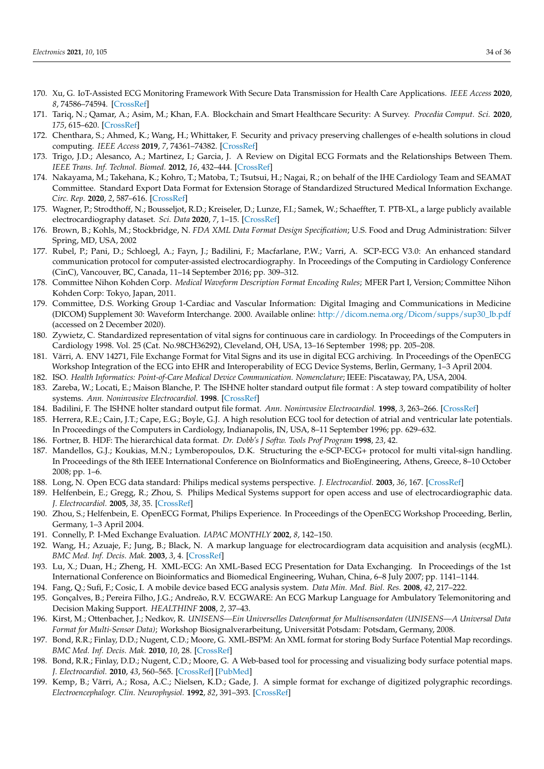- <span id="page-33-31"></span><span id="page-33-30"></span><span id="page-33-0"></span>170. Xu, G. IoT-Assisted ECG Monitoring Framework With Secure Data Transmission for Health Care Applications. *IEEE Access* **2020**, *8*, 74586–74594. [\[CrossRef\]](http://dx.doi.org/10.1109/ACCESS.2020.2988059)
- <span id="page-33-1"></span>171. Tariq, N.; Qamar, A.; Asim, M.; Khan, F.A. Blockchain and Smart Healthcare Security: A Survey. *Procedia Comput. Sci.* **2020**, *175*, 615–620. [\[CrossRef\]](http://dx.doi.org/10.1016/j.procs.2020.07.089)
- <span id="page-33-2"></span>172. Chenthara, S.; Ahmed, K.; Wang, H.; Whittaker, F. Security and privacy preserving challenges of e-health solutions in cloud computing. *IEEE Access* **2019**, *7*, 74361–74382. [\[CrossRef\]](http://dx.doi.org/10.1109/ACCESS.2019.2919982)
- <span id="page-33-3"></span>173. Trigo, J.D.; Alesanco, A.; Martinez, I.; Garcia, J. A Review on Digital ECG Formats and the Relationships Between Them. *IEEE Trans. Inf. Technol. Biomed.* **2012**, *16*, 432–444. [\[CrossRef\]](http://dx.doi.org/10.1109/TITB.2011.2176955)
- <span id="page-33-29"></span>174. Nakayama, M.; Takehana, K.; Kohro, T.; Matoba, T.; Tsutsui, H.; Nagai, R.; on behalf of the IHE Cardiology Team and SEAMAT Committee. Standard Export Data Format for Extension Storage of Standardized Structured Medical Information Exchange. *Circ. Rep.* **2020**, *2*, 587–616. [\[CrossRef\]](http://dx.doi.org/10.1253/circrep.CR-20-0077)
- <span id="page-33-4"></span>175. Wagner, P.; Strodthoff, N.; Bousseljot, R.D.; Kreiseler, D.; Lunze, F.I.; Samek, W.; Schaeffter, T. PTB-XL, a large publicly available electrocardiography dataset. *Sci. Data* **2020**, *7*, 1–15. [\[CrossRef\]](http://dx.doi.org/10.1038/s41597-020-0495-6)
- <span id="page-33-5"></span>176. Brown, B.; Kohls, M.; Stockbridge, N. *FDA XML Data Format Design Specification*; U.S. Food and Drug Administration: Silver Spring, MD, USA, 2002
- <span id="page-33-6"></span>177. Rubel, P.; Pani, D.; Schloegl, A.; Fayn, J.; Badilini, F.; Macfarlane, P.W.; Varri, A. SCP-ECG V3.0: An enhanced standard communication protocol for computer-assisted electrocardiography. In Proceedings of the Computing in Cardiology Conference (CinC), Vancouver, BC, Canada, 11–14 September 2016; pp. 309–312.
- <span id="page-33-7"></span>178. Committee Nihon Kohden Corp. *Medical Waveform Description Format Encoding Rules*; MFER Part I, Version; Committee Nihon Kohden Corp: Tokyo, Japan, 2011.
- <span id="page-33-8"></span>179. Committee, D.S. Working Group 1-Cardiac and Vascular Information: Digital Imaging and Communications in Medicine (DICOM) Supplement 30: Waveform Interchange. 2000. Available online: [http://dicom.nema.org/Dicom/supps/sup30\\_lb.pdf](http://dicom.nema.org/Dicom/supps/sup30_lb.pdf) (accessed on 2 December 2020).
- <span id="page-33-9"></span>180. Zywietz, C. Standardized representation of vital signs for continuous care in cardiology. In Proceedings of the Computers in Cardiology 1998. Vol. 25 (Cat. No.98CH36292), Cleveland, OH, USA, 13–16 September 1998; pp. 205–208.
- <span id="page-33-10"></span>181. Värri, A. ENV 14271, File Exchange Format for Vital Signs and its use in digital ECG archiving. In Proceedings of the OpenECG Workshop Integration of the ECG into EHR and Interoperability of ECG Device Systems, Berlin, Germany, 1–3 April 2004.
- <span id="page-33-11"></span>182. ISO. *Health Informatics: Point-of-Care Medical Device Communication. Nomenclature*; IEEE: Piscataway, PA, USA, 2004.
- <span id="page-33-12"></span>183. Zareba, W.; Locati, E.; Maison Blanche, P. The ISHNE holter standard output file format : A step toward compatibility of holter systems. *Ann. Noninvasive Electrocardiol.* **1998**. [\[CrossRef\]](http://dx.doi.org/10.1111/j.1542-474X.1998.tb00352.x)
- <span id="page-33-13"></span>184. Badilini, F. The ISHNE holter standard output file format. *Ann. Noninvasive Electrocardiol.* **1998**, *3*, 263–266. [\[CrossRef\]](http://dx.doi.org/10.1111/j.1542-474X.1998.tb00353.x)
- <span id="page-33-14"></span>185. Herrera, R.E.; Cain, J.T.; Cape, E.G.; Boyle, G.J. A high resolution ECG tool for detection of atrial and ventricular late potentials. In Proceedings of the Computers in Cardiology, Indianapolis, IN, USA, 8–11 September 1996; pp. 629–632.
- <span id="page-33-15"></span>186. Fortner, B. HDF: The hierarchical data format. *Dr. Dobb's J Softw. Tools Prof Program* **1998**, *23*, 42.
- <span id="page-33-16"></span>187. Mandellos, G.J.; Koukias, M.N.; Lymberopoulos, D.K. Structuring the e-SCP-ECG+ protocol for multi vital-sign handling. In Proceedings of the 8th IEEE International Conference on BioInformatics and BioEngineering, Athens, Greece, 8–10 October 2008; pp. 1–6.
- <span id="page-33-17"></span>188. Long, N. Open ECG data standard: Philips medical systems perspective. *J. Electrocardiol.* **2003**, *36*, 167. [\[CrossRef\]](http://dx.doi.org/10.1016/j.jelectrocard.2003.09.043)
- <span id="page-33-18"></span>189. Helfenbein, E.; Gregg, R.; Zhou, S. Philips Medical Systems support for open access and use of electrocardiographic data. *J. Electrocardiol.* **2005**, *38*, 35. [\[CrossRef\]](http://dx.doi.org/10.1016/j.jelectrocard.2005.06.043)
- <span id="page-33-19"></span>190. Zhou, S.; Helfenbein, E. OpenECG Format, Philips Experience. In Proceedings of the OpenECG Workshop Proceeding, Berlin, Germany, 1–3 April 2004.
- <span id="page-33-20"></span>191. Connelly, P. I-Med Exchange Evaluation. *IAPAC MONTHLY* **2002**, *8*, 142–150.
- <span id="page-33-21"></span>192. Wang, H.; Azuaje, F.; Jung, B.; Black, N. A markup language for electrocardiogram data acquisition and analysis (ecgML). *BMC Med. Inf. Decis. Mak.* **2003**, *3*, 4. [\[CrossRef\]](http://dx.doi.org/10.1186/1472-6947-3-4)
- <span id="page-33-22"></span>193. Lu, X.; Duan, H.; Zheng, H. XML-ECG: An XML-Based ECG Presentation for Data Exchanging. In Proceedings of the 1st International Conference on Bioinformatics and Biomedical Engineering, Wuhan, China, 6–8 July 2007; pp. 1141–1144.
- <span id="page-33-23"></span>194. Fang, Q.; Sufi, F.; Cosic, I. A mobile device based ECG analysis system. *Data Min. Med. Biol. Res.* **2008**, *42*, 217–222.
- <span id="page-33-24"></span>195. Gonçalves, B.; Pereira Filho, J.G.; Andreão, R.V. ECGWARE: An ECG Markup Language for Ambulatory Telemonitoring and Decision Making Support. *HEALTHINF* **2008**, *2*, 37–43.
- <span id="page-33-25"></span>196. Kirst, M.; Ottenbacher, J.; Nedkov, R. *UNISENS—Ein Universelles Datenformat for Multisensordaten (UNISENS—A Universal Data Format for Multi-Sensor Data)*; Workshop Biosignalverarbeitung, Universität Potsdam: Potsdam, Germany, 2008.
- <span id="page-33-26"></span>197. Bond, R.R.; Finlay, D.D.; Nugent, C.D.; Moore, G. XML-BSPM: An XML format for storing Body Surface Potential Map recordings. *BMC Med. Inf. Decis. Mak.* **2010**, *10*, 28. [\[CrossRef\]](http://dx.doi.org/10.1186/1472-6947-10-28)
- <span id="page-33-27"></span>198. Bond, R.R.; Finlay, D.D.; Nugent, C.D.; Moore, G. A Web-based tool for processing and visualizing body surface potential maps. *J. Electrocardiol.* **2010**, *43*, 560–565. [\[CrossRef\]](http://dx.doi.org/10.1016/j.jelectrocard.2010.05.010) [\[PubMed\]](http://www.ncbi.nlm.nih.gov/pubmed/20655059)
- <span id="page-33-28"></span>199. Kemp, B.; Värri, A.; Rosa, A.C.; Nielsen, K.D.; Gade, J. A simple format for exchange of digitized polygraphic recordings. *Electroencephalogr. Clin. Neurophysiol.* **1992**, *82*, 391–393. [\[CrossRef\]](http://dx.doi.org/10.1016/0013-4694(92)90009-7)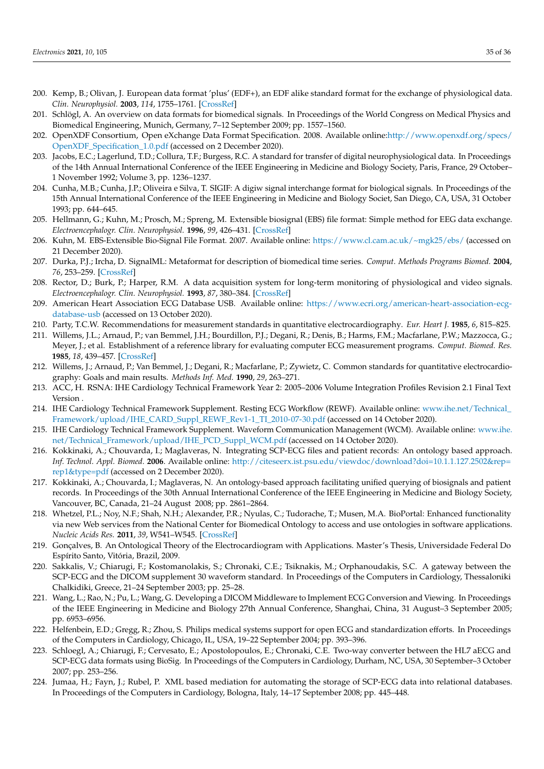- <span id="page-34-0"></span>200. Kemp, B.; Olivan, J. European data format 'plus' (EDF+), an EDF alike standard format for the exchange of physiological data. *Clin. Neurophysiol.* **2003**, *114*, 1755–1761. [\[CrossRef\]](http://dx.doi.org/10.1016/S1388-2457(03)00123-8)
- <span id="page-34-1"></span>201. Schlögl, A. An overview on data formats for biomedical signals. In Proceedings of the World Congress on Medical Physics and Biomedical Engineering, Munich, Germany, 7–12 September 2009; pp. 1557–1560.
- <span id="page-34-2"></span>202. OpenXDF Consortium, Open eXchange Data Format Specification. 2008. Available online[:http://www.openxdf.org/specs/](http://www.openxdf.org/specs/OpenXDF_Specification_1.0.pdf) [OpenXDF\\_Specification\\_1.0.pdf](http://www.openxdf.org/specs/OpenXDF_Specification_1.0.pdf) (accessed on 2 December 2020).
- <span id="page-34-3"></span>203. Jacobs, E.C.; Lagerlund, T.D.; Collura, T.F.; Burgess, R.C. A standard for transfer of digital neurophysiological data. In Proceedings of the 14th Annual International Conference of the IEEE Engineering in Medicine and Biology Society, Paris, France, 29 October– 1 November 1992; Volume 3, pp. 1236–1237.
- <span id="page-34-4"></span>204. Cunha, M.B.; Cunha, J.P.; Oliveira e Silva, T. SIGIF: A digiw signal interchange format for biological signals. In Proceedings of the 15th Annual International Conference of the IEEE Engineering in Medicine and Biology Societ, San Diego, CA, USA, 31 October 1993; pp. 644–645.
- <span id="page-34-5"></span>205. Hellmann, G.; Kuhn, M.; Prosch, M.; Spreng, M. Extensible biosignal (EBS) file format: Simple method for EEG data exchange. *Electroencephalogr. Clin. Neurophysiol.* **1996**, *99*, 426–431. [\[CrossRef\]](http://dx.doi.org/10.1016/S0013-4694(96)96502-5)
- <span id="page-34-6"></span>206. Kuhn, M. EBS-Extensible Bio-Signal File Format. 2007. Available online: <https://www.cl.cam.ac.uk/~mgk25/ebs/> (accessed on 21 December 2020).
- <span id="page-34-7"></span>207. Durka, P.J.; Ircha, D. SignalML: Metaformat for description of biomedical time series. *Comput. Methods Programs Biomed.* **2004**, *76*, 253–259. [\[CrossRef\]](http://dx.doi.org/10.1016/j.cmpb.2004.05.007)
- <span id="page-34-8"></span>208. Rector, D.; Burk, P.; Harper, R.M. A data acquisition system for long-term monitoring of physiological and video signals. *Electroencephalogr. Clin. Neurophysiol.* **1993**, *87*, 380–384. [\[CrossRef\]](http://dx.doi.org/10.1016/0013-4694(93)90151-K)
- <span id="page-34-9"></span>209. American Heart Association ECG Database USB. Available online: [https://www.ecri.org/american-heart-association-ecg]( https://www.ecri.org/american-heart-association-ecg-database-usb)[database-usb]( https://www.ecri.org/american-heart-association-ecg-database-usb) (accessed on 13 October 2020).
- <span id="page-34-10"></span>210. Party, T.C.W. Recommendations for measurement standards in quantitative electrocardiography. *Eur. Heart J.* **1985**, *6*, 815–825.
- 211. Willems, J.L.; Arnaud, P.; van Bemmel, J.H.; Bourdillon, P.J.; Degani, R.; Denis, B.; Harms, F.M.; Macfarlane, P.W.; Mazzocca, G.; Meyer, J.; et al. Establishment of a reference library for evaluating computer ECG measurement programs. *Comput. Biomed. Res.* **1985**, *18*, 439–457. [\[CrossRef\]](http://dx.doi.org/10.1016/0010-4809(85)90021-7)
- <span id="page-34-11"></span>212. Willems, J.; Arnaud, P.; Van Bemmel, J.; Degani, R.; Macfarlane, P.; Zywietz, C. Common standards for quantitative electrocardiography: Goals and main results. *Methods Inf. Med.* **1990**, *29*, 263–271.
- <span id="page-34-12"></span>213. ACC, H. RSNA: IHE Cardiology Technical Framework Year 2: 2005–2006 Volume Integration Profiles Revision 2.1 Final Text Version .
- <span id="page-34-13"></span>214. IHE Cardiology Technical Framework Supplement. Resting ECG Workflow (REWF). Available online: [www.ihe.net/Technical\\_](www.ihe.net/Technical_Framework/upload/IHE_CARD_Suppl_REWF_Rev1-1_TI_2010-07-30.pdf) [Framework/upload/IHE\\_CARD\\_Suppl\\_REWF\\_Rev1-1\\_TI\\_2010-07-30.pdf](www.ihe.net/Technical_Framework/upload/IHE_CARD_Suppl_REWF_Rev1-1_TI_2010-07-30.pdf) (accessed on 14 October 2020).
- <span id="page-34-14"></span>215. IHE Cardiology Technical Framework Supplement. Waveform Communication Management (WCM). Available online: [www.ihe.]( www.ihe.net/Technical_Framework/upload/IHE_PCD_Suppl_WCM.pdf) [net/Technical\\_Framework/upload/IHE\\_PCD\\_Suppl\\_WCM.pdf]( www.ihe.net/Technical_Framework/upload/IHE_PCD_Suppl_WCM.pdf) (accessed on 14 October 2020).
- <span id="page-34-15"></span>216. Kokkinaki, A.; Chouvarda, I.; Maglaveras, N. Integrating SCP-ECG files and patient records: An ontology based approach. *Inf. Technol. Appl. Biomed.* **2006**. Available online: [http://citeseerx.ist.psu.edu/viewdoc/download?doi=10.1.1.127.2502&rep=](http://citeseerx.ist.psu.edu/viewdoc/download?doi=10.1.1.127.2502&rep=rep1&type=pdf) [rep1&type=pdf](http://citeseerx.ist.psu.edu/viewdoc/download?doi=10.1.1.127.2502&rep=rep1&type=pdf) (accessed on 2 December 2020).
- <span id="page-34-16"></span>217. Kokkinaki, A.; Chouvarda, I.; Maglaveras, N. An ontology-based approach facilitating unified querying of biosignals and patient records. In Proceedings of the 30th Annual International Conference of the IEEE Engineering in Medicine and Biology Society, Vancouver, BC, Canada, 21–24 August 2008; pp. 2861–2864.
- <span id="page-34-17"></span>218. Whetzel, P.L.; Noy, N.F.; Shah, N.H.; Alexander, P.R.; Nyulas, C.; Tudorache, T.; Musen, M.A. BioPortal: Enhanced functionality via new Web services from the National Center for Biomedical Ontology to access and use ontologies in software applications. *Nucleic Acids Res.* **2011**, *39*, W541–W545. [\[CrossRef\]](http://dx.doi.org/10.1093/nar/gkr469)
- <span id="page-34-18"></span>219. Gonçalves, B. An Ontological Theory of the Electrocardiogram with Applications. Master's Thesis, Universidade Federal Do Espírito Santo, Vitória, Brazil, 2009.
- <span id="page-34-19"></span>220. Sakkalis, V.; Chiarugi, F.; Kostomanolakis, S.; Chronaki, C.E.; Tsiknakis, M.; Orphanoudakis, S.C. A gateway between the SCP-ECG and the DICOM supplement 30 waveform standard. In Proceedings of the Computers in Cardiology, Thessaloniki Chalkidiki, Greece, 21–24 September 2003; pp. 25–28.
- <span id="page-34-20"></span>221. Wang, L.; Rao, N.; Pu, L.; Wang, G. Developing a DICOM Middleware to Implement ECG Conversion and Viewing. In Proceedings of the IEEE Engineering in Medicine and Biology 27th Annual Conference, Shanghai, China, 31 August–3 September 2005; pp. 6953–6956.
- <span id="page-34-21"></span>222. Helfenbein, E.D.; Gregg, R.; Zhou, S. Philips medical systems support for open ECG and standardization efforts. In Proceedings of the Computers in Cardiology, Chicago, IL, USA, 19–22 September 2004; pp. 393–396.
- <span id="page-34-22"></span>223. Schloegl, A.; Chiarugi, F.; Cervesato, E.; Apostolopoulos, E.; Chronaki, C.E. Two-way converter between the HL7 aECG and SCP-ECG data formats using BioSig. In Proceedings of the Computers in Cardiology, Durham, NC, USA, 30 September–3 October 2007; pp. 253–256.
- <span id="page-34-23"></span>224. Jumaa, H.; Fayn, J.; Rubel, P. XML based mediation for automating the storage of SCP-ECG data into relational databases. In Proceedings of the Computers in Cardiology, Bologna, Italy, 14–17 September 2008; pp. 445–448.